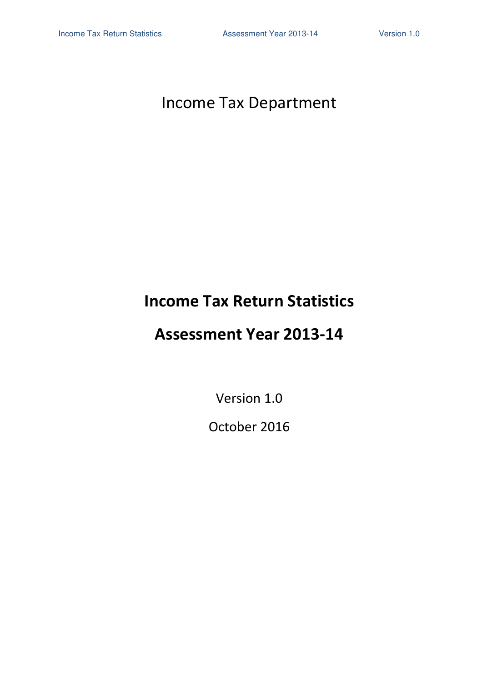# Income Tax Department

# **Income Tax Return Statistics**

# **Assessment Year 2013-14**

Version 1.0

October 2016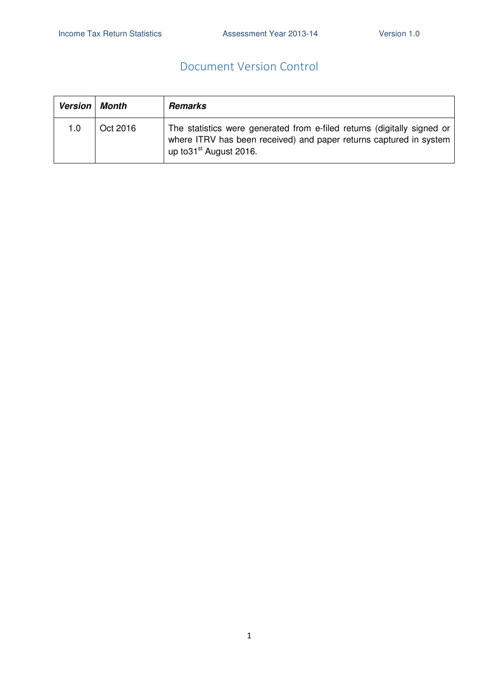### Document Version Control

| <b>Version</b> | Month    | <b>Remarks</b>                                                                                                                                                                       |
|----------------|----------|--------------------------------------------------------------------------------------------------------------------------------------------------------------------------------------|
| 1.0            | Oct 2016 | The statistics were generated from e-filed returns (digitally signed or<br>where ITRV has been received) and paper returns captured in system<br>up to 31 <sup>st</sup> August 2016. |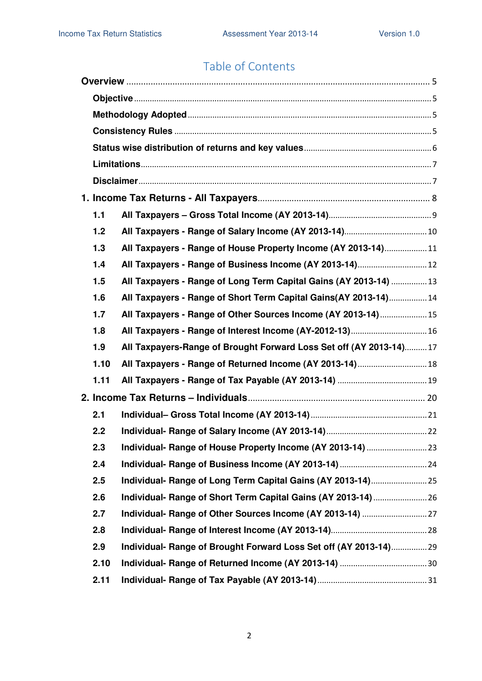# Table of Contents

| 1.1  |                                                                    |  |  |  |  |  |
|------|--------------------------------------------------------------------|--|--|--|--|--|
| 1.2  |                                                                    |  |  |  |  |  |
| 1.3  | All Taxpayers - Range of House Property Income (AY 2013-14)11      |  |  |  |  |  |
| 1.4  |                                                                    |  |  |  |  |  |
| 1.5  | All Taxpayers - Range of Long Term Capital Gains (AY 2013-14) 13   |  |  |  |  |  |
| 1.6  | All Taxpayers - Range of Short Term Capital Gains(AY 2013-14)14    |  |  |  |  |  |
| 1.7  | All Taxpayers - Range of Other Sources Income (AY 2013-14)15       |  |  |  |  |  |
| 1.8  | All Taxpayers - Range of Interest Income (AY-2012-13) 16           |  |  |  |  |  |
| 1.9  | All Taxpayers-Range of Brought Forward Loss Set off (AY 2013-14)17 |  |  |  |  |  |
| 1.10 | All Taxpayers - Range of Returned Income (AY 2013-14) 18           |  |  |  |  |  |
| 1.11 |                                                                    |  |  |  |  |  |
|      |                                                                    |  |  |  |  |  |
| 2.1  |                                                                    |  |  |  |  |  |
| 2.2  |                                                                    |  |  |  |  |  |
| 2.3  |                                                                    |  |  |  |  |  |
| 2.4  |                                                                    |  |  |  |  |  |
| 2.5  |                                                                    |  |  |  |  |  |
| 2.6  | Individual- Range of Short Term Capital Gains (AY 2013-14)  26     |  |  |  |  |  |
| 2.7  |                                                                    |  |  |  |  |  |
| 2.8  |                                                                    |  |  |  |  |  |
| 2.9  | Individual- Range of Brought Forward Loss Set off (AY 2013-14)29   |  |  |  |  |  |
| 2.10 |                                                                    |  |  |  |  |  |
| 2.11 |                                                                    |  |  |  |  |  |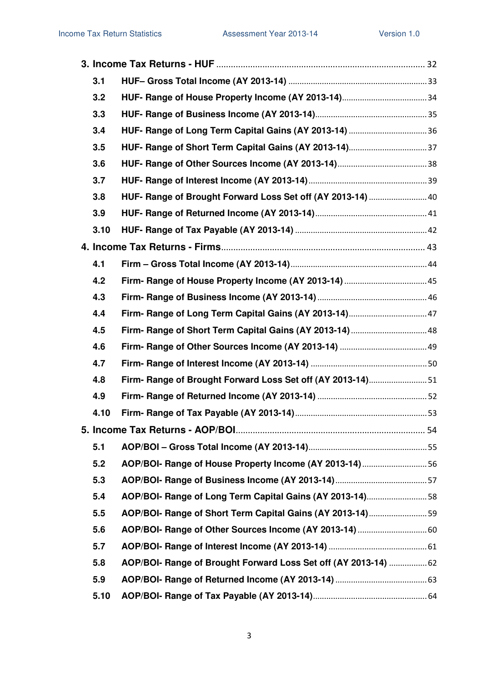| 3.1  |                                                                 |  |
|------|-----------------------------------------------------------------|--|
| 3.2  |                                                                 |  |
| 3.3  |                                                                 |  |
| 3.4  | HUF- Range of Long Term Capital Gains (AY 2013-14)  36          |  |
| 3.5  |                                                                 |  |
| 3.6  |                                                                 |  |
| 3.7  |                                                                 |  |
| 3.8  | HUF- Range of Brought Forward Loss Set off (AY 2013-14)  40     |  |
| 3.9  |                                                                 |  |
| 3.10 |                                                                 |  |
|      |                                                                 |  |
| 4.1  |                                                                 |  |
| 4.2  |                                                                 |  |
| 4.3  |                                                                 |  |
| 4.4  |                                                                 |  |
| 4.5  | Firm- Range of Short Term Capital Gains (AY 2013-14)  48        |  |
| 4.6  |                                                                 |  |
| 4.7  |                                                                 |  |
| 4.8  | Firm- Range of Brought Forward Loss Set off (AY 2013-14)51      |  |
| 4.9  |                                                                 |  |
| 4.10 |                                                                 |  |
|      |                                                                 |  |
| 5.1  |                                                                 |  |
| 5.2  | AOP/BOI- Range of House Property Income (AY 2013-14)56          |  |
| 5.3  |                                                                 |  |
| 5.4  | AOP/BOI- Range of Long Term Capital Gains (AY 2013-14)58        |  |
| 5.5  | AOP/BOI- Range of Short Term Capital Gains (AY 2013-14)59       |  |
| 5.6  |                                                                 |  |
| 5.7  |                                                                 |  |
| 5.8  | AOP/BOI- Range of Brought Forward Loss Set off (AY 2013-14)  62 |  |
| 5.9  |                                                                 |  |
| 5.10 |                                                                 |  |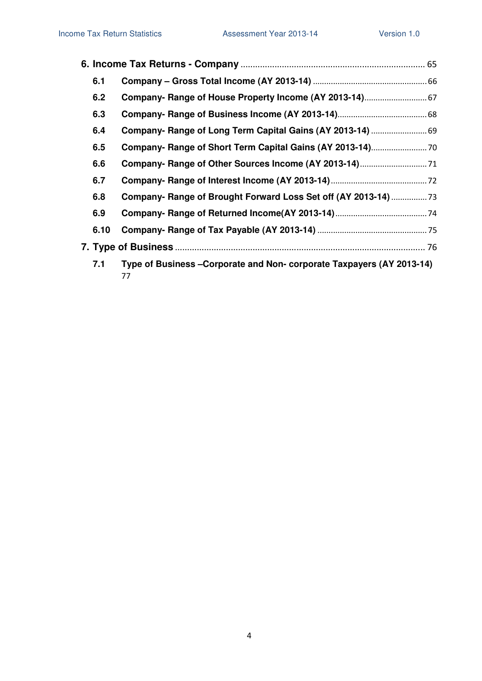| 6.1  |                                                                           |  |
|------|---------------------------------------------------------------------------|--|
| 6.2  |                                                                           |  |
| 6.3  |                                                                           |  |
| 6.4  | Company- Range of Long Term Capital Gains (AY 2013-14)  69                |  |
| 6.5  |                                                                           |  |
| 6.6  |                                                                           |  |
| 6.7  |                                                                           |  |
| 6.8  | Company- Range of Brought Forward Loss Set off (AY 2013-14)               |  |
| 6.9  |                                                                           |  |
| 6.10 |                                                                           |  |
|      |                                                                           |  |
| 7.1  | Type of Business-Corporate and Non-corporate Taxpayers (AY 2013-14)<br>77 |  |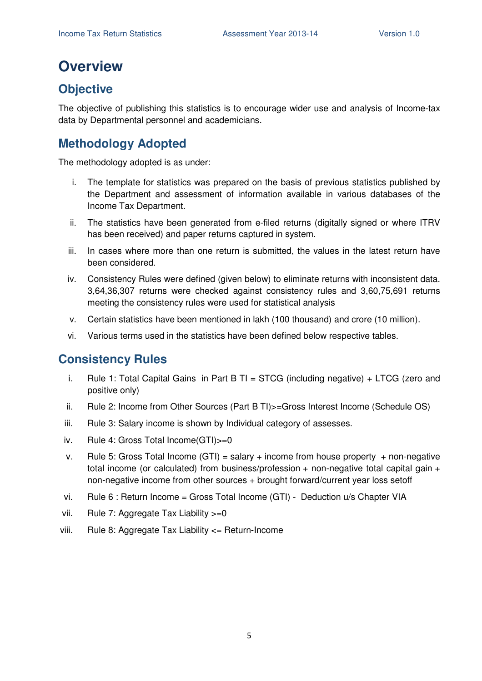# **Overview**

# **Objective**

The objective of publishing this statistics is to encourage wider use and analysis of Income-tax data by Departmental personnel and academicians.

# **Methodology Adopted**

The methodology adopted is as under:

- i. The template for statistics was prepared on the basis of previous statistics published by the Department and assessment of information available in various databases of the Income Tax Department.
- ii. The statistics have been generated from e-filed returns (digitally signed or where ITRV has been received) and paper returns captured in system.
- iii. In cases where more than one return is submitted, the values in the latest return have been considered.
- iv. Consistency Rules were defined (given below) to eliminate returns with inconsistent data. 3,64,36,307 returns were checked against consistency rules and 3,60,75,691 returns meeting the consistency rules were used for statistical analysis
- v. Certain statistics have been mentioned in lakh (100 thousand) and crore (10 million).
- vi. Various terms used in the statistics have been defined below respective tables.

### **Consistency Rules**

- i. Rule 1: Total Capital Gains in Part B TI = STCG (including negative)  $+$  LTCG (zero and positive only)
- ii. Rule 2: Income from Other Sources (Part B TI)>=Gross Interest Income (Schedule OS)
- iii. Rule 3: Salary income is shown by Individual category of assesses.
- iv. Rule 4: Gross Total Income(GTI)>=0
- v. Rule 5: Gross Total Income  $(GTI)$  = salary + income from house property + non-negative total income (or calculated) from business/profession  $+$  non-negative total capital gain  $+$ non-negative income from other sources + brought forward/current year loss setoff
- vi. Rule 6 : Return Income = Gross Total Income (GTI) Deduction u/s Chapter VIA
- vii. Rule 7: Aggregate Tax Liability >=0
- viii. Rule 8: Aggregate Tax Liability <= Return-Income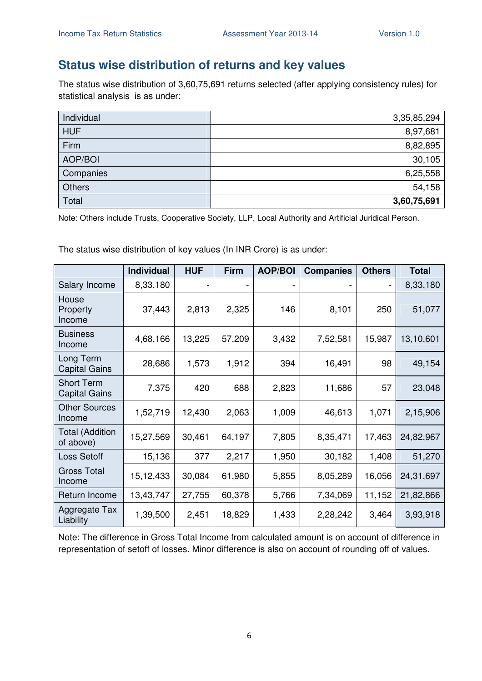## **Status wise distribution of returns and key values**

The status wise distribution of 3,60,75,691 returns selected (after applying consistency rules) for statistical analysis is as under:

| Individual    | 3,35,85,294 |
|---------------|-------------|
| <b>HUF</b>    | 8,97,681    |
| Firm          | 8,82,895    |
| AOP/BOI       | 30,105      |
| Companies     | 6,25,558    |
| <b>Others</b> | 54,158      |
| Total         | 3,60,75,691 |

Note: Others include Trusts, Cooperative Society, LLP, Local Authority and Artificial Juridical Person.

The status wise distribution of key values (In INR Crore) is as under:

|                                           | <b>Individual</b> | <b>HUF</b>               | <b>Firm</b> | <b>AOP/BOI</b> | <b>Companies</b> | <b>Others</b> | <b>Total</b> |
|-------------------------------------------|-------------------|--------------------------|-------------|----------------|------------------|---------------|--------------|
| Salary Income                             | 8,33,180          | $\overline{\phantom{a}}$ |             |                |                  | -             | 8,33,180     |
| House<br>Property<br>Income               | 37,443            | 2,813                    | 2,325       | 146            | 8,101            | 250           | 51,077       |
| <b>Business</b><br>Income                 | 4,68,166          | 13,225                   | 57,209      | 3,432          | 7,52,581         | 15,987        | 13,10,601    |
| Long Term<br><b>Capital Gains</b>         | 28,686            | 1,573                    | 1,912       | 394            | 16,491           | 98            | 49,154       |
| <b>Short Term</b><br><b>Capital Gains</b> | 7,375             | 420                      | 688         | 2,823          | 11,686           | 57            | 23,048       |
| <b>Other Sources</b><br>Income            | 1,52,719          | 12,430                   | 2,063       | 1,009          | 46,613           | 1,071         | 2,15,906     |
| <b>Total (Addition</b><br>of above)       | 15,27,569         | 30,461                   | 64,197      | 7,805          | 8,35,471         | 17,463        | 24,82,967    |
| Loss Setoff                               | 15,136            | 377                      | 2,217       | 1,950          | 30,182           | 1,408         | 51,270       |
| <b>Gross Total</b><br>Income              | 15,12,433         | 30,084                   | 61,980      | 5,855          | 8,05,289         | 16,056        | 24,31,697    |
| Return Income                             | 13,43,747         | 27,755                   | 60,378      | 5,766          | 7,34,069         | 11,152        | 21,82,866    |
| Aggregate Tax<br>Liability                | 1,39,500          | 2,451                    | 18,829      | 1,433          | 2,28,242         | 3,464         | 3,93,918     |

Note: The difference in Gross Total Income from calculated amount is on account of difference in representation of setoff of losses. Minor difference is also on account of rounding off of values.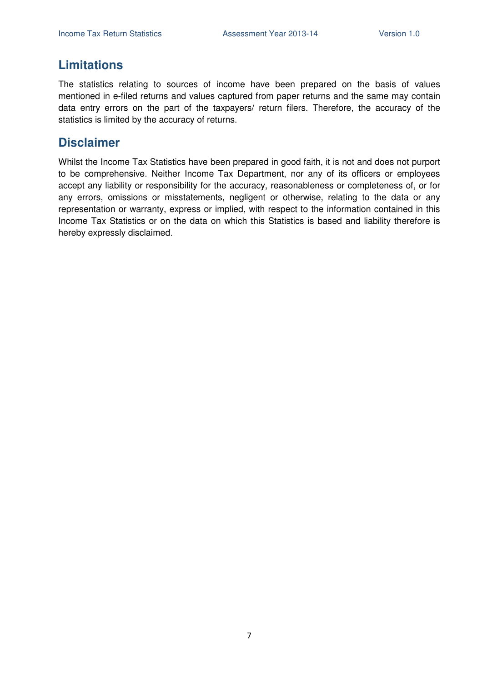### **Limitations**

The statistics relating to sources of income have been prepared on the basis of values mentioned in e-filed returns and values captured from paper returns and the same may contain data entry errors on the part of the taxpayers/ return filers. Therefore, the accuracy of the statistics is limited by the accuracy of returns.

### **Disclaimer**

Whilst the Income Tax Statistics have been prepared in good faith, it is not and does not purport to be comprehensive. Neither Income Tax Department, nor any of its officers or employees accept any liability or responsibility for the accuracy, reasonableness or completeness of, or for any errors, omissions or misstatements, negligent or otherwise, relating to the data or any representation or warranty, express or implied, with respect to the information contained in this Income Tax Statistics or on the data on which this Statistics is based and liability therefore is hereby expressly disclaimed.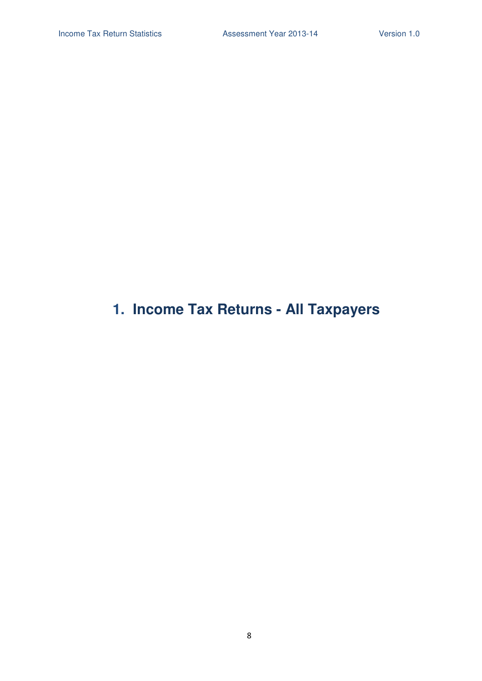# **1. Income Tax Returns - All Taxpayers**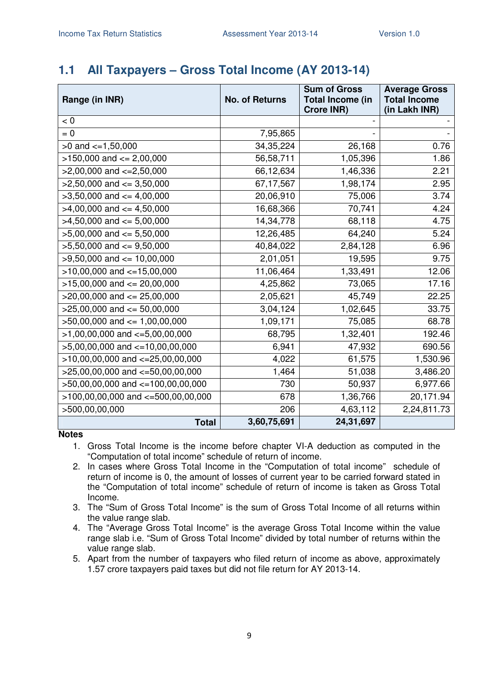# **1.1 All Taxpayers – Gross Total Income (AY 2013-14)**

| Range (in INR)                        | <b>No. of Returns</b> | <b>Sum of Gross</b><br><b>Total Income (in</b><br><b>Crore INR)</b> | <b>Average Gross</b><br><b>Total Income</b><br>(in Lakh INR) |
|---------------------------------------|-----------------------|---------------------------------------------------------------------|--------------------------------------------------------------|
| < 0                                   |                       |                                                                     |                                                              |
| $= 0$                                 | 7,95,865              |                                                                     |                                                              |
| $>0$ and $\lt=1,50,000$               | 34, 35, 224           | 26,168                                                              | 0.76                                                         |
| $>150,000$ and $<= 2,00,000$          | 56,58,711             | 1,05,396                                                            | 1.86                                                         |
| $>2,00,000$ and $\lt=2,50,000$        | 66,12,634             | 1,46,336                                                            | 2.21                                                         |
| $>2,50,000$ and $<=3,50,000$          | 67,17,567             | 1,98,174                                                            | 2.95                                                         |
| $>3,50,000$ and $<=4,00,000$          | 20,06,910             | 75,006                                                              | 3.74                                                         |
| $>4,00,000$ and $\leq 4,50,000$       | 16,68,366             | 70,741                                                              | 4.24                                                         |
| $>4,50,000$ and $<=5,00,000$          | 14,34,778             | 68,118                                                              | 4.75                                                         |
| $>5,00,000$ and $<= 5,50,000$         | 12,26,485             | 64,240                                                              | 5.24                                                         |
| $>5,50,000$ and $<=9,50,000$          | 40,84,022             | 2,84,128                                                            | 6.96                                                         |
| $>9,50,000$ and $\leq 10,00,000$      | 2,01,051              | 19,595                                                              | 9.75                                                         |
| $>10,00,000$ and $\lt=15,00,000$      | 11,06,464             | 1,33,491                                                            | 12.06                                                        |
| $>15,00,000$ and $<= 20,00,000$       | 4,25,862              | 73,065                                                              | 17.16                                                        |
| $>20,00,000$ and $<= 25,00,000$       | 2,05,621              | 45,749                                                              | 22.25                                                        |
| $>25,00,000$ and $<= 50,00,000$       | 3,04,124              | 1,02,645                                                            | 33.75                                                        |
| $>50,00,000$ and $<= 1,00,00,000$     | 1,09,171              | 75,085                                                              | 68.78                                                        |
| $>1,00,00,000$ and $\lt=5,00,00,000$  | 68,795                | 1,32,401                                                            | 192.46                                                       |
| $>5,00,00,000$ and $\lt=10,00,00,000$ | 6,941                 | 47,932                                                              | 690.56                                                       |
| $>10,00,00,000$ and $<=25,00,00,000$  | 4,022                 | 61,575                                                              | 1,530.96                                                     |
| >25,00,00,000 and <=50,00,00,000      | 1,464                 | 51,038                                                              | 3,486.20                                                     |
| >50,00,00,000 and <=100,00,00,000     | 730                   | 50,937                                                              | 6,977.66                                                     |
| >100,00,00,000 and <=500,00,00,000    | 678                   | 1,36,766                                                            | 20,171.94                                                    |
| >500,00,00,000                        | 206                   | 4,63,112                                                            | 2,24,811.73                                                  |
| <b>Total</b>                          | 3,60,75,691           | 24,31,697                                                           |                                                              |

**Notes** 

1. Gross Total Income is the income before chapter VI-A deduction as computed in the "Computation of total income" schedule of return of income.

- 2. In cases where Gross Total Income in the "Computation of total income" schedule of return of income is 0, the amount of losses of current year to be carried forward stated in the "Computation of total income" schedule of return of income is taken as Gross Total Income.
- 3. The "Sum of Gross Total Income" is the sum of Gross Total Income of all returns within the value range slab.
- 4. The "Average Gross Total Income" is the average Gross Total Income within the value range slab i.e. "Sum of Gross Total Income" divided by total number of returns within the value range slab.
- 5. Apart from the number of taxpayers who filed return of income as above, approximately 1.57 crore taxpayers paid taxes but did not file return for AY 2013-14.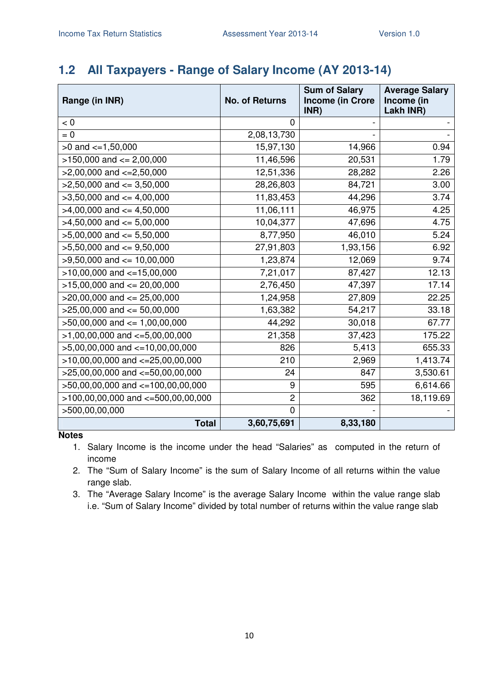# **1.2 All Taxpayers - Range of Salary Income (AY 2013-14)**

| Range (in INR)                         | <b>No. of Returns</b> | <b>Sum of Salary</b><br><b>Income (in Crore</b><br>INR) | <b>Average Salary</b><br>Income (in<br>Lakh INR) |
|----------------------------------------|-----------------------|---------------------------------------------------------|--------------------------------------------------|
| < 0                                    | 0                     |                                                         |                                                  |
| $= 0$                                  | 2,08,13,730           |                                                         |                                                  |
| $>0$ and $\lt=1,50,000$                | 15,97,130             | 14,966                                                  | 0.94                                             |
| $>150,000$ and $<= 2,00,000$           | 11,46,596             | 20,531                                                  | 1.79                                             |
| $>2,00,000$ and $\lt=2,50,000$         | 12,51,336             | 28,282                                                  | 2.26                                             |
| $>2,50,000$ and $<=3,50,000$           | 28,26,803             | 84,721                                                  | 3.00                                             |
| $>3,50,000$ and $<=4,00,000$           | 11,83,453             | 44,296                                                  | 3.74                                             |
| $>4,00,000$ and $\leq 4,50,000$        | 11,06,111             | 46,975                                                  | 4.25                                             |
| $>4,50,000$ and $\leq 5,00,000$        | 10,04,377             | 47,696                                                  | 4.75                                             |
| $>5,00,000$ and $<= 5,50,000$          | 8,77,950              | 46,010                                                  | 5.24                                             |
| $>5,50,000$ and $\leq 9,50,000$        | 27,91,803             | 1,93,156                                                | 6.92                                             |
| $>9,50,000$ and $\leq 10,00,000$       | 1,23,874              | 12,069                                                  | 9.74                                             |
| $>10,00,000$ and $<-15,00,000$         | 7,21,017              | 87,427                                                  | 12.13                                            |
| $>15,00,000$ and $<= 20,00,000$        | 2,76,450              | 47,397                                                  | 17.14                                            |
| $>20,00,000$ and $<= 25,00,000$        | 1,24,958              | 27,809                                                  | 22.25                                            |
| $>25,00,000$ and $<= 50,00,000$        | 1,63,382              | 54,217                                                  | 33.18                                            |
| $>50,00,000$ and $<= 1,00,00,000$      | 44,292                | 30,018                                                  | 67.77                                            |
| $>1,00,00,000$ and $\lt=5,00,00,000$   | 21,358                | 37,423                                                  | 175.22                                           |
| $>5,00,00,000$ and $\lt=10,00,00,000$  | 826                   | 5,413                                                   | 655.33                                           |
| $>10,00,00,000$ and $<=25,00,00,000$   | 210                   | 2,969                                                   | 1,413.74                                         |
| $>25,00,00,000$ and $<=50,00,00,000$   | 24                    | 847                                                     | 3,530.61                                         |
| >50,00,00,000 and <=100,00,00,000      | 9                     | 595                                                     | 6,614.66                                         |
| $>100,00,00,000$ and $<-500,00,00,000$ | $\overline{2}$        | 362                                                     | 18,119.69                                        |
| >500,00,00,000                         | $\Omega$              |                                                         |                                                  |
| <b>Total</b>                           | 3,60,75,691           | 8,33,180                                                |                                                  |

**Notes** 

1. Salary Income is the income under the head "Salaries" as computed in the return of income

2. The "Sum of Salary Income" is the sum of Salary Income of all returns within the value range slab.

3. The "Average Salary Income" is the average Salary Income within the value range slab i.e. "Sum of Salary Income" divided by total number of returns within the value range slab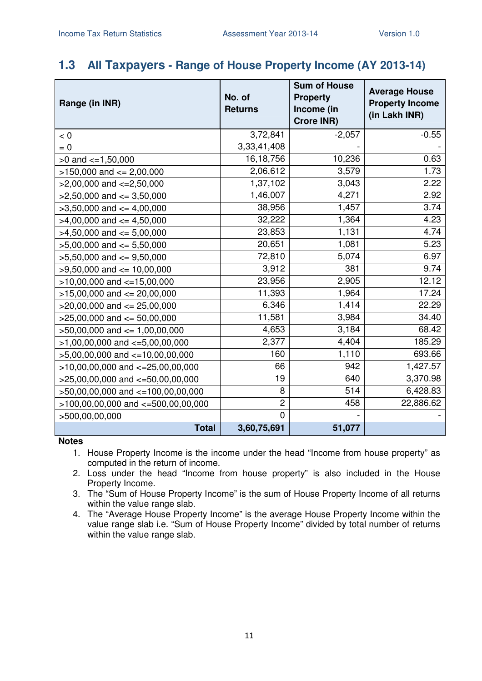### **1.3 All Taxpayers - Range of House Property Income (AY 2013-14)**

| Range (in INR)                         | No. of<br><b>Returns</b> | <b>Sum of House</b><br><b>Property</b><br>Income (in<br><b>Crore INR)</b> | <b>Average House</b><br><b>Property Income</b><br>(in Lakh INR) |
|----------------------------------------|--------------------------|---------------------------------------------------------------------------|-----------------------------------------------------------------|
| < 0                                    | 3,72,841                 | $-2,057$                                                                  | $-0.55$                                                         |
| $= 0$                                  | 3,33,41,408              |                                                                           |                                                                 |
| $>0$ and $\lt=1,50,000$                | 16, 18, 756              | 10,236                                                                    | 0.63                                                            |
| $>150,000$ and $<= 2,00,000$           | 2,06,612                 | 3,579                                                                     | 1.73                                                            |
| $>2,00,000$ and $<=2,50,000$           | 1,37,102                 | 3,043                                                                     | 2.22                                                            |
| $>2,50,000$ and $<=3,50,000$           | 1,46,007                 | 4,271                                                                     | 2.92                                                            |
| $>3,50,000$ and $<=4,00,000$           | 38,956                   | 1,457                                                                     | 3.74                                                            |
| $>4,00,000$ and $\lt=4,50,000$         | 32,222                   | 1,364                                                                     | 4.23                                                            |
| $>4,50,000$ and $<=5,00,000$           | 23,853                   | 1,131                                                                     | 4.74                                                            |
| $>5,00,000$ and $<= 5,50,000$          | 20,651                   | 1,081                                                                     | 5.23                                                            |
| $>5,50,000$ and $<=9,50,000$           | 72,810                   | 5,074                                                                     | 6.97                                                            |
| $>9,50,000$ and $<= 10,00,000$         | 3,912                    | 381                                                                       | 9.74                                                            |
| $>10,00,000$ and $<-15,00,000$         | 23,956                   | 2,905                                                                     | 12.12                                                           |
| $>15,00,000$ and $<= 20,00,000$        | 11,393                   | 1,964                                                                     | 17.24                                                           |
| $>20,00,000$ and $<= 25,00,000$        | 6,346                    | 1,414                                                                     | 22.29                                                           |
| $>25,00,000$ and $<= 50,00,000$        | 11,581                   | 3,984                                                                     | 34.40                                                           |
| $>50,00,000$ and $<= 1,00,00,000$      | 4,653                    | 3,184                                                                     | 68.42                                                           |
| $>1,00,00,000$ and $\lt=5,00,00,000$   | 2,377                    | 4,404                                                                     | 185.29                                                          |
| $>5,00,00,000$ and $<-10,00,00,000$    | 160                      | 1,110                                                                     | 693.66                                                          |
| $>10,00,00,000$ and $<=25,00,00,000$   | 66                       | 942                                                                       | 1,427.57                                                        |
| $>25,00,00,000$ and $<-50,00,00,000$   | 19                       | 640                                                                       | 3,370.98                                                        |
| >50,00,00,000 and <=100,00,00,000      | 8                        | 514                                                                       | 6,428.83                                                        |
| $>100,00,00,000$ and $<-500,00,00,000$ | $\overline{2}$           | 458                                                                       | 22,886.62                                                       |
| >500,00,00,000                         | 0                        |                                                                           |                                                                 |
| <b>Total</b>                           | 3,60,75,691              | 51,077                                                                    |                                                                 |

- 1. House Property Income is the income under the head "Income from house property" as computed in the return of income.
- 2. Loss under the head "Income from house property" is also included in the House Property Income.
- 3. The "Sum of House Property Income" is the sum of House Property Income of all returns within the value range slab.
- 4. The "Average House Property Income" is the average House Property Income within the value range slab i.e. "Sum of House Property Income" divided by total number of returns within the value range slab.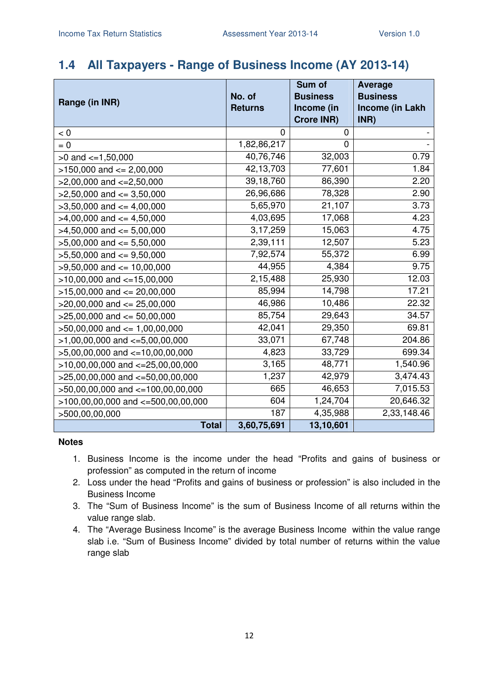## **1.4 All Taxpayers - Range of Business Income (AY 2013-14)**

|                                        |                | Sum of            | <b>Average</b>         |
|----------------------------------------|----------------|-------------------|------------------------|
| Range (in INR)                         | No. of         | <b>Business</b>   | <b>Business</b>        |
|                                        | <b>Returns</b> | Income (in        | <b>Income (in Lakh</b> |
|                                        |                | <b>Crore INR)</b> | INR)                   |
| $< 0$                                  | $\Omega$       | 0                 |                        |
| $= 0$                                  | 1,82,86,217    | $\overline{0}$    |                        |
| $>0$ and $\lt=1,50,000$                | 40,76,746      | 32,003            | 0.79                   |
| $>150,000$ and $<= 2,00,000$           | 42,13,703      | 77,601            | 1.84                   |
| $>2,00,000$ and $<=2,50,000$           | 39,18,760      | 86,390            | 2.20                   |
| $>2,50,000$ and $<=3,50,000$           | 26,96,686      | 78,328            | 2.90                   |
| $>3,50,000$ and $<=4,00,000$           | 5,65,970       | 21,107            | 3.73                   |
| $>4,00,000$ and $<=4,50,000$           | 4,03,695       | 17,068            | 4.23                   |
| $>4,50,000$ and $<=5,00,000$           | 3,17,259       | 15,063            | 4.75                   |
| $>5,00,000$ and $<= 5,50,000$          | 2,39,111       | 12,507            | 5.23                   |
| $>5,50,000$ and $<=9,50,000$           | 7,92,574       | 55,372            | 6.99                   |
| $>9,50,000$ and $<= 10,00,000$         | 44,955         | 4,384             | 9.75                   |
| $>10,00,000$ and $<-15,00,000$         | 2,15,488       | 25,930            | 12.03                  |
| $>15,00,000$ and $<= 20,00,000$        | 85,994         | 14,798            | 17.21                  |
| $>20,00,000$ and $<= 25,00,000$        | 46,986         | 10,486            | 22.32                  |
| $>25,00,000$ and $<= 50,00,000$        | 85,754         | 29,643            | 34.57                  |
| $>50,00,000$ and $<= 1,00,00,000$      | 42,041         | 29,350            | 69.81                  |
| $>1,00,00,000$ and $\lt=5,00,00,000$   | 33,071         | 67,748            | 204.86                 |
| $>5,00,00,000$ and $\lt=10,00,00,000$  | 4,823          | 33,729            | 699.34                 |
| $>10,00,00,000$ and $<=25,00,00,000$   | 3,165          | 48,771            | 1,540.96               |
| $>25,00,00,000$ and $<-50,00,00,000$   | 1,237          | 42,979            | 3,474.43               |
| >50,00,00,000 and <=100,00,00,000      | 665            | 46,653            | 7,015.53               |
| $>100,00,00,000$ and $<-500,00,00,000$ | 604            | 1,24,704          | 20,646.32              |
| >500,00,00,000                         | 187            | 4,35,988          | 2,33,148.46            |
| <b>Total</b>                           | 3,60,75,691    | 13,10,601         |                        |

- 1. Business Income is the income under the head "Profits and gains of business or profession" as computed in the return of income
- 2. Loss under the head "Profits and gains of business or profession" is also included in the Business Income
- 3. The "Sum of Business Income" is the sum of Business Income of all returns within the value range slab.
- 4. The "Average Business Income" is the average Business Income within the value range slab i.e. "Sum of Business Income" divided by total number of returns within the value range slab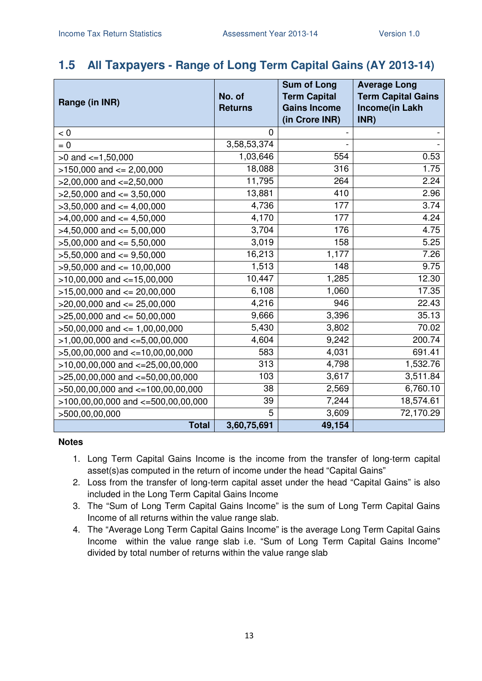### **1.5 All Taxpayers - Range of Long Term Capital Gains (AY 2013-14)**

| Range (in INR)                         | No. of<br><b>Returns</b> | <b>Sum of Long</b><br><b>Term Capital</b><br><b>Gains Income</b><br>(in Crore INR) | <b>Average Long</b><br><b>Term Capital Gains</b><br><b>Income(in Lakh</b><br>INR) |
|----------------------------------------|--------------------------|------------------------------------------------------------------------------------|-----------------------------------------------------------------------------------|
| < 0                                    | $\Omega$                 |                                                                                    |                                                                                   |
| $= 0$                                  | 3,58,53,374              |                                                                                    |                                                                                   |
| $>0$ and $\lt=1,50,000$                | 1,03,646                 | 554                                                                                | 0.53                                                                              |
| $>150,000$ and $<= 2,00,000$           | 18,088                   | 316                                                                                | 1.75                                                                              |
| $>2,00,000$ and $\lt=2,50,000$         | 11,795                   | 264                                                                                | 2.24                                                                              |
| $>2,50,000$ and $<=3,50,000$           | 13,881                   | 410                                                                                | 2.96                                                                              |
| $>3,50,000$ and $<=4,00,000$           | 4,736                    | 177                                                                                | 3.74                                                                              |
| $>4,00,000$ and $<=4,50,000$           | 4,170                    | 177                                                                                | 4.24                                                                              |
| $>4,50,000$ and $<=5,00,000$           | 3,704                    | 176                                                                                | 4.75                                                                              |
| $>5,00,000$ and $<= 5,50,000$          | 3,019                    | 158                                                                                | 5.25                                                                              |
| $>5,50,000$ and $<=9,50,000$           | 16,213                   | 1,177                                                                              | 7.26                                                                              |
| $>9,50,000$ and $\leq 10,00,000$       | 1,513                    | 148                                                                                | 9.75                                                                              |
| $>10,00,000$ and $<-15,00,000$         | 10,447                   | 1,285                                                                              | 12.30                                                                             |
| $>15,00,000$ and $<= 20,00,000$        | 6,108                    | 1,060                                                                              | 17.35                                                                             |
| $>20,00,000$ and $<= 25,00,000$        | 4,216                    | 946                                                                                | 22.43                                                                             |
| $>25,00,000$ and $<= 50,00,000$        | 9,666                    | 3,396                                                                              | 35.13                                                                             |
| $>50,00,000$ and $<= 1,00,00,000$      | 5,430                    | 3,802                                                                              | 70.02                                                                             |
| $>1,00,00,000$ and $\lt=5,00,00,000$   | 4,604                    | 9,242                                                                              | 200.74                                                                            |
| $>5,00,00,000$ and $<=10,00,00,000$    | 583                      | 4,031                                                                              | 691.41                                                                            |
| $>10,00,00,000$ and $<-25,00,00,000$   | 313                      | 4,798                                                                              | 1,532.76                                                                          |
| $>25,00,00,000$ and $<-50,00,00,000$   | 103                      | 3,617                                                                              | 3,511.84                                                                          |
| >50,00,00,000 and <=100,00,00,000      | 38                       | 2,569                                                                              | 6,760.10                                                                          |
| $>100,00,00,000$ and $<-500,00,00,000$ | 39                       | 7,244                                                                              | 18,574.61                                                                         |
| >500,00,00,000                         | 5                        | 3,609                                                                              | 72,170.29                                                                         |
| <b>Total</b>                           | 3,60,75,691              | 49,154                                                                             |                                                                                   |

- 1. Long Term Capital Gains Income is the income from the transfer of long-term capital asset(s)as computed in the return of income under the head "Capital Gains"
- 2. Loss from the transfer of long-term capital asset under the head "Capital Gains" is also included in the Long Term Capital Gains Income
- 3. The "Sum of Long Term Capital Gains Income" is the sum of Long Term Capital Gains Income of all returns within the value range slab.
- 4. The "Average Long Term Capital Gains Income" is the average Long Term Capital Gains Income within the value range slab i.e. "Sum of Long Term Capital Gains Income" divided by total number of returns within the value range slab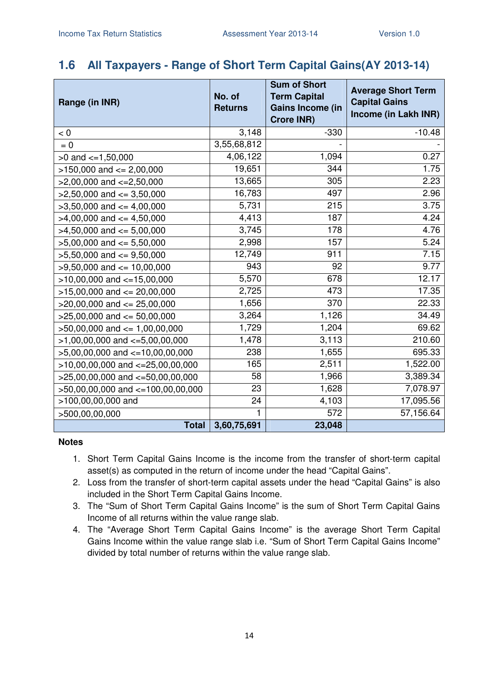## **1.6 All Taxpayers - Range of Short Term Capital Gains(AY 2013-14)**

| Range (in INR)                       | No. of<br><b>Returns</b> | <b>Sum of Short</b><br><b>Term Capital</b><br><b>Gains Income (in</b><br><b>Crore INR)</b> | <b>Average Short Term</b><br><b>Capital Gains</b><br>Income (in Lakh INR) |
|--------------------------------------|--------------------------|--------------------------------------------------------------------------------------------|---------------------------------------------------------------------------|
| $< 0$                                | 3,148                    | $-330$                                                                                     | $-10.48$                                                                  |
| $= 0$                                | 3,55,68,812              |                                                                                            |                                                                           |
| $>0$ and $\lt=1,50,000$              | 4,06,122                 | 1,094                                                                                      | 0.27                                                                      |
| $>150,000$ and $<= 2,00,000$         | 19,651                   | 344                                                                                        | 1.75                                                                      |
| $>2,00,000$ and $\lt=2,50,000$       | 13,665                   | 305                                                                                        | 2.23                                                                      |
| $>2,50,000$ and $\leq 3,50,000$      | 16,783                   | 497                                                                                        | 2.96                                                                      |
| $>3,50,000$ and $<=4,00,000$         | 5,731                    | 215                                                                                        | 3.75                                                                      |
| $>4,00,000$ and $\leq 4,50,000$      | 4,413                    | 187                                                                                        | 4.24                                                                      |
| $>4,50,000$ and $\leq 5,00,000$      | 3,745                    | 178                                                                                        | 4.76                                                                      |
| $>5,00,000$ and $<= 5,50,000$        | 2,998                    | 157                                                                                        | 5.24                                                                      |
| $>5,50,000$ and $<=9,50,000$         | 12,749                   | 911                                                                                        | 7.15                                                                      |
| $>9,50,000$ and $<= 10,00,000$       | 943                      | 92                                                                                         | 9.77                                                                      |
| $>10,00,000$ and $<-15,00,000$       | 5,570                    | 678                                                                                        | 12.17                                                                     |
| $>15,00,000$ and $<= 20,00,000$      | 2,725                    | 473                                                                                        | 17.35                                                                     |
| $>20,00,000$ and $<= 25,00,000$      | 1,656                    | 370                                                                                        | 22.33                                                                     |
| $>25,00,000$ and $<= 50,00,000$      | 3,264                    | 1,126                                                                                      | 34.49                                                                     |
| $>50,00,000$ and $\leq 1,00,00,000$  | 1,729                    | 1,204                                                                                      | 69.62                                                                     |
| $>1,00,00,000$ and $\lt=5,00,00,000$ | 1,478                    | 3,113                                                                                      | 210.60                                                                    |
| $>5,00,00,000$ and $<=10,00,00,000$  | 238                      | 1,655                                                                                      | 695.33                                                                    |
| $>10,00,00,000$ and $<-25,00,00,000$ | 165                      | 2,511                                                                                      | 1,522.00                                                                  |
| $>25,00,00,000$ and $<-50,00,00,000$ | 58                       | 1,966                                                                                      | 3,389.34                                                                  |
| >50,00,00,000 and <=100,00,00,000    | 23                       | 1,628                                                                                      | 7,078.97                                                                  |
| >100,00,00,000 and                   | 24                       | 4,103                                                                                      | 17,095.56                                                                 |
| >500,00,00,000                       |                          | 572                                                                                        | 57,156.64                                                                 |
| <b>Total</b>                         | 3,60,75,691              | 23,048                                                                                     |                                                                           |

- 1. Short Term Capital Gains Income is the income from the transfer of short-term capital asset(s) as computed in the return of income under the head "Capital Gains".
- 2. Loss from the transfer of short-term capital assets under the head "Capital Gains" is also included in the Short Term Capital Gains Income.
- 3. The "Sum of Short Term Capital Gains Income" is the sum of Short Term Capital Gains Income of all returns within the value range slab.
- 4. The "Average Short Term Capital Gains Income" is the average Short Term Capital Gains Income within the value range slab i.e. "Sum of Short Term Capital Gains Income" divided by total number of returns within the value range slab.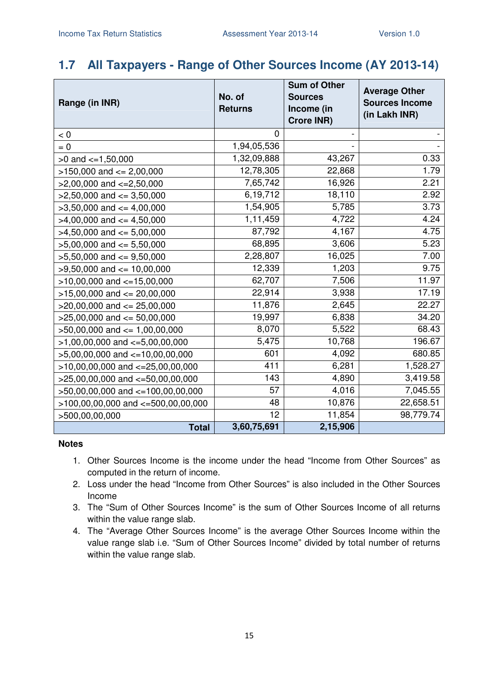# **1.7 All Taxpayers - Range of Other Sources Income (AY 2013-14)**

| Range (in INR)                        | No. of<br><b>Returns</b> | <b>Sum of Other</b><br><b>Sources</b><br>Income (in<br><b>Crore INR)</b> | <b>Average Other</b><br><b>Sources Income</b><br>(in Lakh INR) |
|---------------------------------------|--------------------------|--------------------------------------------------------------------------|----------------------------------------------------------------|
| < 0                                   | 0                        |                                                                          |                                                                |
| $= 0$                                 | 1,94,05,536              |                                                                          |                                                                |
| $>0$ and $\leq 1,50,000$              | 1,32,09,888              | 43,267                                                                   | 0.33                                                           |
| $>150,000$ and $<= 2,00,000$          | 12,78,305                | 22,868                                                                   | 1.79                                                           |
| $>2,00,000$ and $\lt=2,50,000$        | 7,65,742                 | 16,926                                                                   | 2.21                                                           |
| $>2,50,000$ and $<=3,50,000$          | 6,19,712                 | 18,110                                                                   | 2.92                                                           |
| $>3,50,000$ and $<=4,00,000$          | 1,54,905                 | 5,785                                                                    | 3.73                                                           |
| $>4,00,000$ and $<=4,50,000$          | 1,11,459                 | 4,722                                                                    | 4.24                                                           |
| $>4,50,000$ and $<=5,00,000$          | 87,792                   | 4,167                                                                    | 4.75                                                           |
| $>5,00,000$ and $<= 5,50,000$         | 68,895                   | 3,606                                                                    | 5.23                                                           |
| $>5,50,000$ and $<=9,50,000$          | 2,28,807                 | 16,025                                                                   | 7.00                                                           |
| $>9,50,000$ and $<= 10,00,000$        | 12,339                   | 1,203                                                                    | 9.75                                                           |
| $>10,00,000$ and $<-15,00,000$        | 62,707                   | 7,506                                                                    | 11.97                                                          |
| $>15,00,000$ and $<= 20,00,000$       | 22,914                   | 3,938                                                                    | 17.19                                                          |
| $>20,00,000$ and $<= 25,00,000$       | 11,876                   | 2,645                                                                    | 22.27                                                          |
| $>25,00,000$ and $<= 50,00,000$       | 19,997                   | 6,838                                                                    | 34.20                                                          |
| $>50,00,000$ and $<= 1,00,00,000$     | 8,070                    | 5,522                                                                    | 68.43                                                          |
| $>1,00,00,000$ and $\lt=5,00,00,000$  | 5,475                    | 10,768                                                                   | 196.67                                                         |
| $>5,00,00,000$ and $<=10,00,00,000$   | 601                      | 4,092                                                                    | 680.85                                                         |
| $>10,00,00,000$ and $<-25,00,00,000$  | 411                      | 6,281                                                                    | 1,528.27                                                       |
| $>25,00,00,000$ and $<-50,00,00,000$  | 143                      | 4,890                                                                    | 3,419.58                                                       |
| $>50,00,00,000$ and $<=100,00,00,000$ | 57                       | 4,016                                                                    | 7,045.55                                                       |
| >100,00,00,000 and <=500,00,00,000    | 48                       | 10,876                                                                   | 22,658.51                                                      |
| >500,00,00,000                        | 12                       | 11,854                                                                   | 98,779.74                                                      |
| <b>Total</b>                          | 3,60,75,691              | 2,15,906                                                                 |                                                                |

- 1. Other Sources Income is the income under the head "Income from Other Sources" as computed in the return of income.
- 2. Loss under the head "Income from Other Sources" is also included in the Other Sources Income
- 3. The "Sum of Other Sources Income" is the sum of Other Sources Income of all returns within the value range slab.
- 4. The "Average Other Sources Income" is the average Other Sources Income within the value range slab i.e. "Sum of Other Sources Income" divided by total number of returns within the value range slab.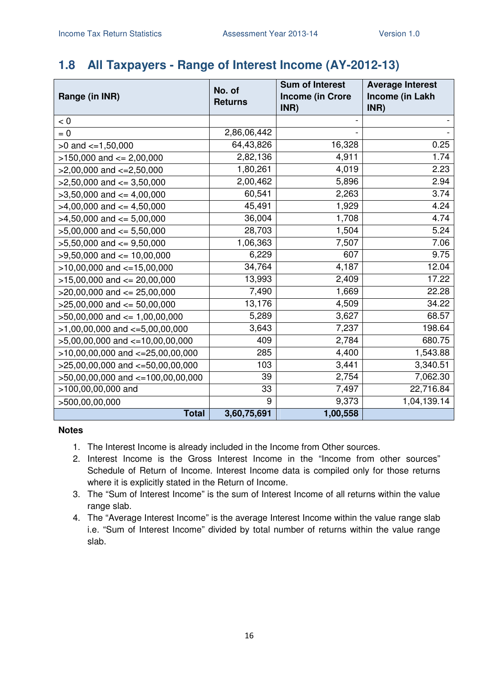# **1.8 All Taxpayers - Range of Interest Income (AY-2012-13)**

|                                      | No. of         | <b>Sum of Interest</b><br><b>Income (in Crore</b> | <b>Average Interest</b><br>Income (in Lakh |
|--------------------------------------|----------------|---------------------------------------------------|--------------------------------------------|
| Range (in INR)                       | <b>Returns</b> | INR)                                              | INR)                                       |
| < 0                                  |                |                                                   |                                            |
| $= 0$                                | 2,86,06,442    |                                                   |                                            |
| $>0$ and $\lt=1,50,000$              | 64,43,826      | 16,328                                            | 0.25                                       |
| $>150,000$ and $<= 2,00,000$         | 2,82,136       | 4,911                                             | 1.74                                       |
| $>2,00,000$ and $\lt=2,50,000$       | 1,80,261       | 4,019                                             | 2.23                                       |
| $>2,50,000$ and $<=3,50,000$         | 2,00,462       | 5,896                                             | 2.94                                       |
| $>3,50,000$ and $<=4,00,000$         | 60,541         | 2,263                                             | 3.74                                       |
| $>4,00,000$ and $\leq 4,50,000$      | 45,491         | 1,929                                             | 4.24                                       |
| $>4,50,000$ and $<= 5,00,000$        | 36,004         | 1,708                                             | 4.74                                       |
| $>5,00,000$ and $<= 5,50,000$        | 28,703         | 1,504                                             | 5.24                                       |
| $>5,50,000$ and $<=9,50,000$         | 1,06,363       | 7,507                                             | 7.06                                       |
| $>9,50,000$ and $\leq 10,00,000$     | 6,229          | 607                                               | 9.75                                       |
| $>10,00,000$ and $<-15,00,000$       | 34,764         | 4,187                                             | 12.04                                      |
| $>15,00,000$ and $<= 20,00,000$      | 13,993         | 2,409                                             | 17.22                                      |
| $>20,00,000$ and $<= 25,00,000$      | 7,490          | 1,669                                             | 22.28                                      |
| $>25,00,000$ and $<= 50,00,000$      | 13,176         | 4,509                                             | 34.22                                      |
| $>50,00,000$ and $<= 1,00,00,000$    | 5,289          | 3,627                                             | 68.57                                      |
| $>1,00,00,000$ and $\lt=5,00,00,000$ | 3,643          | 7,237                                             | 198.64                                     |
| $>5,00,00,000$ and $<-10,00,00,000$  | 409            | 2,784                                             | 680.75                                     |
| $>10,00,00,000$ and $<-25,00,00,000$ | 285            | 4,400                                             | 1,543.88                                   |
| $>25,00,00,000$ and $<=50,00,00,000$ | 103            | 3,441                                             | 3,340.51                                   |
| >50,00,00,000 and <=100,00,00,000    | 39             | 2,754                                             | 7,062.30                                   |
| >100,00,00,000 and                   | 33             | 7,497                                             | 22,716.84                                  |
| >500,00,00,000                       | 9              | 9,373                                             | 1,04,139.14                                |
| <b>Total</b>                         | 3,60,75,691    | 1,00,558                                          |                                            |

- 1. The Interest Income is already included in the Income from Other sources.
- 2. Interest Income is the Gross Interest Income in the "Income from other sources" Schedule of Return of Income. Interest Income data is compiled only for those returns where it is explicitly stated in the Return of Income.
- 3. The "Sum of Interest Income" is the sum of Interest Income of all returns within the value range slab.
- 4. The "Average Interest Income" is the average Interest Income within the value range slab i.e. "Sum of Interest Income" divided by total number of returns within the value range slab.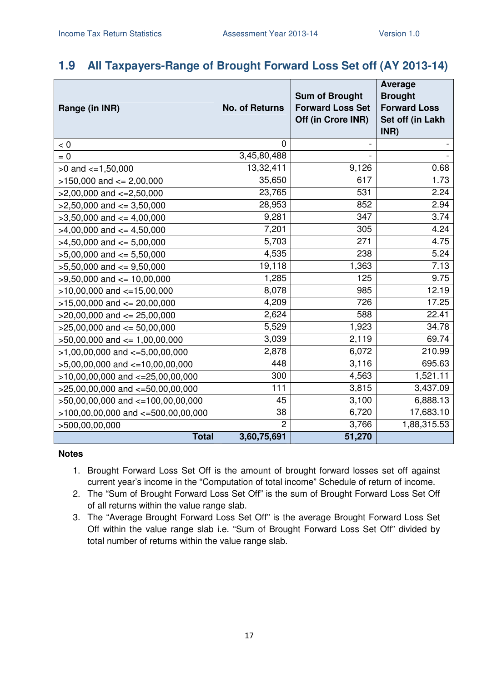## **1.9 All Taxpayers-Range of Brought Forward Loss Set off (AY 2013-14)**

| Range (in INR)                       | <b>No. of Returns</b> | <b>Sum of Brought</b><br><b>Forward Loss Set</b> | <b>Average</b><br><b>Brought</b><br><b>Forward Loss</b> |
|--------------------------------------|-----------------------|--------------------------------------------------|---------------------------------------------------------|
|                                      |                       | Off (in Crore INR)                               | Set off (in Lakh<br>INR)                                |
| < 0                                  | $\Omega$              |                                                  |                                                         |
| $= 0$                                | 3,45,80,488           |                                                  |                                                         |
| $>0$ and $\lt=1,50,000$              | 13,32,411             | 9,126                                            | 0.68                                                    |
| $>150,000$ and $<= 2,00,000$         | 35,650                | 617                                              | 1.73                                                    |
| $>2,00,000$ and $<=2,50,000$         | 23,765                | 531                                              | 2.24                                                    |
| $>2,50,000$ and $<=3,50,000$         | 28,953                | 852                                              | 2.94                                                    |
| $>3,50,000$ and $<= 4,00,000$        | 9,281                 | 347                                              | 3.74                                                    |
| $>4,00,000$ and $\leq 4,50,000$      | 7,201                 | 305                                              | 4.24                                                    |
| $>4,50,000$ and $<= 5,00,000$        | 5,703                 | 271                                              | 4.75                                                    |
| $>5,00,000$ and $<= 5,50,000$        | 4,535                 | 238                                              | 5.24                                                    |
| $>5,50,000$ and $<=9,50,000$         | 19,118                | 1,363                                            | 7.13                                                    |
| $>9,50,000$ and $<= 10,00,000$       | 1,285                 | 125                                              | 9.75                                                    |
| $>10,00,000$ and $<=15,00,000$       | 8,078                 | 985                                              | 12.19                                                   |
| $>15,00,000$ and $<= 20,00,000$      | 4,209                 | 726                                              | 17.25                                                   |
| $>20,00,000$ and $<= 25,00,000$      | 2,624                 | 588                                              | 22.41                                                   |
| $>25,00,000$ and $<= 50,00,000$      | 5,529                 | 1,923                                            | 34.78                                                   |
| $>50,00,000$ and $<= 1,00,00,000$    | 3,039                 | 2,119                                            | 69.74                                                   |
| $>1,00,00,000$ and $\lt=5,00,00,000$ | 2,878                 | 6,072                                            | 210.99                                                  |
| $>5,00,00,000$ and $<=10,00,00,000$  | 448                   | 3,116                                            | 695.63                                                  |
| $>10,00,00,000$ and $<=25,00,00,000$ | 300                   | 4,563                                            | 1,521.11                                                |
| $>25,00,00,000$ and $<=50,00,00,000$ | 111                   | 3,815                                            | 3,437.09                                                |
| >50,00,00,000 and <=100,00,00,000    | 45                    | 3,100                                            | 6,888.13                                                |
| >100,00,00,000 and <=500,00,00,000   | 38                    | 6,720                                            | 17,683.10                                               |
| >500,00,00,000                       | $\overline{2}$        | 3,766                                            | 1,88,315.53                                             |
| <b>Total</b>                         | 3,60,75,691           | 51,270                                           |                                                         |

- 1. Brought Forward Loss Set Off is the amount of brought forward losses set off against current year's income in the "Computation of total income" Schedule of return of income.
- 2. The "Sum of Brought Forward Loss Set Off" is the sum of Brought Forward Loss Set Off of all returns within the value range slab.
- 3. The "Average Brought Forward Loss Set Off" is the average Brought Forward Loss Set Off within the value range slab i.e. "Sum of Brought Forward Loss Set Off" divided by total number of returns within the value range slab.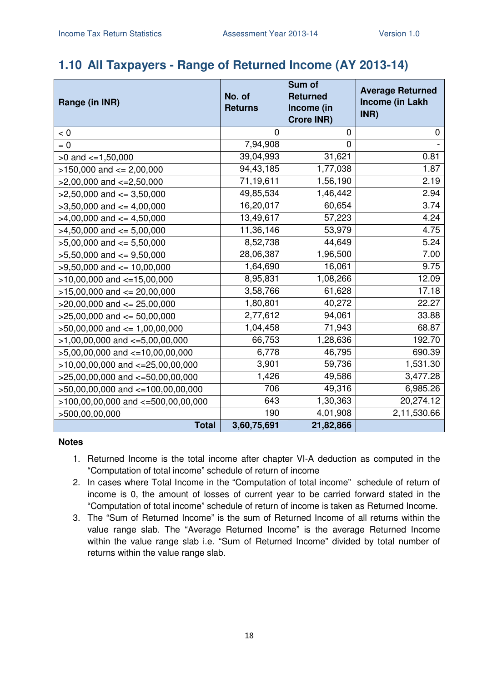### **1.10 All Taxpayers - Range of Returned Income (AY 2013-14)**

| Range (in INR)                        | No. of<br><b>Returns</b> | Sum of<br><b>Returned</b><br>Income (in<br><b>Crore INR)</b> | <b>Average Returned</b><br>Income (in Lakh<br>INR) |
|---------------------------------------|--------------------------|--------------------------------------------------------------|----------------------------------------------------|
| < 0                                   | $\overline{0}$           | $\mathbf 0$                                                  | 0                                                  |
| $= 0$                                 | 7,94,908                 | 0                                                            |                                                    |
| $>0$ and $\lt=1,50,000$               | 39,04,993                | 31,621                                                       | 0.81                                               |
| $>150,000$ and $<= 2,00,000$          | 94,43,185                | 1,77,038                                                     | 1.87                                               |
| $>2,00,000$ and $\lt=2,50,000$        | 71,19,611                | 1,56,190                                                     | 2.19                                               |
| $>2,50,000$ and $<=3,50,000$          | 49,85,534                | 1,46,442                                                     | 2.94                                               |
| $>3,50,000$ and $<=4,00,000$          | 16,20,017                | 60,654                                                       | 3.74                                               |
| $>4,00,000$ and $<=4,50,000$          | 13,49,617                | 57,223                                                       | 4.24                                               |
| $>4,50,000$ and $\leq 5,00,000$       | 11,36,146                | 53,979                                                       | 4.75                                               |
| $>5,00,000$ and $<= 5,50,000$         | 8,52,738                 | 44,649                                                       | 5.24                                               |
| $>5,50,000$ and $<=9,50,000$          | 28,06,387                | 1,96,500                                                     | 7.00                                               |
| $>9,50,000$ and $<= 10,00,000$        | 1,64,690                 | 16,061                                                       | 9.75                                               |
| $>10,00,000$ and $<-15,00,000$        | 8,95,831                 | 1,08,266                                                     | 12.09                                              |
| $>15,00,000$ and $<= 20,00,000$       | 3,58,766                 | 61,628                                                       | 17.18                                              |
| $>20,00,000$ and $<= 25,00,000$       | 1,80,801                 | 40,272                                                       | 22.27                                              |
| $>25,00,000$ and $<= 50,00,000$       | 2,77,612                 | 94,061                                                       | 33.88                                              |
| $>50,00,000$ and $<= 1,00,00,000$     | 1,04,458                 | 71,943                                                       | 68.87                                              |
| $>1,00,00,000$ and $\lt=5,00,00,000$  | 66,753                   | 1,28,636                                                     | 192.70                                             |
| $>5,00,00,000$ and $<-10,00,00,000$   | 6,778                    | 46,795                                                       | 690.39                                             |
| $>10,00,00,000$ and $<-25,00,00,000$  | 3,901                    | 59,736                                                       | 1,531.30                                           |
| $>25,00,00,000$ and $<=50,00,00,000$  | 1,426                    | 49,586                                                       | 3,477.28                                           |
| $>50,00,00,000$ and $<=100,00,00,000$ | 706                      | 49,316                                                       | 6,985.26                                           |
| >100,00,00,000 and <=500,00,00,000    | 643                      | 1,30,363                                                     | 20,274.12                                          |
| >500,00,00,000                        | 190                      | 4,01,908                                                     | 2,11,530.66                                        |
| <b>Total</b>                          | 3,60,75,691              | 21,82,866                                                    |                                                    |

- 1. Returned Income is the total income after chapter VI-A deduction as computed in the "Computation of total income" schedule of return of income
- 2. In cases where Total Income in the "Computation of total income" schedule of return of income is 0, the amount of losses of current year to be carried forward stated in the "Computation of total income" schedule of return of income is taken as Returned Income.
- 3. The "Sum of Returned Income" is the sum of Returned Income of all returns within the value range slab. The "Average Returned Income" is the average Returned Income within the value range slab i.e. "Sum of Returned Income" divided by total number of returns within the value range slab.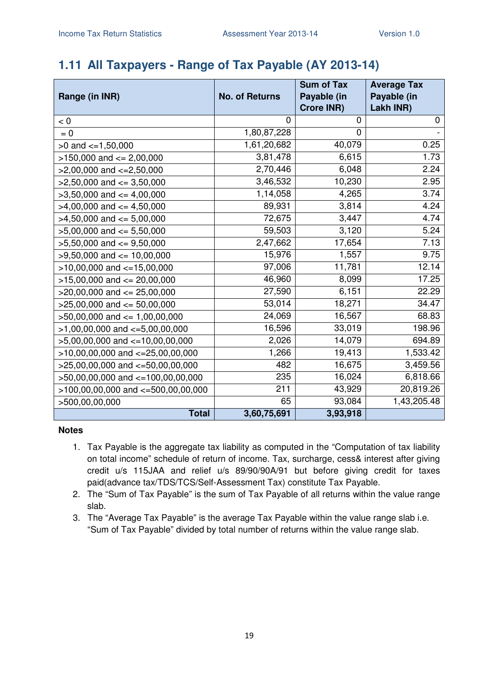## **1.11 All Taxpayers - Range of Tax Payable (AY 2013-14)**

|                                        |                       | <b>Sum of Tax</b> | <b>Average Tax</b> |
|----------------------------------------|-----------------------|-------------------|--------------------|
| Range (in INR)                         | <b>No. of Returns</b> | Payable (in       | Payable (in        |
|                                        |                       | <b>Crore INR)</b> | Lakh INR)          |
| < 0                                    | 0                     | 0                 | 0                  |
| $= 0$                                  | 1,80,87,228           | 0                 |                    |
| $>0$ and $\leq 1,50,000$               | 1,61,20,682           | 40,079            | 0.25               |
| $>150,000$ and $<= 2,00,000$           | 3,81,478              | 6,615             | 1.73               |
| $>2,00,000$ and $\lt=2,50,000$         | 2,70,446              | 6,048             | 2.24               |
| $>2,50,000$ and $<=3,50,000$           | 3,46,532              | 10,230            | 2.95               |
| $>3,50,000$ and $<=4,00,000$           | 1,14,058              | 4,265             | 3.74               |
| $>4,00,000$ and $\leq 4,50,000$        | 89,931                | 3,814             | 4.24               |
| $>4,50,000$ and $<= 5,00,000$          | 72,675                | 3,447             | 4.74               |
| $>5,00,000$ and $<= 5,50,000$          | 59,503                | 3,120             | 5.24               |
| $>5,50,000$ and $<=9,50,000$           | 2,47,662              | 17,654            | 7.13               |
| $>9,50,000$ and $<= 10,00,000$         | 15,976                | 1,557             | 9.75               |
| $>10,00,000$ and $<-15,00,000$         | 97,006                | 11,781            | 12.14              |
| $>15,00,000$ and $<= 20,00,000$        | 46,960                | 8,099             | 17.25              |
| $>20,00,000$ and $<= 25,00,000$        | 27,590                | 6,151             | 22.29              |
| $>25,00,000$ and $<= 50,00,000$        | 53,014                | 18,271            | 34.47              |
| $>50,00,000$ and $\leq 1,00,00,000$    | 24,069                | 16,567            | 68.83              |
| $>1,00,00,000$ and $\lt=5,00,00,000$   | 16,596                | 33,019            | 198.96             |
| $>5,00,00,000$ and $\lt=10,00,00,000$  | 2,026                 | 14,079            | 694.89             |
| $>10,00,00,000$ and $<-25,00,00,000$   | 1,266                 | 19,413            | 1,533.42           |
| $>25,00,00,000$ and $<=50,00,00,000$   | 482                   | 16,675            | 3,459.56           |
| >50,00,00,000 and <=100,00,00,000      | 235                   | 16,024            | 6,818.66           |
| $>100,00,00,000$ and $<-500,00,00,000$ | 211                   | 43,929            | 20,819.26          |
| >500,00,00,000                         | 65                    | 93,084            | 1,43,205.48        |
| <b>Total</b>                           | 3,60,75,691           | 3,93,918          |                    |

- 1. Tax Payable is the aggregate tax liability as computed in the "Computation of tax liability on total income" schedule of return of income. Tax, surcharge, cess& interest after giving credit u/s 115JAA and relief u/s 89/90/90A/91 but before giving credit for taxes paid(advance tax/TDS/TCS/Self-Assessment Tax) constitute Tax Payable.
- 2. The "Sum of Tax Payable" is the sum of Tax Payable of all returns within the value range slab.
- 3. The "Average Tax Payable" is the average Tax Payable within the value range slab i.e. "Sum of Tax Payable" divided by total number of returns within the value range slab.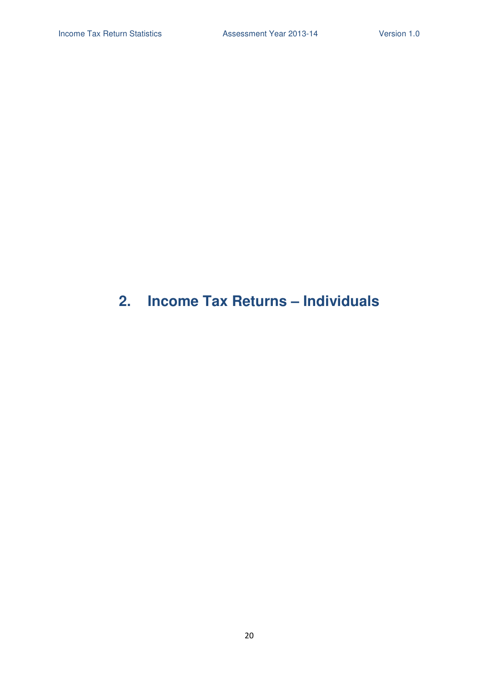# **2. Income Tax Returns – Individuals**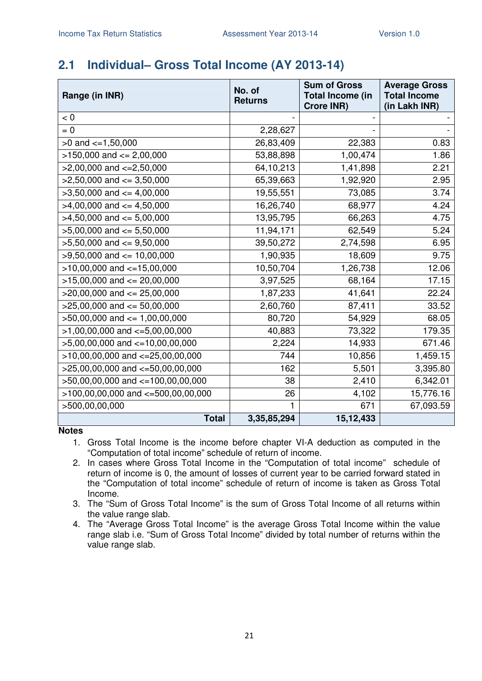# **2.1 Individual– Gross Total Income (AY 2013-14)**

| Range (in INR)                            | No. of<br><b>Returns</b> | <b>Sum of Gross</b><br><b>Total Income (in</b><br><b>Crore INR)</b> | <b>Average Gross</b><br><b>Total Income</b><br>(in Lakh INR) |
|-------------------------------------------|--------------------------|---------------------------------------------------------------------|--------------------------------------------------------------|
| < 0                                       |                          |                                                                     |                                                              |
| $= 0$                                     | 2,28,627                 |                                                                     |                                                              |
| $>0$ and $<=1,50,000$                     | 26,83,409                | 22,383                                                              | 0.83                                                         |
| $>150,000$ and $<= 2,00,000$              | 53,88,898                | 1,00,474                                                            | 1.86                                                         |
| $>2,00,000$ and $\lt=2,50,000$            | 64,10,213                | 1,41,898                                                            | 2.21                                                         |
| $>2,50,000$ and $<=3,50,000$              | 65,39,663                | 1,92,920                                                            | 2.95                                                         |
| $>3,50,000$ and $<=4,00,000$              | 19,55,551                | 73,085                                                              | 3.74                                                         |
| $>4.00,000$ and $<= 4,50,000$             | 16,26,740                | 68,977                                                              | 4.24                                                         |
| $>4,50,000$ and $\leq 5,00,000$           | 13,95,795                | 66,263                                                              | 4.75                                                         |
| $>5,00,000$ and $<= 5,50,000$             | 11,94,171                | 62,549                                                              | 5.24                                                         |
| $>5,50,000$ and $<=9,50,000$              | 39,50,272                | 2,74,598                                                            | 6.95                                                         |
| $>9,50,000$ and $\leq 10,00,000$          | 1,90,935                 | 18,609                                                              | 9.75                                                         |
| $>10,00,000$ and $<-15,00,000$            | 10,50,704                | 1,26,738                                                            | 12.06                                                        |
| $\sqrt{>15,00,000}$ and $\lt$ = 20,00,000 | 3,97,525                 | 68,164                                                              | 17.15                                                        |
| $>20,00,000$ and $<= 25,00,000$           | 1,87,233                 | 41,641                                                              | 22.24                                                        |
| $>25,00,000$ and $<= 50,00,000$           | 2,60,760                 | 87,411                                                              | 33.52                                                        |
| $>50,00,000$ and $<= 1,00,00,000$         | 80,720                   | 54,929                                                              | 68.05                                                        |
| $>1,00,00,000$ and $\lt=5,00,00,000$      | 40,883                   | 73,322                                                              | 179.35                                                       |
| $>5,00,00,000$ and $\lt=10,00,00,000$     | 2,224                    | 14,933                                                              | 671.46                                                       |
| $>10,00,00,000$ and $<=25,00,00,000$      | 744                      | 10,856                                                              | 1,459.15                                                     |
| $>25,00,00,000$ and $<=50,00,00,000$      | 162                      | 5,501                                                               | 3,395.80                                                     |
| >50,00,00,000 and <=100,00,00,000         | 38                       | 2,410                                                               | 6,342.01                                                     |
| $>100,00,00,000$ and $<=500,00,00,000$    | 26                       | 4,102                                                               | 15,776.16                                                    |
| >500,00,00,000                            | 1                        | 671                                                                 | 67,093.59                                                    |
| <b>Total</b>                              | 3,35,85,294              | 15, 12, 433                                                         |                                                              |

- 1. Gross Total Income is the income before chapter VI-A deduction as computed in the "Computation of total income" schedule of return of income.
- 2. In cases where Gross Total Income in the "Computation of total income" schedule of return of income is 0, the amount of losses of current year to be carried forward stated in the "Computation of total income" schedule of return of income is taken as Gross Total Income.
- 3. The "Sum of Gross Total Income" is the sum of Gross Total Income of all returns within the value range slab.
- 4. The "Average Gross Total Income" is the average Gross Total Income within the value range slab i.e. "Sum of Gross Total Income" divided by total number of returns within the value range slab.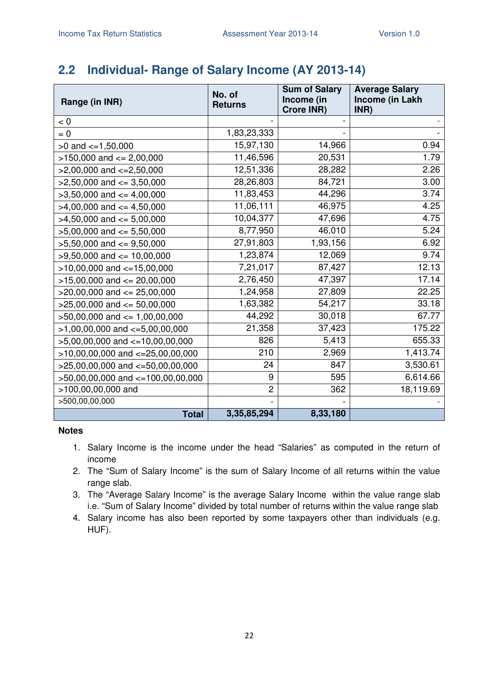# **2.2 Individual- Range of Salary Income (AY 2013-14)**

| Range (in INR)                        | No. of<br><b>Returns</b> | <b>Sum of Salary</b><br>Income (in<br><b>Crore INR)</b> | <b>Average Salary</b><br>Income (in Lakh<br>INR) |
|---------------------------------------|--------------------------|---------------------------------------------------------|--------------------------------------------------|
| < 0                                   |                          |                                                         |                                                  |
| $= 0$                                 | 1,83,23,333              |                                                         |                                                  |
| $>0$ and $\lt=1,50,000$               | 15,97,130                | 14,966                                                  | 0.94                                             |
| $>150,000$ and $<= 2,00,000$          | 11,46,596                | 20,531                                                  | 1.79                                             |
| $>2,00,000$ and $\lt=2,50,000$        | 12,51,336                | 28,282                                                  | 2.26                                             |
| $>2,50,000$ and $<=3,50,000$          | 28,26,803                | 84,721                                                  | 3.00                                             |
| $>3,50,000$ and $<=4,00,000$          | 11,83,453                | 44,296                                                  | 3.74                                             |
| $>4,00,000$ and $\leq 4,50,000$       | 11,06,111                | 46,975                                                  | 4.25                                             |
| $>4,50,000$ and $<=5,00,000$          | 10,04,377                | 47,696                                                  | 4.75                                             |
| $>5,00,000$ and $<= 5,50,000$         | 8,77,950                 | 46,010                                                  | 5.24                                             |
| $>5,50,000$ and $<=9,50,000$          | 27,91,803                | 1,93,156                                                | 6.92                                             |
| $>9,50,000$ and $\leq 10,00,000$      | 1,23,874                 | 12,069                                                  | 9.74                                             |
| $>10,00,000$ and $<-15,00,000$        | 7,21,017                 | 87,427                                                  | 12.13                                            |
| $>15,00,000$ and $<= 20,00,000$       | 2,76,450                 | 47,397                                                  | 17.14                                            |
| $>20,00,000$ and $<= 25,00,000$       | 1,24,958                 | 27,809                                                  | 22.25                                            |
| $>25,00,000$ and $<= 50,00,000$       | 1,63,382                 | 54,217                                                  | 33.18                                            |
| $>50,00,000$ and $\leq 1,00,00,000$   | 44,292                   | 30,018                                                  | 67.77                                            |
| $>1,00,00,000$ and $\lt=5,00,00,000$  | 21,358                   | 37,423                                                  | 175.22                                           |
| $>5,00,00,000$ and $<=10,00,00,000$   | 826                      | 5,413                                                   | 655.33                                           |
| $>10,00,00,000$ and $<-25,00,00,000$  | 210                      | 2,969                                                   | 1,413.74                                         |
| $>25,00,00,000$ and $<=50,00,00,000$  | 24                       | 847                                                     | 3,530.61                                         |
| $>50,00,00,000$ and $<=100,00,00,000$ | 9                        | 595                                                     | 6,614.66                                         |
| >100,00,00,000 and                    | $\overline{2}$           | 362                                                     | 18,119.69                                        |
| >500,00,00,000                        |                          |                                                         |                                                  |
| <b>Total</b>                          | 3,35,85,294              | 8,33,180                                                |                                                  |

- 1. Salary Income is the income under the head "Salaries" as computed in the return of income
- 2. The "Sum of Salary Income" is the sum of Salary Income of all returns within the value range slab.
- 3. The "Average Salary Income" is the average Salary Income within the value range slab i.e. "Sum of Salary Income" divided by total number of returns within the value range slab
- 4. Salary income has also been reported by some taxpayers other than individuals (e.g. HUF).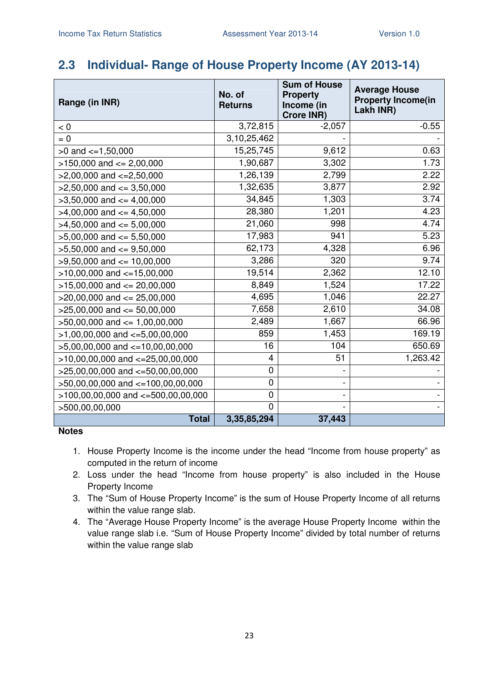# **2.3 Individual- Range of House Property Income (AY 2013-14)**

| Range (in INR)                         | No. of<br><b>Returns</b> | <b>Sum of House</b><br><b>Property</b><br>Income (in<br><b>Crore INR)</b> | <b>Average House</b><br><b>Property Income(in</b><br>Lakh INR) |
|----------------------------------------|--------------------------|---------------------------------------------------------------------------|----------------------------------------------------------------|
| < 0                                    | 3,72,815                 | $-2,057$                                                                  | $-0.55$                                                        |
| $= 0$                                  | 3, 10, 25, 462           |                                                                           |                                                                |
| $>0$ and $\lt=1,50,000$                | 15,25,745                | 9,612                                                                     | 0.63                                                           |
| $>150,000$ and $<= 2,00,000$           | 1,90,687                 | 3,302                                                                     | 1.73                                                           |
| $>2,00,000$ and $<=2,50,000$           | 1,26,139                 | 2,799                                                                     | 2.22                                                           |
| $>2,50,000$ and $<=3,50,000$           | 1,32,635                 | 3,877                                                                     | 2.92                                                           |
| $>3,50,000$ and $<= 4,00,000$          | 34,845                   | 1,303                                                                     | 3.74                                                           |
| $>4,00,000$ and $\leq 4,50,000$        | 28,380                   | 1,201                                                                     | 4.23                                                           |
| $>4,50,000$ and $<=5,00,000$           | 21,060                   | 998                                                                       | 4.74                                                           |
| $>5,00,000$ and $<= 5,50,000$          | 17,983                   | 941                                                                       | 5.23                                                           |
| $>5,50,000$ and $<=9,50,000$           | 62,173                   | 4,328                                                                     | 6.96                                                           |
| $>9,50,000$ and $\leq 10,00,000$       | 3,286                    | 320                                                                       | 9.74                                                           |
| $>10,00,000$ and $<-15,00,000$         | 19,514                   | 2,362                                                                     | 12.10                                                          |
| $>15,00,000$ and $<= 20,00,000$        | 8,849                    | 1,524                                                                     | 17.22                                                          |
| $>20,00,000$ and $<= 25,00,000$        | 4,695                    | 1,046                                                                     | 22.27                                                          |
| $>25,00,000$ and $<= 50,00,000$        | 7,658                    | 2,610                                                                     | 34.08                                                          |
| $>50,00,000$ and $<= 1,00,00,000$      | 2,489                    | 1,667                                                                     | 66.96                                                          |
| $>1,00,00,000$ and $\lt=5,00,00,000$   | 859                      | 1,453                                                                     | 169.19                                                         |
| $>5,00,00,000$ and $<=10,00,00,000$    | 16                       | 104                                                                       | 650.69                                                         |
| $>10,00,00,000$ and $<=25,00,00,000$   | 4                        | 51                                                                        | 1,263.42                                                       |
| $>25,00,00,000$ and $<=50,00,00,000$   | $\mathbf 0$              |                                                                           |                                                                |
| $>50,00,00,000$ and $<=100,00,00,000$  | $\mathbf 0$              |                                                                           |                                                                |
| $>100,00,00,000$ and $<-500,00,00,000$ | $\mathbf 0$              |                                                                           |                                                                |
| >500,00,00,000                         | $\mathbf 0$              |                                                                           |                                                                |
| <b>Total</b>                           | 3,35,85,294              | 37,443                                                                    |                                                                |

- 1. House Property Income is the income under the head "Income from house property" as computed in the return of income
- 2. Loss under the head "Income from house property" is also included in the House Property Income
- 3. The "Sum of House Property Income" is the sum of House Property Income of all returns within the value range slab.
- 4. The "Average House Property Income" is the average House Property Income within the value range slab i.e. "Sum of House Property Income" divided by total number of returns within the value range slab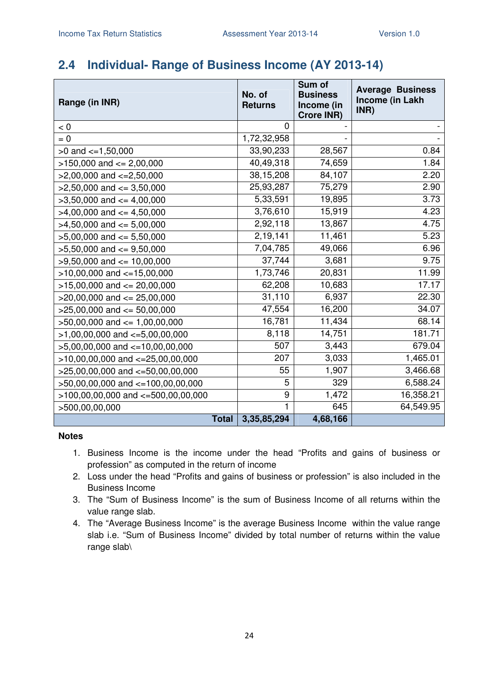## **2.4 Individual- Range of Business Income (AY 2013-14)**

| Range (in INR)                         | No. of<br><b>Returns</b> | Sum of<br><b>Business</b><br>Income (in<br><b>Crore INR)</b> | <b>Average Business</b><br><b>Income (in Lakh</b><br>INR) |
|----------------------------------------|--------------------------|--------------------------------------------------------------|-----------------------------------------------------------|
| < 0                                    | $\mathbf 0$              |                                                              |                                                           |
| $= 0$                                  | 1,72,32,958              |                                                              |                                                           |
| $>0$ and $\lt=1,50,000$                | 33,90,233                | 28,567                                                       | 0.84                                                      |
| $>150,000$ and $<= 2,00,000$           | 40,49,318                | 74,659                                                       | 1.84                                                      |
| $>2,00,000$ and $<=2,50,000$           | 38,15,208                | 84,107                                                       | 2.20                                                      |
| $>2,50,000$ and $<=3,50,000$           | 25,93,287                | 75,279                                                       | 2.90                                                      |
| $>3,50,000$ and $<=4,00,000$           | 5,33,591                 | 19,895                                                       | 3.73                                                      |
| $>4,00,000$ and $<=4,50,000$           | 3,76,610                 | 15,919                                                       | 4.23                                                      |
| $>4,50,000$ and $<=5,00,000$           | 2,92,118                 | 13,867                                                       | 4.75                                                      |
| $>5,00,000$ and $<= 5,50,000$          | 2,19,141                 | 11,461                                                       | 5.23                                                      |
| $>5,50,000$ and $<=9,50,000$           | 7,04,785                 | 49,066                                                       | 6.96                                                      |
| $>9,50,000$ and $\leq 10,00,000$       | 37,744                   | 3,681                                                        | 9.75                                                      |
| $>10,00,000$ and $<=15,00,000$         | 1,73,746                 | 20,831                                                       | 11.99                                                     |
| $>15,00,000$ and $<= 20,00,000$        | 62,208                   | 10,683                                                       | 17.17                                                     |
| $>20,00,000$ and $<= 25,00,000$        | 31,110                   | 6,937                                                        | 22.30                                                     |
| $>25,00,000$ and $<= 50,00,000$        | 47,554                   | 16,200                                                       | 34.07                                                     |
| $>50,00,000$ and $\leq 1,00,00,000$    | 16,781                   | 11,434                                                       | 68.14                                                     |
| $>1,00,00,000$ and $\lt=5,00,00,000$   | 8,118                    | 14,751                                                       | 181.71                                                    |
| $>5,00,00,000$ and $<=10,00,00,000$    | 507                      | 3,443                                                        | 679.04                                                    |
| $>10,00,00,000$ and $<-25,00,00,000$   | 207                      | 3,033                                                        | 1,465.01                                                  |
| $>25,00,00,000$ and $<-50,00,00,000$   | 55                       | 1,907                                                        | 3,466.68                                                  |
| $>50,00,00,000$ and $<=100,00,00,000$  | 5                        | 329                                                          | 6,588.24                                                  |
| $>100,00,00,000$ and $<=500,00,00,000$ | 9                        | 1,472                                                        | 16,358.21                                                 |
| >500,00,00,000                         | 1                        | 645                                                          | 64,549.95                                                 |
| <b>Total</b>                           | 3,35,85,294              | 4,68,166                                                     |                                                           |

- 1. Business Income is the income under the head "Profits and gains of business or profession" as computed in the return of income
- 2. Loss under the head "Profits and gains of business or profession" is also included in the Business Income
- 3. The "Sum of Business Income" is the sum of Business Income of all returns within the value range slab.
- 4. The "Average Business Income" is the average Business Income within the value range slab i.e. "Sum of Business Income" divided by total number of returns within the value range slab\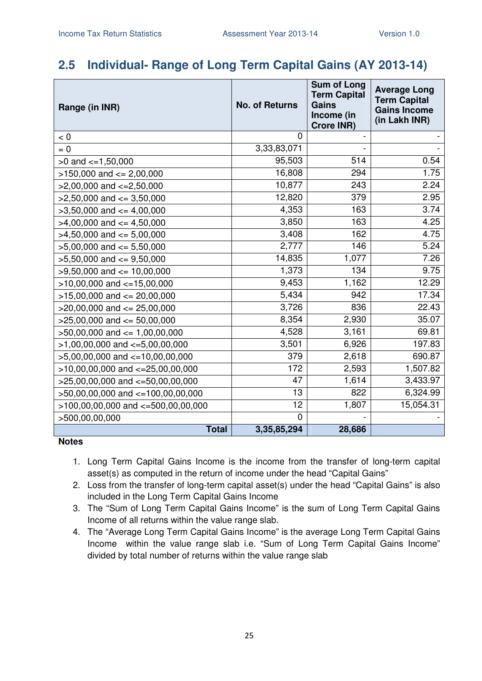# **2.5 Individual- Range of Long Term Capital Gains (AY 2013-14)**

| Range (in INR)                         | <b>No. of Returns</b> | <b>Sum of Long</b><br><b>Term Capital</b><br><b>Gains</b><br>Income (in<br><b>Crore INR)</b> | <b>Average Long</b><br><b>Term Capital</b><br><b>Gains Income</b><br>(in Lakh INR) |
|----------------------------------------|-----------------------|----------------------------------------------------------------------------------------------|------------------------------------------------------------------------------------|
| < 0                                    | $\mathbf 0$           |                                                                                              |                                                                                    |
| $= 0$                                  | 3,33,83,071           |                                                                                              |                                                                                    |
| $>0$ and $\lt=1,50,000$                | 95,503                | 514                                                                                          | 0.54                                                                               |
| $>150,000$ and $<= 2,00,000$           | 16,808                | 294                                                                                          | 1.75                                                                               |
| $>2,00,000$ and $<=2,50,000$           | 10,877                | 243                                                                                          | 2.24                                                                               |
| $>2,50,000$ and $<=3,50,000$           | 12,820                | 379                                                                                          | 2.95                                                                               |
| $>3,50,000$ and $<=4,00,000$           | 4,353                 | 163                                                                                          | 3.74                                                                               |
| $>4,00,000$ and $\leq 4,50,000$        | 3,850                 | 163                                                                                          | 4.25                                                                               |
| $>4,50,000$ and $<=5,00,000$           | 3,408                 | 162                                                                                          | 4.75                                                                               |
| $>5,00,000$ and $<= 5,50,000$          | 2,777                 | 146                                                                                          | 5.24                                                                               |
| $>5,50,000$ and $<=9,50,000$           | 14,835                | 1,077                                                                                        | 7.26                                                                               |
| $>9,50,000$ and $\leq 10,00,000$       | 1,373                 | 134                                                                                          | 9.75                                                                               |
| $>10,00,000$ and $<=15,00,000$         | 9,453                 | 1,162                                                                                        | 12.29                                                                              |
| $>15,00,000$ and $<= 20,00,000$        | 5,434                 | 942                                                                                          | 17.34                                                                              |
| $>20,00,000$ and $<= 25,00,000$        | 3,726                 | 836                                                                                          | 22.43                                                                              |
| $>25,00,000$ and $<= 50,00,000$        | 8,354                 | 2,930                                                                                        | 35.07                                                                              |
| $>50,00,000$ and $\leq 1,00,00,000$    | 4,528                 | 3,161                                                                                        | 69.81                                                                              |
| $>1,00,00,000$ and $\lt=5,00,00,000$   | 3,501                 | 6,926                                                                                        | 197.83                                                                             |
| $>5,00,00,000$ and $\lt=10,00,00,000$  | 379                   | 2,618                                                                                        | 690.87                                                                             |
| $>10,00,00,000$ and $<=25,00,00,000$   | 172                   | 2,593                                                                                        | 1,507.82                                                                           |
| >25,00,00,000 and <= 50,00,00,000      | 47                    | 1,614                                                                                        | 3,433.97                                                                           |
| >50,00,00,000 and <=100,00,00,000      | 13                    | 822                                                                                          | 6,324.99                                                                           |
| $>100,00,00,000$ and $<-500,00,00,000$ | 12                    | 1,807                                                                                        | 15,054.31                                                                          |
| >500,00,00,000                         | $\overline{0}$        |                                                                                              |                                                                                    |
| <b>Total</b>                           | 3,35,85,294           | 28,686                                                                                       |                                                                                    |

- 1. Long Term Capital Gains Income is the income from the transfer of long-term capital asset(s) as computed in the return of income under the head "Capital Gains"
- 2. Loss from the transfer of long-term capital asset(s) under the head "Capital Gains" is also included in the Long Term Capital Gains Income
- 3. The "Sum of Long Term Capital Gains Income" is the sum of Long Term Capital Gains Income of all returns within the value range slab.
- 4. The "Average Long Term Capital Gains Income" is the average Long Term Capital Gains Income within the value range slab i.e. "Sum of Long Term Capital Gains Income" divided by total number of returns within the value range slab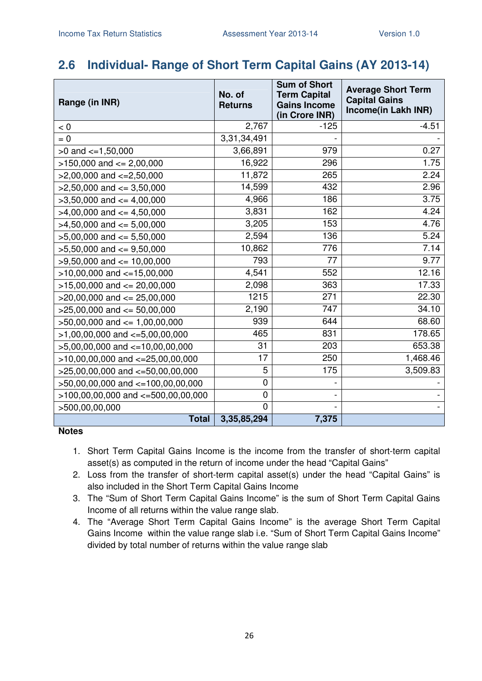# **2.6 Individual- Range of Short Term Capital Gains (AY 2013-14)**

| Range (in INR)                         | No. of<br><b>Returns</b> | <b>Sum of Short</b><br><b>Term Capital</b><br><b>Gains Income</b><br>(in Crore INR) | <b>Average Short Term</b><br><b>Capital Gains</b><br>Income(in Lakh INR) |
|----------------------------------------|--------------------------|-------------------------------------------------------------------------------------|--------------------------------------------------------------------------|
| < 0                                    | 2,767                    | $-125$                                                                              | $-4.51$                                                                  |
| $= 0$                                  | $\overline{3},31,34,491$ |                                                                                     |                                                                          |
| $>0$ and $\lt=1,50,000$                | 3,66,891                 | 979                                                                                 | 0.27                                                                     |
| $>150,000$ and $<= 2,00,000$           | 16,922                   | 296                                                                                 | 1.75                                                                     |
| $>2,00,000$ and $<=2,50,000$           | 11,872                   | 265                                                                                 | 2.24                                                                     |
| $>2,50,000$ and $<=3,50,000$           | 14,599                   | 432                                                                                 | 2.96                                                                     |
| $>3,50,000$ and $<=4,00,000$           | 4,966                    | 186                                                                                 | 3.75                                                                     |
| $>4,00,000$ and $\leq 4,50,000$        | 3,831                    | 162                                                                                 | 4.24                                                                     |
| $>4,50,000$ and $\leq 5,00,000$        | 3,205                    | 153                                                                                 | 4.76                                                                     |
| $>5,00,000$ and $<= 5,50,000$          | 2,594                    | 136                                                                                 | 5.24                                                                     |
| $>5,50,000$ and $<=9,50,000$           | 10,862                   | 776                                                                                 | 7.14                                                                     |
| $>9,50,000$ and $<= 10,00,000$         | 793                      | 77                                                                                  | 9.77                                                                     |
| $>10,00,000$ and $<-15,00,000$         | 4,541                    | 552                                                                                 | 12.16                                                                    |
| $>15,00,000$ and $<= 20,00,000$        | 2,098                    | 363                                                                                 | 17.33                                                                    |
| $>20,00,000$ and $<= 25,00,000$        | 1215                     | 271                                                                                 | 22.30                                                                    |
| $>25,00,000$ and $<= 50,00,000$        | 2,190                    | 747                                                                                 | 34.10                                                                    |
| $>50,00,000$ and $\leq 1,00,00,000$    | 939                      | 644                                                                                 | 68.60                                                                    |
| $>1,00,00,000$ and $\lt=5,00,00,000$   | 465                      | 831                                                                                 | 178.65                                                                   |
| $>5,00,00,000$ and $<=10,00,00,000$    | 31                       | 203                                                                                 | 653.38                                                                   |
| $>10,00,00,000$ and $<-25,00,00,000$   | 17                       | 250                                                                                 | 1,468.46                                                                 |
| $>25,00,00,000$ and $<=50,00,00,000$   | 5                        | 175                                                                                 | 3,509.83                                                                 |
| >50,00,00,000 and <=100,00,00,000      | $\mathbf 0$              |                                                                                     |                                                                          |
| $>100,00,00,000$ and $<-500,00,00,000$ | $\mathbf 0$              |                                                                                     |                                                                          |
| >500,00,00,000                         | $\overline{0}$           |                                                                                     |                                                                          |
| <b>Total</b>                           | 3,35,85,294              | 7,375                                                                               |                                                                          |

- 1. Short Term Capital Gains Income is the income from the transfer of short-term capital asset(s) as computed in the return of income under the head "Capital Gains"
- 2. Loss from the transfer of short-term capital asset(s) under the head "Capital Gains" is also included in the Short Term Capital Gains Income
- 3. The "Sum of Short Term Capital Gains Income" is the sum of Short Term Capital Gains Income of all returns within the value range slab.
- 4. The "Average Short Term Capital Gains Income" is the average Short Term Capital Gains Income within the value range slab i.e. "Sum of Short Term Capital Gains Income" divided by total number of returns within the value range slab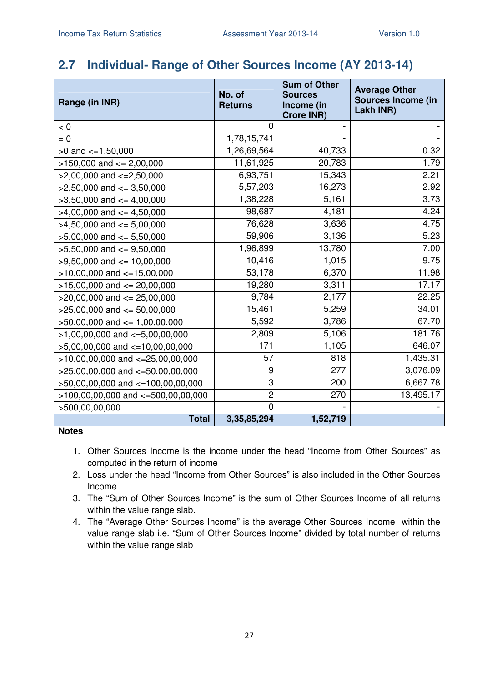# **2.7 Individual- Range of Other Sources Income (AY 2013-14)**

| Range (in INR)                         | No. of<br><b>Returns</b> | <b>Sum of Other</b><br><b>Sources</b><br>Income (in<br><b>Crore INR)</b> | <b>Average Other</b><br><b>Sources Income (in</b><br>Lakh INR) |
|----------------------------------------|--------------------------|--------------------------------------------------------------------------|----------------------------------------------------------------|
| < 0                                    | $\overline{0}$           |                                                                          |                                                                |
| $= 0$                                  | 1,78,15,741              |                                                                          |                                                                |
| $>0$ and $\lt=1,50,000$                | 1,26,69,564              | 40,733                                                                   | 0.32                                                           |
| $>150,000$ and $<= 2,00,000$           | 11,61,925                | 20,783                                                                   | 1.79                                                           |
| $>2,00,000$ and $<=2,50,000$           | 6,93,751                 | 15,343                                                                   | 2.21                                                           |
| $>2,50,000$ and $<=3,50,000$           | 5,57,203                 | 16,273                                                                   | 2.92                                                           |
| $>3,50,000$ and $<=4,00,000$           | 1,38,228                 | 5,161                                                                    | 3.73                                                           |
| $>4,00,000$ and $\leq 4,50,000$        | 98,687                   | 4,181                                                                    | 4.24                                                           |
| $>4,50,000$ and $<=5,00,000$           | 76,628                   | 3,636                                                                    | 4.75                                                           |
| $>5,00,000$ and $<= 5,50,000$          | 59,906                   | 3,136                                                                    | 5.23                                                           |
| $>5,50,000$ and $<=9,50,000$           | 1,96,899                 | 13,780                                                                   | 7.00                                                           |
| $>9,50,000$ and $\leq 10,00,000$       | 10,416                   | 1,015                                                                    | 9.75                                                           |
| $>10,00,000$ and $<-15,00,000$         | 53,178                   | 6,370                                                                    | 11.98                                                          |
| $>15,00,000$ and $<= 20,00,000$        | 19,280                   | 3,311                                                                    | 17.17                                                          |
| $>20,00,000$ and $<= 25,00,000$        | 9,784                    | 2,177                                                                    | 22.25                                                          |
| $>25,00,000$ and $<= 50,00,000$        | 15,461                   | 5,259                                                                    | 34.01                                                          |
| $>50,00,000$ and $<= 1,00,00,000$      | 5,592                    | 3,786                                                                    | 67.70                                                          |
| $>1,00,00,000$ and $\lt=5,00,00,000$   | 2,809                    | 5,106                                                                    | 181.76                                                         |
| $>5,00,00,000$ and $<=10,00,00,000$    | 171                      | 1,105                                                                    | 646.07                                                         |
| $>10,00,00,000$ and $<-25,00,00,000$   | 57                       | 818                                                                      | 1,435.31                                                       |
| $>25,00,00,000$ and $<=50,00,00,000$   | 9                        | 277                                                                      | 3,076.09                                                       |
| >50,00,00,000 and <=100,00,00,000      | 3                        | 200                                                                      | 6,667.78                                                       |
| $>100,00,00,000$ and $<-500,00,00,000$ | $\overline{c}$           | 270                                                                      | 13,495.17                                                      |
| >500,00,00,000                         | $\mathbf 0$              |                                                                          |                                                                |
| <b>Total</b>                           | 3,35,85,294              | 1,52,719                                                                 |                                                                |

- 1. Other Sources Income is the income under the head "Income from Other Sources" as computed in the return of income
- 2. Loss under the head "Income from Other Sources" is also included in the Other Sources Income
- 3. The "Sum of Other Sources Income" is the sum of Other Sources Income of all returns within the value range slab.
- 4. The "Average Other Sources Income" is the average Other Sources Income within the value range slab i.e. "Sum of Other Sources Income" divided by total number of returns within the value range slab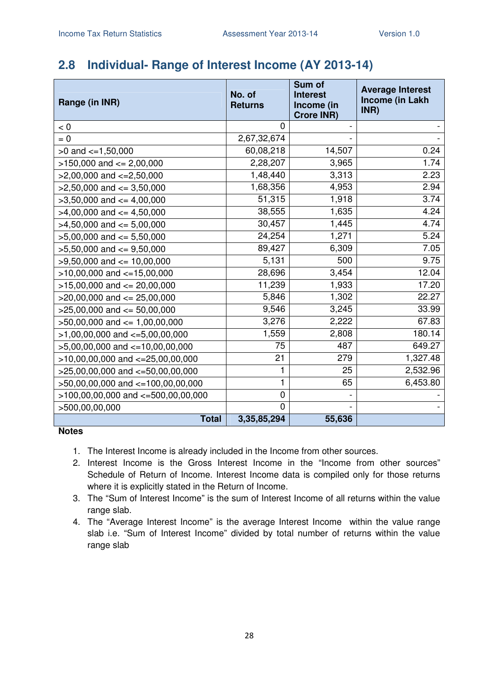## **2.8 Individual- Range of Interest Income (AY 2013-14)**

| Range (in INR)                           | No. of<br><b>Returns</b> | Sum of<br><b>Interest</b><br>Income (in<br><b>Crore INR)</b> | <b>Average Interest</b><br>Income (in Lakh<br>INR) |
|------------------------------------------|--------------------------|--------------------------------------------------------------|----------------------------------------------------|
| < 0                                      | 0                        |                                                              |                                                    |
| $= 0$                                    | 2,67,32,674              |                                                              |                                                    |
| $>0$ and $<=1,50,000$                    | 60,08,218                | 14,507                                                       | 0.24                                               |
| $>150,000$ and $<= 2,00,000$             | 2,28,207                 | 3,965                                                        | 1.74                                               |
| $>2,00,000$ and $\lt=2,50,000$           | 1,48,440                 | 3,313                                                        | 2.23                                               |
| $>2,50,000$ and $<=3,50,000$             | 1,68,356                 | 4,953                                                        | 2.94                                               |
| $>3,50,000$ and $\leq 4,00,000$          | 51,315                   | 1,918                                                        | 3.74                                               |
| $>4,00,000$ and $\leq 4,50,000$          | 38,555                   | 1,635                                                        | 4.24                                               |
| $>4,50,000$ and $<= 5,00,000$            | 30,457                   | 1,445                                                        | 4.74                                               |
| $>5,00,000$ and $<= 5,50,000$            | 24,254                   | 1,271                                                        | 5.24                                               |
| $>5,50,000$ and $<=9,50,000$             | 89,427                   | 6,309                                                        | 7.05                                               |
| $>9,50,000$ and $\leq 10,00,000$         | 5,131                    | 500                                                          | 9.75                                               |
| $>10,00,000$ and $<-15,00,000$           | 28,696                   | 3,454                                                        | 12.04                                              |
| $>15,00,000$ and $<= 20,00,000$          | 11,239                   | 1,933                                                        | 17.20                                              |
| $>20,00,000$ and $<= 25,00,000$          | 5,846                    | 1,302                                                        | 22.27                                              |
| $>25,00,000$ and $<= 50,00,000$          | 9,546                    | 3,245                                                        | 33.99                                              |
| $>50,00,000$ and $<= 1,00,00,000$        | 3,276                    | 2,222                                                        | 67.83                                              |
| $>1,00,00,000$ and $\lt=5,00,00,000$     | 1,559                    | 2,808                                                        | 180.14                                             |
| $>5,00,00,000$ and $<-10,00,00,000$      | 75                       | 487                                                          | 649.27                                             |
| $>10,00,00,000$ and $<=25,00,00,000$     | 21                       | 279                                                          | 1,327.48                                           |
| $>25,00,00,000$ and $<-50,00,00,000$     | 1                        | 25                                                           | 2,532.96                                           |
| >50,00,00,000 and <=100,00,00,000        | 1                        | 65                                                           | 6,453.80                                           |
| $>100,00,00,000$ and $\lt=500,00,00,000$ | 0                        |                                                              |                                                    |
| >500,00,00,000                           | $\overline{0}$           |                                                              |                                                    |
| <b>Total</b>                             | 3,35,85,294              | 55,636                                                       |                                                    |

- 1. The Interest Income is already included in the Income from other sources.
- 2. Interest Income is the Gross Interest Income in the "Income from other sources" Schedule of Return of Income. Interest Income data is compiled only for those returns where it is explicitly stated in the Return of Income.
- 3. The "Sum of Interest Income" is the sum of Interest Income of all returns within the value range slab.
- 4. The "Average Interest Income" is the average Interest Income within the value range slab i.e. "Sum of Interest Income" divided by total number of returns within the value range slab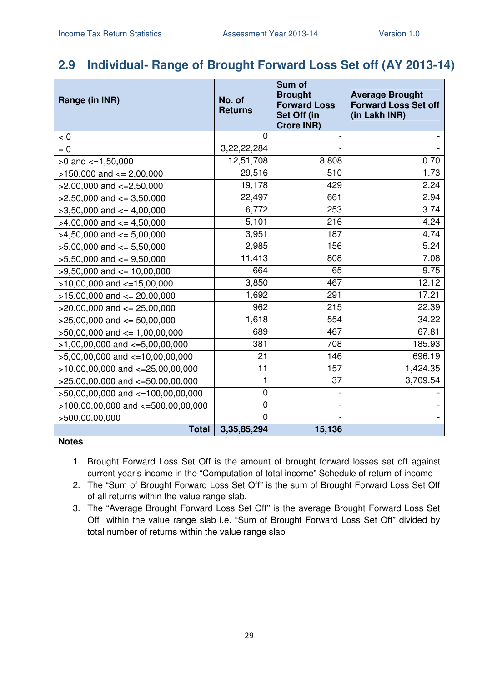# **2.9 Individual- Range of Brought Forward Loss Set off (AY 2013-14)**

| Range (in INR)                         | No. of<br><b>Returns</b> | Sum of<br><b>Brought</b><br><b>Forward Loss</b><br>Set Off (in<br><b>Crore INR)</b> | <b>Average Brought</b><br><b>Forward Loss Set off</b><br>(in Lakh INR) |
|----------------------------------------|--------------------------|-------------------------------------------------------------------------------------|------------------------------------------------------------------------|
| < 0                                    | $\Omega$                 |                                                                                     |                                                                        |
| $= 0$                                  | 3,22,22,284              |                                                                                     |                                                                        |
| $>0$ and $\lt=1,50,000$                | 12,51,708                | 8,808                                                                               | 0.70                                                                   |
| $>150,000$ and $<= 2,00,000$           | 29,516                   | 510                                                                                 | 1.73                                                                   |
| $>2,00,000$ and $\lt=2,50,000$         | 19,178                   | 429                                                                                 | 2.24                                                                   |
| $>2,50,000$ and $<=3,50,000$           | 22,497                   | 661                                                                                 | 2.94                                                                   |
| $>3,50,000$ and $<=4,00,000$           | 6,772                    | 253                                                                                 | 3.74                                                                   |
| $>4,00,000$ and $<=4,50,000$           | 5,101                    | 216                                                                                 | 4.24                                                                   |
| $>4,50,000$ and $<=5,00,000$           | 3,951                    | 187                                                                                 | 4.74                                                                   |
| $>5,00,000$ and $<= 5,50,000$          | 2,985                    | 156                                                                                 | 5.24                                                                   |
| $>5,50,000$ and $<=9,50,000$           | 11,413                   | 808                                                                                 | 7.08                                                                   |
| $>9,50,000$ and $<= 10,00,000$         | 664                      | 65                                                                                  | 9.75                                                                   |
| $>10,00,000$ and $<-15,00,000$         | 3,850                    | 467                                                                                 | 12.12                                                                  |
| $>15,00,000$ and $<= 20,00,000$        | 1,692                    | 291                                                                                 | 17.21                                                                  |
| $>20,00,000$ and $<= 25,00,000$        | 962                      | 215                                                                                 | 22.39                                                                  |
| $>25,00,000$ and $<= 50,00,000$        | 1,618                    | 554                                                                                 | 34.22                                                                  |
| $>50,00,000$ and $<= 1,00,00,000$      | 689                      | 467                                                                                 | 67.81                                                                  |
| $>1,00,00,000$ and $\lt=5,00,00,000$   | 381                      | 708                                                                                 | 185.93                                                                 |
| $>5,00,00,000$ and $<-10,00,00,000$    | 21                       | 146                                                                                 | 696.19                                                                 |
| $>10,00,00,000$ and $<=25,00,00,000$   | 11                       | 157                                                                                 | 1,424.35                                                               |
| $>25,00,00,000$ and $<-50,00,00,000$   | 1                        | 37                                                                                  | 3,709.54                                                               |
| >50,00,00,000 and <=100,00,00,000      | 0                        |                                                                                     |                                                                        |
| $>100,00,00,000$ and $<-500,00,00,000$ | 0                        |                                                                                     |                                                                        |
| >500,00,00,000                         | 0                        |                                                                                     |                                                                        |
| <b>Total</b>                           | 3,35,85,294              | 15,136                                                                              |                                                                        |

- 1. Brought Forward Loss Set Off is the amount of brought forward losses set off against current year's income in the "Computation of total income" Schedule of return of income
- 2. The "Sum of Brought Forward Loss Set Off" is the sum of Brought Forward Loss Set Off of all returns within the value range slab.
- 3. The "Average Brought Forward Loss Set Off" is the average Brought Forward Loss Set Off within the value range slab i.e. "Sum of Brought Forward Loss Set Off" divided by total number of returns within the value range slab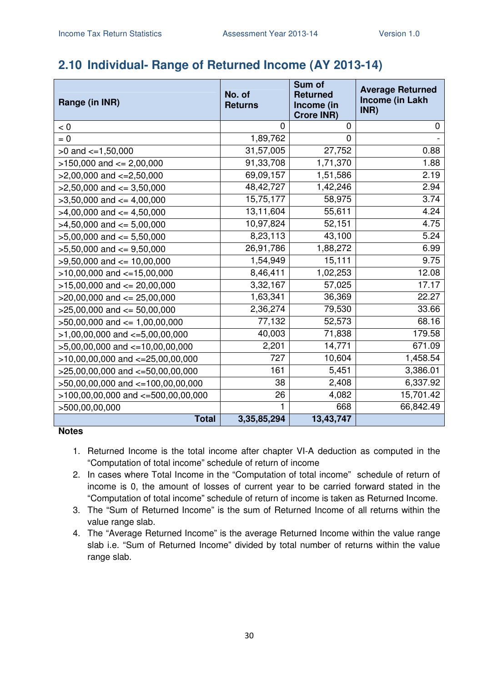### **2.10 Individual- Range of Returned Income (AY 2013-14)**

| Range (in INR)                         | No. of<br><b>Returns</b> | Sum of<br><b>Returned</b><br>Income (in<br><b>Crore INR)</b> | <b>Average Returned</b><br><b>Income (in Lakh</b><br>INR) |
|----------------------------------------|--------------------------|--------------------------------------------------------------|-----------------------------------------------------------|
| < 0                                    | $\Omega$                 | 0                                                            | 0                                                         |
| $= 0$                                  | 1,89,762                 | $\overline{0}$                                               |                                                           |
| $>0$ and $\lt=1,50,000$                | 31,57,005                | 27,752                                                       | 0.88                                                      |
| $>150,000$ and $<= 2,00,000$           | 91,33,708                | 1,71,370                                                     | 1.88                                                      |
| $>2,00,000$ and $<=2,50,000$           | 69,09,157                | 1,51,586                                                     | 2.19                                                      |
| $>2,50,000$ and $<=3,50,000$           | 48, 42, 727              | 1,42,246                                                     | 2.94                                                      |
| $>3,50,000$ and $<= 4,00,000$          | 15,75,177                | 58,975                                                       | 3.74                                                      |
| $>4,00,000$ and $<=4,50,000$           | 13,11,604                | 55,611                                                       | 4.24                                                      |
| $>4,50,000$ and $<= 5,00,000$          | 10,97,824                | 52,151                                                       | 4.75                                                      |
| $>5,00,000$ and $<= 5,50,000$          | 8,23,113                 | 43,100                                                       | 5.24                                                      |
| $>5,50,000$ and $<=9,50,000$           | 26,91,786                | 1,88,272                                                     | 6.99                                                      |
| $>9,50,000$ and $\leq 10,00,000$       | 1,54,949                 | 15,111                                                       | 9.75                                                      |
| $>10,00,000$ and $<-15,00,000$         | 8,46,411                 | 1,02,253                                                     | 12.08                                                     |
| $>15,00,000$ and $<= 20,00,000$        | 3,32,167                 | 57,025                                                       | 17.17                                                     |
| $>20,00,000$ and $<= 25,00,000$        | 1,63,341                 | 36,369                                                       | 22.27                                                     |
| $>25,00,000$ and $<= 50,00,000$        | 2,36,274                 | 79,530                                                       | 33.66                                                     |
| $>50,00,000$ and $<= 1,00,00,000$      | 77,132                   | 52,573                                                       | 68.16                                                     |
| $>1,00,00,000$ and $\lt=5,00,00,000$   | 40,003                   | 71,838                                                       | 179.58                                                    |
| $>5,00,00,000$ and $\lt=10,00,00,000$  | 2,201                    | 14,771                                                       | 671.09                                                    |
| $>10,00,00,000$ and $<-25,00,00,000$   | 727                      | 10,604                                                       | 1,458.54                                                  |
| $>25,00,00,000$ and $<-50,00,00,000$   | 161                      | 5,451                                                        | 3,386.01                                                  |
| >50,00,00,000 and <=100,00,00,000      | 38                       | 2,408                                                        | 6,337.92                                                  |
| $>100,00,00,000$ and $<=500,00,00,000$ | 26                       | 4,082                                                        | 15,701.42                                                 |
| >500,00,00,000                         | 1                        | 668                                                          | 66,842.49                                                 |
| <b>Total</b>                           | 3,35,85,294              | 13,43,747                                                    |                                                           |

- 1. Returned Income is the total income after chapter VI-A deduction as computed in the "Computation of total income" schedule of return of income
- 2. In cases where Total Income in the "Computation of total income" schedule of return of income is 0, the amount of losses of current year to be carried forward stated in the "Computation of total income" schedule of return of income is taken as Returned Income.
- 3. The "Sum of Returned Income" is the sum of Returned Income of all returns within the value range slab.
- 4. The "Average Returned Income" is the average Returned Income within the value range slab i.e. "Sum of Returned Income" divided by total number of returns within the value range slab.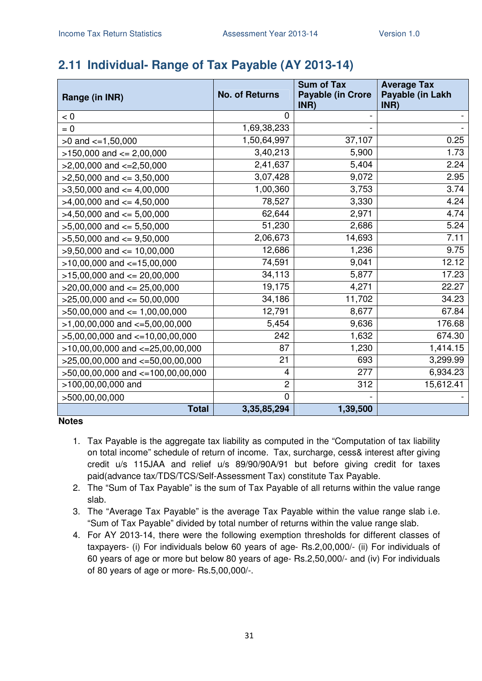# **2.11 Individual- Range of Tax Payable (AY 2013-14)**

| Range (in INR)                        | <b>No. of Returns</b> | <b>Sum of Tax</b><br><b>Payable (in Crore</b><br>INR) | <b>Average Tax</b><br>Payable (in Lakh<br>INR) |
|---------------------------------------|-----------------------|-------------------------------------------------------|------------------------------------------------|
| < 0                                   | 0                     |                                                       |                                                |
| $= 0$                                 | 1,69,38,233           |                                                       |                                                |
| $>0$ and $\leq$ =1,50,000             | 1,50,64,997           | 37,107                                                | 0.25                                           |
| $>150,000$ and $<= 2,00,000$          | 3,40,213              | 5,900                                                 | 1.73                                           |
| $>2,00,000$ and $\lt=2,50,000$        | 2,41,637              | 5,404                                                 | 2.24                                           |
| $>2,50,000$ and $<=3,50,000$          | 3,07,428              | 9,072                                                 | 2.95                                           |
| $>3,50,000$ and $<=4,00,000$          | 1,00,360              | 3,753                                                 | 3.74                                           |
| $>4,00,000$ and $\lt=4,50,000$        | 78,527                | 3,330                                                 | 4.24                                           |
| $>4,50,000$ and $<= 5,00,000$         | 62,644                | 2,971                                                 | 4.74                                           |
| $>5,00,000$ and $<= 5,50,000$         | 51,230                | 2,686                                                 | 5.24                                           |
| $>5,50,000$ and $<=9,50,000$          | 2,06,673              | 14,693                                                | 7.11                                           |
| $>9,50,000$ and $<= 10,00,000$        | 12,686                | 1,236                                                 | 9.75                                           |
| $>10,00,000$ and $<-15,00,000$        | 74,591                | 9,041                                                 | 12.12                                          |
| $>15,00,000$ and $<= 20,00,000$       | 34,113                | 5,877                                                 | 17.23                                          |
| $>20,00,000$ and $<= 25,00,000$       | 19,175                | 4,271                                                 | 22.27                                          |
| $>25,00,000$ and $<= 50,00,000$       | 34,186                | 11,702                                                | 34.23                                          |
| $>50,00,000$ and $\leq 1,00,00,000$   | 12,791                | 8,677                                                 | 67.84                                          |
| $>1,00,00,000$ and $\lt=5,00,00,000$  | 5,454                 | 9,636                                                 | 176.68                                         |
| $>5,00,00,000$ and $\lt=10,00,00,000$ | 242                   | 1,632                                                 | 674.30                                         |
| $>10,00,00,000$ and $<-25,00,00,000$  | 87                    | 1,230                                                 | 1,414.15                                       |
| $>25,00,00,000$ and $<=50,00,00,000$  | 21                    | 693                                                   | 3,299.99                                       |
| $>50,00,00,000$ and $<=100,00,00,000$ | 4                     | 277                                                   | 6,934.23                                       |
| >100,00,00,000 and                    | $\overline{c}$        | 312                                                   | 15,612.41                                      |
| >500,00,00,000                        | $\mathbf 0$           |                                                       |                                                |
| <b>Total</b>                          | 3,35,85,294           | 1,39,500                                              |                                                |

- 1. Tax Payable is the aggregate tax liability as computed in the "Computation of tax liability on total income" schedule of return of income. Tax, surcharge, cess& interest after giving credit u/s 115JAA and relief u/s 89/90/90A/91 but before giving credit for taxes paid(advance tax/TDS/TCS/Self-Assessment Tax) constitute Tax Payable.
- 2. The "Sum of Tax Payable" is the sum of Tax Payable of all returns within the value range slab.
- 3. The "Average Tax Payable" is the average Tax Payable within the value range slab i.e. "Sum of Tax Payable" divided by total number of returns within the value range slab.
- 4. For AY 2013-14, there were the following exemption thresholds for different classes of taxpayers- (i) For individuals below 60 years of age- Rs.2,00,000/- (ii) For individuals of 60 years of age or more but below 80 years of age- Rs.2,50,000/- and (iv) For individuals of 80 years of age or more- Rs.5,00,000/-.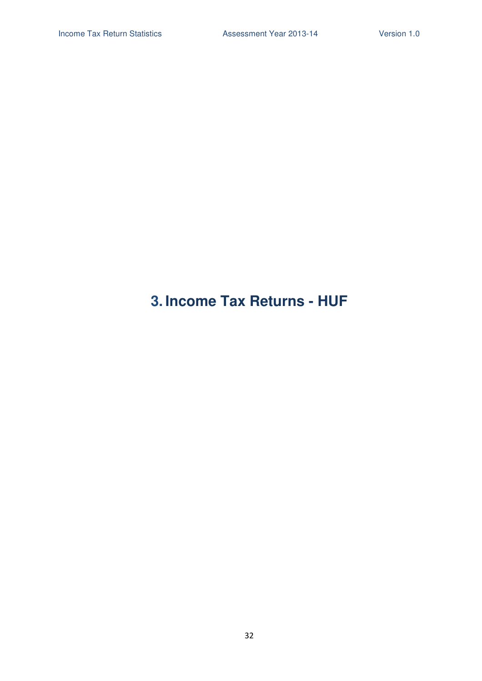# **3. Income Tax Returns - HUF**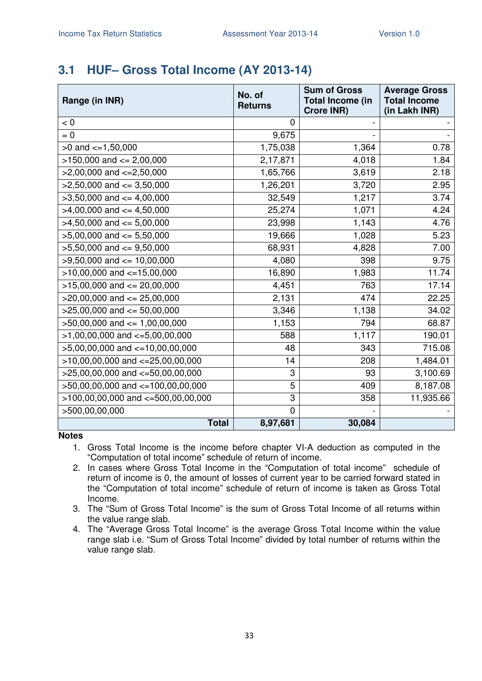## **3.1 HUF– Gross Total Income (AY 2013-14)**

| Range (in INR)                                | No. of<br><b>Returns</b> | <b>Sum of Gross</b><br><b>Total Income (in</b><br><b>Crore INR)</b> | <b>Average Gross</b><br><b>Total Income</b><br>(in Lakh INR) |
|-----------------------------------------------|--------------------------|---------------------------------------------------------------------|--------------------------------------------------------------|
| < 0                                           | 0                        |                                                                     |                                                              |
| $= 0$                                         | 9,675                    |                                                                     |                                                              |
| $>0$ and $\lt=1,50,000$                       | 1,75,038                 | 1,364                                                               | 0.78                                                         |
| $>150,000$ and $<= 2,00,000$                  | 2,17,871                 | 4,018                                                               | 1.84                                                         |
| $>2,00,000$ and $<=2,50,000$                  | 1,65,766                 | 3,619                                                               | 2.18                                                         |
| $>2,50,000$ and $<=3,50,000$                  | 1,26,201                 | 3,720                                                               | 2.95                                                         |
| $>3,50,000$ and $<=4,00,000$                  | 32,549                   | 1,217                                                               | 3.74                                                         |
| $>4,00,000$ and $\leq 4,50,000$               | 25,274                   | 1,071                                                               | 4.24                                                         |
| $>4,50,000$ and $\leq 5,00,000$               | 23,998                   | 1,143                                                               | 4.76                                                         |
| $>5,00,000$ and $<= 5,50,000$                 | 19,666                   | 1,028                                                               | 5.23                                                         |
| $>5,50,000$ and $<=9,50,000$                  | 68,931                   | 4,828                                                               | 7.00                                                         |
| $>9,50,000$ and $\leq 10,00,000$              | 4,080                    | 398                                                                 | 9.75                                                         |
| $\overline{>10,00,000}$ and $\leq$ =15,00,000 | 16,890                   | 1,983                                                               | 11.74                                                        |
| $>15,00,000$ and $<= 20,00,000$               | 4,451                    | 763                                                                 | 17.14                                                        |
| $>20,00,000$ and $<= 25,00,000$               | 2,131                    | 474                                                                 | 22.25                                                        |
| $>25,00,000$ and $<= 50,00,000$               | 3,346                    | 1,138                                                               | 34.02                                                        |
| $>50,00,000$ and $\leq 1,00,00,000$           | 1,153                    | 794                                                                 | 68.87                                                        |
| $>1,00,00,000$ and $\lt=5,00,00,000$          | 588                      | 1,117                                                               | 190.01                                                       |
| $>5,00,00,000$ and $\lt=10,00,00,000$         | 48                       | 343                                                                 | 715.08                                                       |
| $>10,00,00,000$ and $<=25,00,00,000$          | 14                       | 208                                                                 | 1,484.01                                                     |
| $>25,00,00,000$ and $<=50,00,00,000$          | 3                        | 93                                                                  | 3,100.69                                                     |
| >50,00,00,000 and <=100,00,00,000             | 5                        | 409                                                                 | 8,187.08                                                     |
| $>100,00,00,000$ and $<-500,00,00,000$        | 3                        | 358                                                                 | 11,935.66                                                    |
| >500,00,00,000                                | $\overline{0}$           |                                                                     |                                                              |
| <b>Total</b>                                  | 8,97,681                 | 30,084                                                              |                                                              |

- 1. Gross Total Income is the income before chapter VI-A deduction as computed in the "Computation of total income" schedule of return of income.
- 2. In cases where Gross Total Income in the "Computation of total income" schedule of return of income is 0, the amount of losses of current year to be carried forward stated in the "Computation of total income" schedule of return of income is taken as Gross Total Income.
- 3. The "Sum of Gross Total Income" is the sum of Gross Total Income of all returns within the value range slab.
- 4. The "Average Gross Total Income" is the average Gross Total Income within the value range slab i.e. "Sum of Gross Total Income" divided by total number of returns within the value range slab.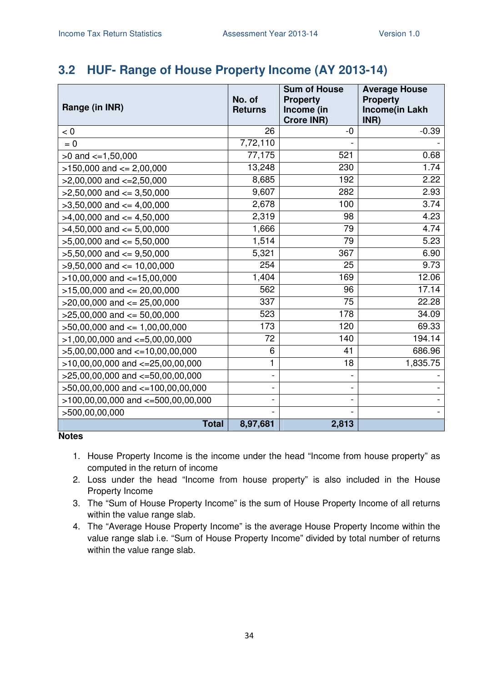# **3.2 HUF- Range of House Property Income (AY 2013-14)**

| Range (in INR)                         | No. of<br><b>Returns</b> | <b>Sum of House</b><br><b>Property</b><br>Income (in<br><b>Crore INR)</b> | <b>Average House</b><br><b>Property</b><br><b>Income(in Lakh</b><br>INR) |
|----------------------------------------|--------------------------|---------------------------------------------------------------------------|--------------------------------------------------------------------------|
| < 0                                    | 26                       | -0                                                                        | $-0.39$                                                                  |
| $= 0$                                  | 7,72,110                 |                                                                           |                                                                          |
| $>0$ and $\leq 1,50,000$               | 77,175                   | 521                                                                       | 0.68                                                                     |
| $>150,000$ and $<= 2,00,000$           | 13,248                   | 230                                                                       | 1.74                                                                     |
| $>2,00,000$ and $<=2,50,000$           | 8,685                    | 192                                                                       | 2.22                                                                     |
| $>2,50,000$ and $<=3,50,000$           | 9,607                    | 282                                                                       | 2.93                                                                     |
| $>3,50,000$ and $\lt=4,00,000$         | 2,678                    | 100                                                                       | 3.74                                                                     |
| $>4,00,000$ and $\leq 4,50,000$        | 2,319                    | 98                                                                        | 4.23                                                                     |
| $>4,50,000$ and $\leq 5,00,000$        | 1,666                    | 79                                                                        | 4.74                                                                     |
| $>5,00,000$ and $<= 5,50,000$          | 1,514                    | 79                                                                        | 5.23                                                                     |
| $>5,50,000$ and $<=9,50,000$           | 5,321                    | 367                                                                       | 6.90                                                                     |
| $>9,50,000$ and $\leq 10,00,000$       | 254                      | 25                                                                        | 9.73                                                                     |
| $>10,00,000$ and $<-15,00,000$         | 1,404                    | 169                                                                       | 12.06                                                                    |
| $>15,00,000$ and $<= 20,00,000$        | 562                      | 96                                                                        | 17.14                                                                    |
| $>20,00,000$ and $\leq$ 25,00,000      | 337                      | 75                                                                        | 22.28                                                                    |
| $>25,00,000$ and $<= 50,00,000$        | 523                      | 178                                                                       | 34.09                                                                    |
| $>50,00,000$ and $<= 1,00,00,000$      | 173                      | 120                                                                       | 69.33                                                                    |
| $>1,00,00,000$ and $\lt=5,00,00,000$   | 72                       | 140                                                                       | 194.14                                                                   |
| $>5,00,00,000$ and $\lt=10,00,00,000$  | 6                        | 41                                                                        | 686.96                                                                   |
| $>10,00,00,000$ and $<=25,00,00,000$   | 1                        | 18                                                                        | 1,835.75                                                                 |
| $>25,00,00,000$ and $<-50,00,00,000$   |                          |                                                                           |                                                                          |
| >50,00,00,000 and <=100,00,00,000      |                          |                                                                           |                                                                          |
| $>100,00,00,000$ and $<-500,00,00,000$ |                          |                                                                           |                                                                          |
| >500,00,00,000                         |                          |                                                                           |                                                                          |
| <b>Total</b>                           | 8,97,681                 | 2,813                                                                     |                                                                          |

- 1. House Property Income is the income under the head "Income from house property" as computed in the return of income
- 2. Loss under the head "Income from house property" is also included in the House Property Income
- 3. The "Sum of House Property Income" is the sum of House Property Income of all returns within the value range slab.
- 4. The "Average House Property Income" is the average House Property Income within the value range slab i.e. "Sum of House Property Income" divided by total number of returns within the value range slab.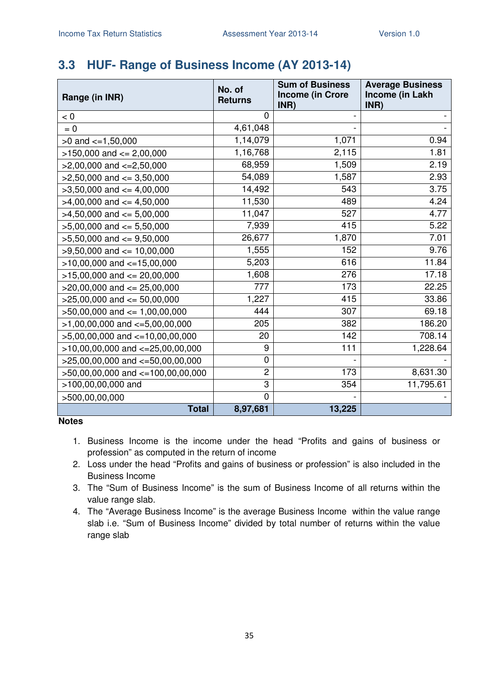# **3.3 HUF- Range of Business Income (AY 2013-14)**

| Range (in INR)                        | No. of<br><b>Returns</b> | <b>Sum of Business</b><br><b>Income (in Crore</b><br>INR) | <b>Average Business</b><br>Income (in Lakh<br>INR) |
|---------------------------------------|--------------------------|-----------------------------------------------------------|----------------------------------------------------|
| < 0                                   | 0                        |                                                           |                                                    |
| $= 0$                                 | 4,61,048                 |                                                           |                                                    |
| $>0$ and $\lt=1,50,000$               | 1,14,079                 | 1,071                                                     | 0.94                                               |
| $>150,000$ and $<= 2,00,000$          | 1,16,768                 | 2,115                                                     | 1.81                                               |
| $>2,00,000$ and $\lt=2,50,000$        | 68,959                   | 1,509                                                     | 2.19                                               |
| $>2,50,000$ and $\leq$ 3,50,000       | 54,089                   | 1,587                                                     | 2.93                                               |
| $>3,50,000$ and $<=4,00,000$          | 14,492                   | 543                                                       | 3.75                                               |
| $>4,00,000$ and $\lt=4,50,000$        | 11,530                   | 489                                                       | 4.24                                               |
| $>4,50,000$ and $<=5,00,000$          | 11,047                   | 527                                                       | 4.77                                               |
| $>5,00,000$ and $<= 5,50,000$         | 7,939                    | 415                                                       | 5.22                                               |
| $>5,50,000$ and $<=9,50,000$          | 26,677                   | 1,870                                                     | 7.01                                               |
| $>9,50,000$ and $<= 10,00,000$        | 1,555                    | 152                                                       | 9.76                                               |
| $>10,00,000$ and $<-15,00,000$        | 5,203                    | 616                                                       | 11.84                                              |
| $>15,00,000$ and $<= 20,00,000$       | 1,608                    | 276                                                       | 17.18                                              |
| $>20,00,000$ and $\leq$ 25,00,000     | 777                      | 173                                                       | 22.25                                              |
| $>25,00,000$ and $<= 50,00,000$       | 1,227                    | 415                                                       | 33.86                                              |
| $>50,00,000$ and $<= 1,00,00,000$     | 444                      | 307                                                       | 69.18                                              |
| $>1,00,00,000$ and $\lt=5,00,00,000$  | 205                      | 382                                                       | 186.20                                             |
| $>5,00,00,000$ and $\lt=10,00,00,000$ | 20                       | 142                                                       | 708.14                                             |
| $>10,00,00,000$ and $<=25,00,00,000$  | 9                        | 111                                                       | 1,228.64                                           |
| $>25,00,00,000$ and $<=50,00,00,000$  | 0                        |                                                           |                                                    |
| $>50,00,00,000$ and $<=100,00,00,000$ | $\overline{c}$           | 173                                                       | 8,631.30                                           |
| >100,00,00,000 and                    | 3                        | 354                                                       | 11,795.61                                          |
| >500,00,00,000                        | $\mathbf 0$              |                                                           |                                                    |
| <b>Total</b>                          | 8,97,681                 | 13,225                                                    |                                                    |

- 1. Business Income is the income under the head "Profits and gains of business or profession" as computed in the return of income
- 2. Loss under the head "Profits and gains of business or profession" is also included in the Business Income
- 3. The "Sum of Business Income" is the sum of Business Income of all returns within the value range slab.
- 4. The "Average Business Income" is the average Business Income within the value range slab i.e. "Sum of Business Income" divided by total number of returns within the value range slab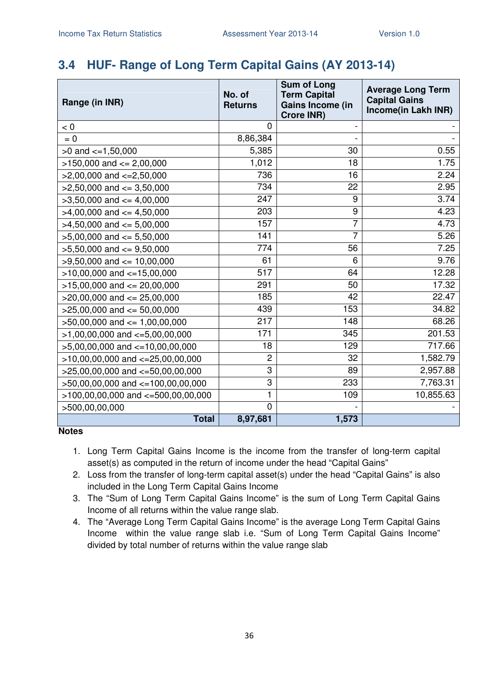### **3.4 HUF- Range of Long Term Capital Gains (AY 2013-14)**

| Range (in INR)                         | No. of<br><b>Returns</b> | <b>Sum of Long</b><br><b>Term Capital</b><br>Gains Income (in<br><b>Crore INR)</b> | <b>Average Long Term</b><br><b>Capital Gains</b><br>Income(in Lakh INR) |
|----------------------------------------|--------------------------|------------------------------------------------------------------------------------|-------------------------------------------------------------------------|
| < 0                                    | $\mathbf{0}$             |                                                                                    |                                                                         |
| $= 0$                                  | 8,86,384                 |                                                                                    |                                                                         |
| $>0$ and $\lt=1,50,000$                | 5,385                    | 30                                                                                 | 0.55                                                                    |
| $>150,000$ and $<= 2,00,000$           | 1,012                    | 18                                                                                 | 1.75                                                                    |
| $>2,00,000$ and $<=2,50,000$           | 736                      | 16                                                                                 | 2.24                                                                    |
| $>2,50,000$ and $<=3,50,000$           | 734                      | 22                                                                                 | 2.95                                                                    |
| $>3,50,000$ and $<=4,00,000$           | 247                      | 9                                                                                  | 3.74                                                                    |
| $>4,00,000$ and $\lt=4,50,000$         | 203                      | 9                                                                                  | 4.23                                                                    |
| $>4,50,000$ and $<= 5,00,000$          | 157                      | $\overline{7}$                                                                     | 4.73                                                                    |
| $>5,00,000$ and $<= 5,50,000$          | 141                      | 7                                                                                  | 5.26                                                                    |
| $>5,50,000$ and $<=9,50,000$           | 774                      | 56                                                                                 | 7.25                                                                    |
| $>9,50,000$ and $<= 10,00,000$         | 61                       | 6                                                                                  | 9.76                                                                    |
| $>10,00,000$ and $\lt=15,00,000$       | 517                      | 64                                                                                 | 12.28                                                                   |
| $>15,00,000$ and $<= 20,00,000$        | 291                      | 50                                                                                 | 17.32                                                                   |
| $>20,00,000$ and $\leq$ 25,00,000      | 185                      | 42                                                                                 | 22.47                                                                   |
| $>25,00,000$ and $<= 50,00,000$        | 439                      | 153                                                                                | 34.82                                                                   |
| $>50,00,000$ and $\leq 1,00,00,000$    | 217                      | 148                                                                                | 68.26                                                                   |
| $>1,00,00,000$ and $\lt=5,00,00,000$   | 171                      | 345                                                                                | 201.53                                                                  |
| $>5,00,00,000$ and $<=10,00,00,000$    | 18                       | 129                                                                                | 717.66                                                                  |
| $>10,00,00,000$ and $<-25,00,00,000$   | $\overline{c}$           | 32                                                                                 | 1,582.79                                                                |
| $>25,00,00,000$ and $<-50,00,00,000$   | $\overline{3}$           | 89                                                                                 | 2,957.88                                                                |
| >50,00,00,000 and <=100,00,00,000      | 3                        | 233                                                                                | 7,763.31                                                                |
| $>100,00,00,000$ and $<=500,00,00,000$ | 1                        | 109                                                                                | 10,855.63                                                               |
| >500,00,00,000                         | $\overline{0}$           |                                                                                    |                                                                         |
| <b>Total</b>                           | 8,97,681                 | 1,573                                                                              |                                                                         |

- 1. Long Term Capital Gains Income is the income from the transfer of long-term capital asset(s) as computed in the return of income under the head "Capital Gains"
- 2. Loss from the transfer of long-term capital asset(s) under the head "Capital Gains" is also included in the Long Term Capital Gains Income
- 3. The "Sum of Long Term Capital Gains Income" is the sum of Long Term Capital Gains Income of all returns within the value range slab.
- 4. The "Average Long Term Capital Gains Income" is the average Long Term Capital Gains Income within the value range slab i.e. "Sum of Long Term Capital Gains Income" divided by total number of returns within the value range slab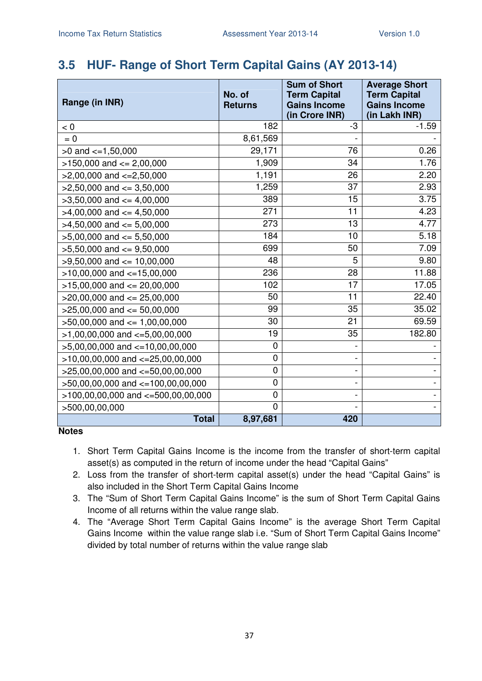### **3.5 HUF- Range of Short Term Capital Gains (AY 2013-14)**

| Range (in INR)                       | No. of<br><b>Returns</b> | <b>Sum of Short</b><br><b>Term Capital</b><br><b>Gains Income</b><br>(in Crore INR) | <b>Average Short</b><br><b>Term Capital</b><br><b>Gains Income</b><br>(in Lakh INR) |
|--------------------------------------|--------------------------|-------------------------------------------------------------------------------------|-------------------------------------------------------------------------------------|
| < 0                                  | 182                      | -3                                                                                  | $-1.59$                                                                             |
| $= 0$                                | 8,61,569                 |                                                                                     |                                                                                     |
| $>0$ and $\lt=1,50,000$              | 29,171                   | 76                                                                                  | 0.26                                                                                |
| $>150,000$ and $<= 2,00,000$         | 1,909                    | 34                                                                                  | 1.76                                                                                |
| $>2,00,000$ and $<=2,50,000$         | 1,191                    | 26                                                                                  | 2.20                                                                                |
| $>2,50,000$ and $\leq 3,50,000$      | 1,259                    | 37                                                                                  | 2.93                                                                                |
| $>3,50,000$ and $\leq 4,00,000$      | 389                      | 15                                                                                  | 3.75                                                                                |
| $>4,00,000$ and $\leq 4,50,000$      | 271                      | 11                                                                                  | 4.23                                                                                |
| $>4,50,000$ and $<=5,00,000$         | 273                      | 13                                                                                  | 4.77                                                                                |
| $>5,00,000$ and $<= 5,50,000$        | 184                      | 10                                                                                  | 5.18                                                                                |
| $>5,50,000$ and $<=9,50,000$         | 699                      | 50                                                                                  | 7.09                                                                                |
| $>9,50,000$ and $\leq 10,00,000$     | 48                       | 5                                                                                   | 9.80                                                                                |
| $>10,00,000$ and $<-15,00,000$       | 236                      | 28                                                                                  | 11.88                                                                               |
| $>15,00,000$ and $<= 20,00,000$      | 102                      | 17                                                                                  | 17.05                                                                               |
| $>20,00,000$ and $\leq$ 25,00,000    | 50                       | 11                                                                                  | 22.40                                                                               |
| $>25,00,000$ and $<= 50,00,000$      | 99                       | 35                                                                                  | 35.02                                                                               |
| $>50,00,000$ and $\leq 1,00,00,000$  | 30                       | 21                                                                                  | 69.59                                                                               |
| $>1,00,00,000$ and $\lt=5,00,00,000$ | 19                       | $\overline{35}$                                                                     | 182.80                                                                              |
| $>5,00,00,000$ and $<=10,00,00,000$  | 0                        |                                                                                     |                                                                                     |
| $>10,00,00,000$ and $<=25,00,00,000$ | 0                        | $\overline{\phantom{0}}$                                                            |                                                                                     |
| $>25,00,00,000$ and $<-50,00,00,000$ | 0                        | -                                                                                   |                                                                                     |
| >50,00,00,000 and <=100,00,00,000    | 0                        | $\qquad \qquad -$                                                                   |                                                                                     |
| >100,00,00,000 and <=500,00,00,000   | 0                        | -                                                                                   |                                                                                     |
| >500,00,00,000                       | 0                        |                                                                                     |                                                                                     |
| <b>Total</b>                         | 8,97,681                 | 420                                                                                 |                                                                                     |

- 1. Short Term Capital Gains Income is the income from the transfer of short-term capital asset(s) as computed in the return of income under the head "Capital Gains"
- 2. Loss from the transfer of short-term capital asset(s) under the head "Capital Gains" is also included in the Short Term Capital Gains Income
- 3. The "Sum of Short Term Capital Gains Income" is the sum of Short Term Capital Gains Income of all returns within the value range slab.
- 4. The "Average Short Term Capital Gains Income" is the average Short Term Capital Gains Income within the value range slab i.e. "Sum of Short Term Capital Gains Income" divided by total number of returns within the value range slab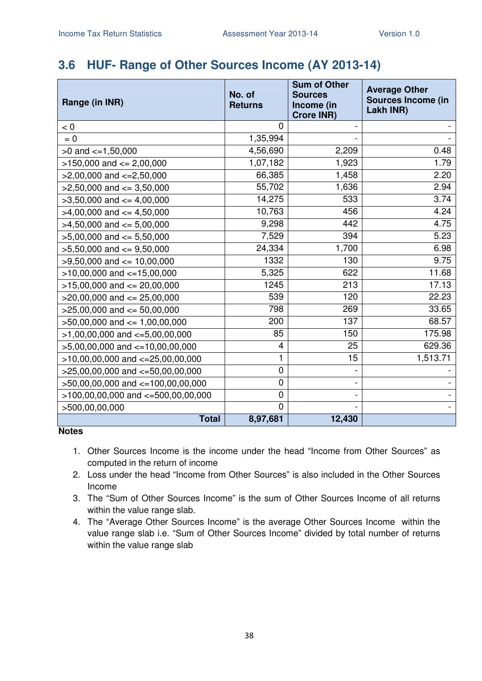#### **3.6 HUF- Range of Other Sources Income (AY 2013-14)**

| Range (in INR)                       | No. of<br><b>Returns</b> | <b>Sum of Other</b><br><b>Sources</b><br>Income (in<br><b>Crore INR)</b> | <b>Average Other</b><br><b>Sources Income (in</b><br>Lakh INR) |
|--------------------------------------|--------------------------|--------------------------------------------------------------------------|----------------------------------------------------------------|
| < 0                                  | 0                        |                                                                          |                                                                |
| $= 0$                                | 1,35,994                 |                                                                          |                                                                |
| $>0$ and $\lt=1,50,000$              | 4,56,690                 | 2,209                                                                    | 0.48                                                           |
| $>150,000$ and $<= 2,00,000$         | 1,07,182                 | 1,923                                                                    | 1.79                                                           |
| $>2,00,000$ and $<=2,50,000$         | 66,385                   | 1,458                                                                    | 2.20                                                           |
| $>2,50,000$ and $\leq$ 3,50,000      | 55,702                   | 1,636                                                                    | 2.94                                                           |
| $>3,50,000$ and $<=4,00,000$         | 14,275                   | 533                                                                      | 3.74                                                           |
| $>4,00,000$ and $\lt=4,50,000$       | 10,763                   | 456                                                                      | 4.24                                                           |
| $>4,50,000$ and $<=5,00,000$         | 9,298                    | 442                                                                      | 4.75                                                           |
| $>5,00,000$ and $<= 5,50,000$        | 7,529                    | 394                                                                      | 5.23                                                           |
| $>5,50,000$ and $<=9,50,000$         | 24,334                   | 1,700                                                                    | 6.98                                                           |
| $>9,50,000$ and $<= 10,00,000$       | 1332                     | 130                                                                      | 9.75                                                           |
| $>10,00,000$ and $<=15,00,000$       | 5,325                    | 622                                                                      | 11.68                                                          |
| $>15,00,000$ and $<= 20,00,000$      | 1245                     | 213                                                                      | 17.13                                                          |
| $>20,00,000$ and $<= 25,00,000$      | 539                      | 120                                                                      | 22.23                                                          |
| $>25,00,000$ and $<= 50,00,000$      | 798                      | 269                                                                      | 33.65                                                          |
| $>50,00,000$ and $\leq 1,00,00,000$  | 200                      | 137                                                                      | 68.57                                                          |
| $>1,00,00,000$ and $\lt=5,00,00,000$ | 85                       | 150                                                                      | 175.98                                                         |
| $>5,00,00,000$ and $<=10,00,00,000$  | 4                        | 25                                                                       | 629.36                                                         |
| $>10,00,00,000$ and $<-25,00,00,000$ | 1                        | 15                                                                       | 1,513.71                                                       |
| $>25,00,00,000$ and $<=50,00,00,000$ | 0                        |                                                                          |                                                                |
| >50,00,00,000 and <=100,00,00,000    | 0                        |                                                                          |                                                                |
| >100,00,00,000 and <=500,00,00,000   | $\pmb{0}$                |                                                                          |                                                                |
| >500,00,00,000                       | $\mathbf 0$              |                                                                          |                                                                |
| <b>Total</b>                         | 8,97,681                 | 12,430                                                                   |                                                                |

- 1. Other Sources Income is the income under the head "Income from Other Sources" as computed in the return of income
- 2. Loss under the head "Income from Other Sources" is also included in the Other Sources Income
- 3. The "Sum of Other Sources Income" is the sum of Other Sources Income of all returns within the value range slab.
- 4. The "Average Other Sources Income" is the average Other Sources Income within the value range slab i.e. "Sum of Other Sources Income" divided by total number of returns within the value range slab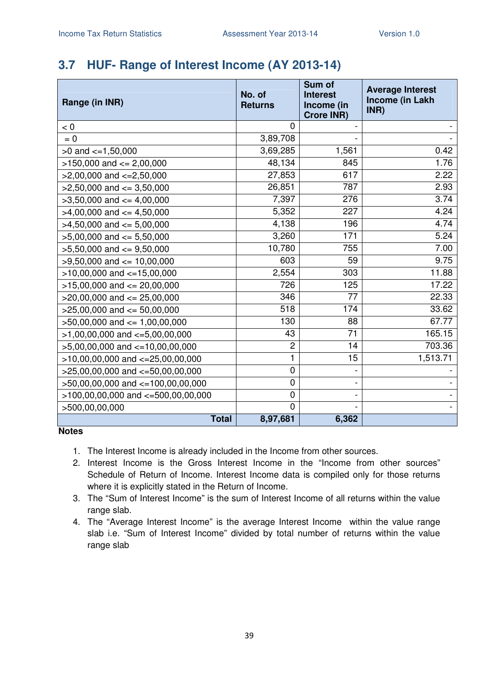### **3.7 HUF- Range of Interest Income (AY 2013-14)**

| Range (in INR)                         | No. of<br><b>Returns</b> | Sum of<br><b>Interest</b><br>Income (in<br><b>Crore INR)</b> | <b>Average Interest</b><br>Income (in Lakh<br>INR) |
|----------------------------------------|--------------------------|--------------------------------------------------------------|----------------------------------------------------|
| < 0                                    | 0                        |                                                              |                                                    |
| $= 0$                                  | 3,89,708                 |                                                              |                                                    |
| $>0$ and $\lt=1,50,000$                | 3,69,285                 | 1,561                                                        | 0.42                                               |
| $>150,000$ and $<= 2,00,000$           | 48,134                   | 845                                                          | 1.76                                               |
| $>2,00,000$ and $\lt=2,50,000$         | 27,853                   | 617                                                          | 2.22                                               |
| $>2,50,000$ and $<=3,50,000$           | 26,851                   | 787                                                          | 2.93                                               |
| $>3,50,000$ and $<=4,00,000$           | 7,397                    | 276                                                          | 3.74                                               |
| $>4,00,000$ and $\lt=4,50,000$         | 5,352                    | 227                                                          | 4.24                                               |
| $>4,50,000$ and $\leq 5,00,000$        | 4,138                    | 196                                                          | 4.74                                               |
| $>5,00,000$ and $<= 5,50,000$          | 3,260                    | 171                                                          | 5.24                                               |
| $>5,50,000$ and $<=9,50,000$           | 10,780                   | 755                                                          | 7.00                                               |
| $>9,50,000$ and $<= 10,00,000$         | 603                      | 59                                                           | 9.75                                               |
| $>10,00,000$ and $<-15,00,000$         | 2,554                    | 303                                                          | 11.88                                              |
| $>15,00,000$ and $<= 20,00,000$        | 726                      | 125                                                          | 17.22                                              |
| $>20,00,000$ and $\leq$ 25,00,000      | 346                      | 77                                                           | 22.33                                              |
| $>25,00,000$ and $<= 50,00,000$        | 518                      | 174                                                          | 33.62                                              |
| $>50,00,000$ and $<= 1,00,00,000$      | 130                      | 88                                                           | 67.77                                              |
| $>1,00,00,000$ and $\lt=5,00,00,000$   | 43                       | $\overline{71}$                                              | 165.15                                             |
| >5,00,00,000 and <=10,00,00,000        | $\overline{c}$           | 14                                                           | 703.36                                             |
| $>10,00,00,000$ and $<=25,00,00,000$   | 1                        | 15                                                           | 1,513.71                                           |
| $>25,00,00,000$ and $<=50,00,00,000$   | $\mathbf 0$              |                                                              |                                                    |
| >50,00,00,000 and <=100,00,00,000      | 0                        |                                                              |                                                    |
| $>100,00,00,000$ and $<-500,00,00,000$ | 0                        |                                                              |                                                    |
| >500,00,00,000                         | $\Omega$                 |                                                              |                                                    |
| <b>Total</b>                           | 8,97,681                 | 6,362                                                        |                                                    |

- 1. The Interest Income is already included in the Income from other sources.
- 2. Interest Income is the Gross Interest Income in the "Income from other sources" Schedule of Return of Income. Interest Income data is compiled only for those returns where it is explicitly stated in the Return of Income.
- 3. The "Sum of Interest Income" is the sum of Interest Income of all returns within the value range slab.
- 4. The "Average Interest Income" is the average Interest Income within the value range slab i.e. "Sum of Interest Income" divided by total number of returns within the value range slab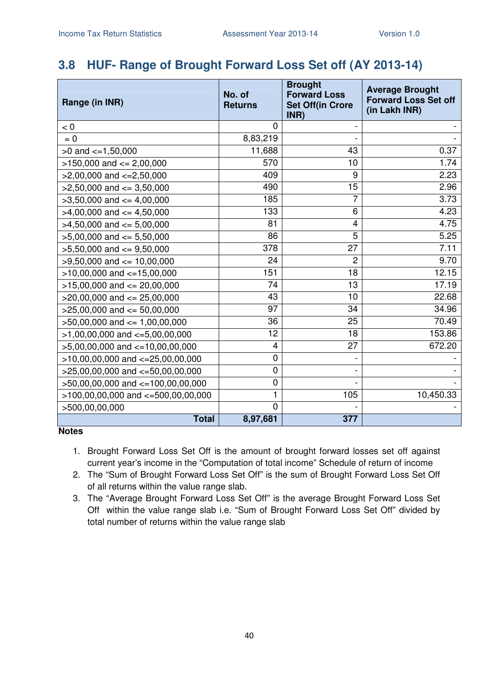### **3.8 HUF- Range of Brought Forward Loss Set off (AY 2013-14)**

| Range (in INR)                         | No. of<br><b>Returns</b> | <b>Brought</b><br><b>Forward Loss</b><br><b>Set Off(in Crore</b><br>INR) | <b>Average Brought</b><br><b>Forward Loss Set off</b><br>(in Lakh INR) |
|----------------------------------------|--------------------------|--------------------------------------------------------------------------|------------------------------------------------------------------------|
| < 0                                    | $\overline{0}$           |                                                                          |                                                                        |
| $= 0$                                  | 8,83,219                 |                                                                          |                                                                        |
| $>0$ and $<=1,50,000$                  | 11,688                   | 43                                                                       | 0.37                                                                   |
| $>150,000$ and $<= 2,00,000$           | 570                      | 10                                                                       | 1.74                                                                   |
| $>2,00,000$ and $\lt=2,50,000$         | 409                      | 9                                                                        | 2.23                                                                   |
| $>2,50,000$ and $\leq$ 3,50,000        | 490                      | 15                                                                       | 2.96                                                                   |
| $>3,50,000$ and $<=4,00,000$           | 185                      | 7                                                                        | 3.73                                                                   |
| $>4,00,000$ and $\lt=4,50,000$         | 133                      | 6                                                                        | 4.23                                                                   |
| $>4,50,000$ and $<=5,00,000$           | 81                       | $\overline{\mathbf{4}}$                                                  | 4.75                                                                   |
| $>5,00,000$ and $<= 5,50,000$          | 86                       | 5                                                                        | 5.25                                                                   |
| $>5,50,000$ and $<=9,50,000$           | 378                      | 27                                                                       | 7.11                                                                   |
| $>9,50,000$ and $<= 10,00,000$         | 24                       | $\overline{2}$                                                           | 9.70                                                                   |
| $>10,00,000$ and $<-15,00,000$         | 151                      | 18                                                                       | 12.15                                                                  |
| $>15,00,000$ and $<= 20,00,000$        | 74                       | 13                                                                       | 17.19                                                                  |
| $>20,00,000$ and $<= 25,00,000$        | 43                       | 10                                                                       | 22.68                                                                  |
| $>25,00,000$ and $<= 50,00,000$        | 97                       | 34                                                                       | 34.96                                                                  |
| $>50,00,000$ and $\leq 1,00,00,000$    | 36                       | 25                                                                       | 70.49                                                                  |
| $>1,00,00,000$ and $\lt=5,00,00,000$   | 12                       | 18                                                                       | 153.86                                                                 |
| $>5,00,00,000$ and $\lt=10,00,00,000$  | 4                        | 27                                                                       | 672.20                                                                 |
| $>10,00,00,000$ and $<-25,00,00,000$   | $\pmb{0}$                |                                                                          |                                                                        |
| $>25,00,00,000$ and $<=50,00,00,000$   | 0                        |                                                                          |                                                                        |
| >50,00,00,000 and <=100,00,00,000      | 0                        |                                                                          |                                                                        |
| $>100,00,00,000$ and $<=500,00,00,000$ | $\mathbf{1}$             | 105                                                                      | 10,450.33                                                              |
| >500,00,00,000                         | $\overline{0}$           |                                                                          |                                                                        |
| <b>Total</b>                           | 8,97,681                 | 377                                                                      |                                                                        |

- 1. Brought Forward Loss Set Off is the amount of brought forward losses set off against current year's income in the "Computation of total income" Schedule of return of income
- 2. The "Sum of Brought Forward Loss Set Off" is the sum of Brought Forward Loss Set Off of all returns within the value range slab.
- 3. The "Average Brought Forward Loss Set Off" is the average Brought Forward Loss Set Off within the value range slab i.e. "Sum of Brought Forward Loss Set Off" divided by total number of returns within the value range slab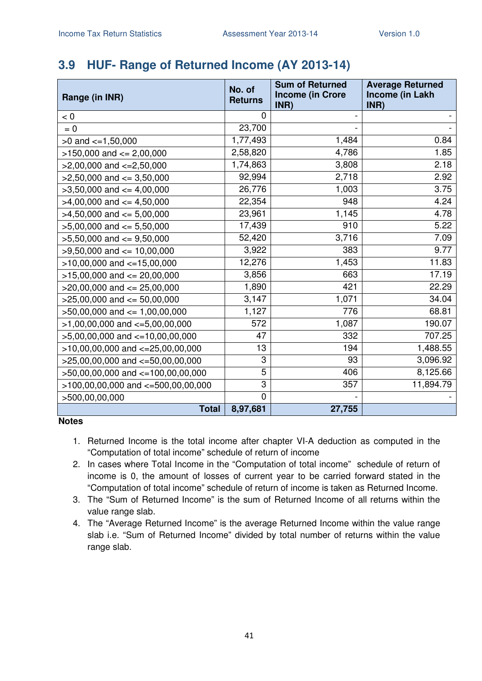### **3.9 HUF- Range of Returned Income (AY 2013-14)**

| Range (in INR)                        | No. of<br><b>Returns</b> | <b>Sum of Returned</b><br><b>Income (in Crore</b><br>INR) | <b>Average Returned</b><br>Income (in Lakh<br>INR) |
|---------------------------------------|--------------------------|-----------------------------------------------------------|----------------------------------------------------|
| < 0                                   | 0                        |                                                           |                                                    |
| $= 0$                                 | 23,700                   |                                                           |                                                    |
| $>0$ and $\leq 1,50,000$              | 1,77,493                 | 1,484                                                     | 0.84                                               |
| $>150,000$ and $<= 2,00,000$          | 2,58,820                 | 4,786                                                     | 1.85                                               |
| $>2,00,000$ and $\lt=2,50,000$        | 1,74,863                 | 3,808                                                     | 2.18                                               |
| $>2,50,000$ and $<=3,50,000$          | 92,994                   | 2,718                                                     | 2.92                                               |
| $>3,50,000$ and $<=4,00,000$          | 26,776                   | 1,003                                                     | 3.75                                               |
| $>4,00,000$ and $<=4,50,000$          | 22,354                   | 948                                                       | 4.24                                               |
| $>4,50,000$ and $<= 5,00,000$         | 23,961                   | 1,145                                                     | 4.78                                               |
| $>5,00,000$ and $<= 5,50,000$         | 17,439                   | 910                                                       | 5.22                                               |
| $>5,50,000$ and $<=9,50,000$          | 52,420                   | 3,716                                                     | 7.09                                               |
| $>9,50,000$ and $<= 10,00,000$        | 3,922                    | 383                                                       | 9.77                                               |
| $>10,00,000$ and $<-15,00,000$        | 12,276                   | 1,453                                                     | 11.83                                              |
| $>15,00,000$ and $<= 20,00,000$       | 3,856                    | 663                                                       | 17.19                                              |
| $>20,00,000$ and $<= 25,00,000$       | 1,890                    | 421                                                       | 22.29                                              |
| $>25,00,000$ and $<= 50,00,000$       | 3,147                    | 1,071                                                     | 34.04                                              |
| $>50,00,000$ and $<= 1,00,00,000$     | 1,127                    | 776                                                       | 68.81                                              |
| $>1,00,00,000$ and $\lt=5,00,00,000$  | 572                      | 1,087                                                     | 190.07                                             |
| $>5,00,00,000$ and $\lt=10,00,00,000$ | 47                       | 332                                                       | 707.25                                             |
| $>10,00,00,000$ and $<=25,00,00,000$  | 13                       | 194                                                       | 1,488.55                                           |
| >25,00,00,000 and <=50,00,00,000      | 3                        | 93                                                        | 3,096.92                                           |
| >50,00,00,000 and <=100,00,00,000     | 5                        | 406                                                       | 8,125.66                                           |
| >100,00,00,000 and <=500,00,00,000    | 3                        | 357                                                       | 11,894.79                                          |
| >500,00,00,000                        | $\overline{0}$           |                                                           |                                                    |
| <b>Total</b>                          | 8,97,681                 | 27,755                                                    |                                                    |

- 1. Returned Income is the total income after chapter VI-A deduction as computed in the "Computation of total income" schedule of return of income
- 2. In cases where Total Income in the "Computation of total income" schedule of return of income is 0, the amount of losses of current year to be carried forward stated in the "Computation of total income" schedule of return of income is taken as Returned Income.
- 3. The "Sum of Returned Income" is the sum of Returned Income of all returns within the value range slab.
- 4. The "Average Returned Income" is the average Returned Income within the value range slab i.e. "Sum of Returned Income" divided by total number of returns within the value range slab.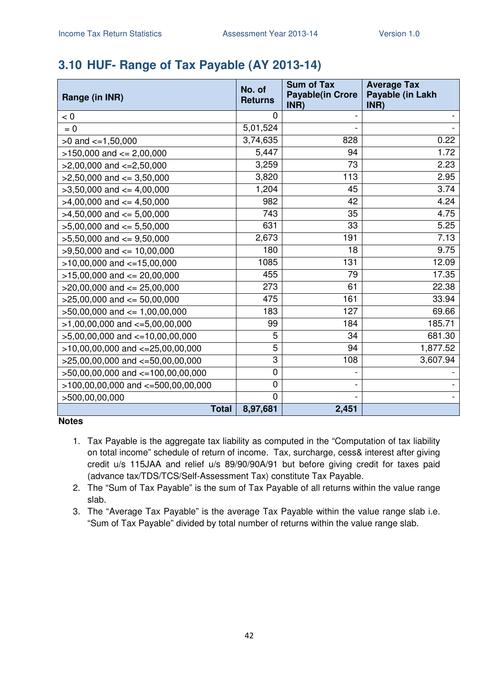### **3.10 HUF- Range of Tax Payable (AY 2013-14)**

| Range (in INR)                        | No. of<br><b>Returns</b> | <b>Sum of Tax</b><br><b>Payable(in Crore</b><br>INR) | <b>Average Tax</b><br>Payable (in Lakh<br>INR) |
|---------------------------------------|--------------------------|------------------------------------------------------|------------------------------------------------|
| < 0                                   | 0                        |                                                      |                                                |
| $= 0$                                 | 5,01,524                 |                                                      |                                                |
| $>0$ and $\lt=1,50,000$               | 3,74,635                 | 828                                                  | 0.22                                           |
| $>150,000$ and $<= 2,00,000$          | 5,447                    | 94                                                   | 1.72                                           |
| $>2,00,000$ and $\lt=2,50,000$        | 3,259                    | 73                                                   | 2.23                                           |
| $>2,50,000$ and $<=3,50,000$          | 3,820                    | 113                                                  | 2.95                                           |
| $>3,50,000$ and $<=4,00,000$          | 1,204                    | 45                                                   | 3.74                                           |
| $>4,00,000$ and $\lt=4,50,000$        | 982                      | 42                                                   | 4.24                                           |
| $>4,50,000$ and $<=5,00,000$          | 743                      | 35                                                   | 4.75                                           |
| $>5,00,000$ and $<= 5,50,000$         | 631                      | 33                                                   | 5.25                                           |
| $>5,50,000$ and $<=9,50,000$          | 2,673                    | 191                                                  | 7.13                                           |
| $>9,50,000$ and $\leq 10,00,000$      | 180                      | 18                                                   | 9.75                                           |
| $>10,00,000$ and $<=15,00,000$        | 1085                     | 131                                                  | 12.09                                          |
| $>15,00,000$ and $<= 20,00,000$       | 455                      | 79                                                   | 17.35                                          |
| $>20,00,000$ and $<= 25,00,000$       | 273                      | 61                                                   | 22.38                                          |
| $>25,00,000$ and $<= 50,00,000$       | 475                      | 161                                                  | 33.94                                          |
| $>50,00,000$ and $\leq 1,00,00,000$   | 183                      | 127                                                  | 69.66                                          |
| $>1,00,00,000$ and $\lt=5,00,00,000$  | 99                       | 184                                                  | 185.71                                         |
| $>5,00,00,000$ and $\lt=10,00,00,000$ | 5                        | 34                                                   | 681.30                                         |
| $>10,00,00,000$ and $<-25,00,00,000$  | 5                        | 94                                                   | 1,877.52                                       |
| $>25,00,00,000$ and $<-50,00,00,000$  | 3                        | 108                                                  | 3,607.94                                       |
| >50,00,00,000 and <=100,00,00,000     | 0                        |                                                      |                                                |
| >100,00,00,000 and <=500,00,00,000    | 0                        |                                                      |                                                |
| >500,00,00,000                        | 0                        |                                                      |                                                |
| <b>Total</b>                          | 8,97,681                 | 2,451                                                |                                                |

- 1. Tax Payable is the aggregate tax liability as computed in the "Computation of tax liability on total income" schedule of return of income. Tax, surcharge, cess& interest after giving credit u/s 115JAA and relief u/s 89/90/90A/91 but before giving credit for taxes paid (advance tax/TDS/TCS/Self-Assessment Tax) constitute Tax Payable.
- 2. The "Sum of Tax Payable" is the sum of Tax Payable of all returns within the value range slab.
- 3. The "Average Tax Payable" is the average Tax Payable within the value range slab i.e. "Sum of Tax Payable" divided by total number of returns within the value range slab.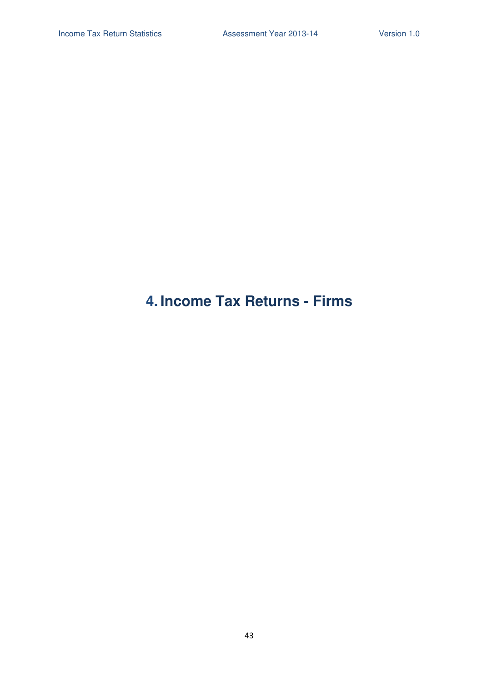## **4. Income Tax Returns - Firms**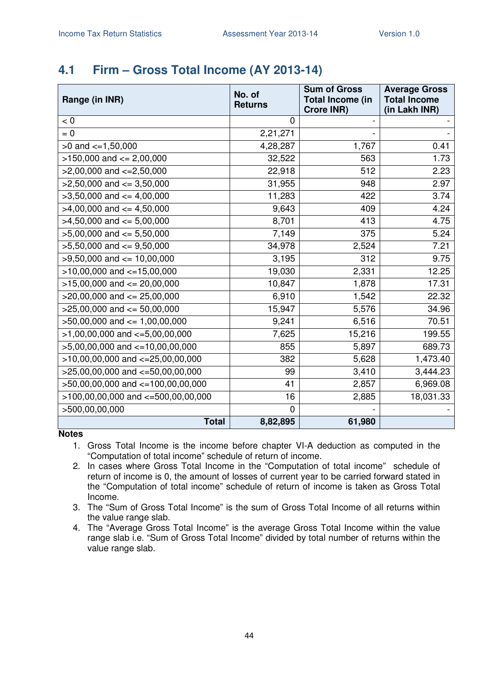#### **4.1 Firm – Gross Total Income (AY 2013-14)**

| Range (in INR)                         | No. of<br><b>Returns</b> | <b>Sum of Gross</b><br><b>Total Income (in</b><br><b>Crore INR)</b> | <b>Average Gross</b><br><b>Total Income</b><br>(in Lakh INR) |
|----------------------------------------|--------------------------|---------------------------------------------------------------------|--------------------------------------------------------------|
| < 0                                    | 0                        |                                                                     |                                                              |
| $= 0$                                  | 2,21,271                 |                                                                     |                                                              |
| $>0$ and $\leq$ =1,50,000              | 4,28,287                 | 1,767                                                               | 0.41                                                         |
| $>150,000$ and $<= 2,00,000$           | 32,522                   | 563                                                                 | 1.73                                                         |
| $>2,00,000$ and $\lt=2,50,000$         | 22,918                   | 512                                                                 | 2.23                                                         |
| $>2,50,000$ and $\leq$ 3,50,000        | 31,955                   | 948                                                                 | 2.97                                                         |
| $>3,50,000$ and $<=4,00,000$           | 11,283                   | 422                                                                 | 3.74                                                         |
| $>4,00,000$ and $\leq 4,50,000$        | 9,643                    | 409                                                                 | 4.24                                                         |
| $>4,50,000$ and $<= 5,00,000$          | 8,701                    | 413                                                                 | 4.75                                                         |
| $>5,00,000$ and $<= 5,50,000$          | 7,149                    | 375                                                                 | 5.24                                                         |
| $>5,50,000$ and $<=9,50,000$           | 34,978                   | 2,524                                                               | 7.21                                                         |
| $>9,50,000$ and $\leq 10,00,000$       | 3,195                    | 312                                                                 | 9.75                                                         |
| $>10,00,000$ and $<=15,00,000$         | 19,030                   | 2,331                                                               | 12.25                                                        |
| $>15,00,000$ and $<= 20,00,000$        | 10,847                   | 1,878                                                               | 17.31                                                        |
| $>20,00,000$ and $<= 25,00,000$        | 6,910                    | 1,542                                                               | 22.32                                                        |
| $>25,00,000$ and $<= 50,00,000$        | 15,947                   | 5,576                                                               | 34.96                                                        |
| $>50,00,000$ and $<= 1,00,00,000$      | 9,241                    | 6,516                                                               | 70.51                                                        |
| $>1,00,00,000$ and $\lt=5,00,00,000$   | 7,625                    | 15,216                                                              | 199.55                                                       |
| $>5,00,00,000$ and $\lt=10,00,00,000$  | 855                      | 5,897                                                               | 689.73                                                       |
| $>10,00,00,000$ and $<=25,00,00,000$   | 382                      | 5,628                                                               | 1,473.40                                                     |
| $>25,00,00,000$ and $<=50,00,00,000$   | 99                       | 3,410                                                               | 3,444.23                                                     |
| >50,00,00,000 and <=100,00,00,000      | 41                       | 2,857                                                               | 6,969.08                                                     |
| $>100,00,00,000$ and $<-500,00,00,000$ | 16                       | 2,885                                                               | 18,031.33                                                    |
| >500,00,00,000                         | $\overline{0}$           |                                                                     |                                                              |
| <b>Total</b>                           | 8,82,895                 | 61,980                                                              |                                                              |

**Notes** 

1. Gross Total Income is the income before chapter VI-A deduction as computed in the "Computation of total income" schedule of return of income.

2. In cases where Gross Total Income in the "Computation of total income" schedule of return of income is 0, the amount of losses of current year to be carried forward stated in the "Computation of total income" schedule of return of income is taken as Gross Total Income.

3. The "Sum of Gross Total Income" is the sum of Gross Total Income of all returns within the value range slab.

4. The "Average Gross Total Income" is the average Gross Total Income within the value range slab i.e. "Sum of Gross Total Income" divided by total number of returns within the value range slab.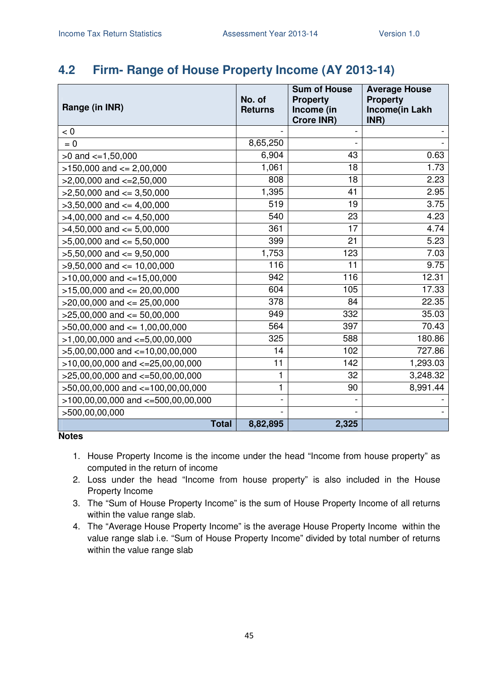#### **4.2 Firm- Range of House Property Income (AY 2013-14)**

| Range (in INR)                         | No. of<br><b>Returns</b> | <b>Sum of House</b><br><b>Property</b><br>Income (in<br><b>Crore INR)</b> | <b>Average House</b><br><b>Property</b><br>Income(in Lakh<br>INR) |
|----------------------------------------|--------------------------|---------------------------------------------------------------------------|-------------------------------------------------------------------|
| < 0                                    |                          |                                                                           |                                                                   |
| $= 0$                                  | 8,65,250                 |                                                                           |                                                                   |
| $>0$ and $\lt=1,50,000$                | 6,904                    | 43                                                                        | 0.63                                                              |
| $>150,000$ and $<= 2,00,000$           | 1,061                    | 18                                                                        | 1.73                                                              |
| $>2,00,000$ and $<=2,50,000$           | 808                      | 18                                                                        | 2.23                                                              |
| $>2,50,000$ and $<=3,50,000$           | 1,395                    | 41                                                                        | 2.95                                                              |
| $>3,50,000$ and $<=4,00,000$           | $\overline{519}$         | 19                                                                        | 3.75                                                              |
| $>4,00,000$ and $<= 4,50,000$          | 540                      | 23                                                                        | 4.23                                                              |
| $>4,50,000$ and $<= 5,00,000$          | 361                      | 17                                                                        | 4.74                                                              |
| $>5,00,000$ and $<= 5,50,000$          | 399                      | 21                                                                        | 5.23                                                              |
| $>5,50,000$ and $<=9,50,000$           | 1,753                    | 123                                                                       | 7.03                                                              |
| $>9,50,000$ and $\leq 10,00,000$       | 116                      | 11                                                                        | 9.75                                                              |
| $>10,00,000$ and $<-15,00,000$         | 942                      | 116                                                                       | 12.31                                                             |
| $>15,00,000$ and $<= 20,00,000$        | 604                      | 105                                                                       | 17.33                                                             |
| $>20,00,000$ and $<= 25,00,000$        | 378                      | 84                                                                        | 22.35                                                             |
| $>25,00,000$ and $<= 50,00,000$        | 949                      | 332                                                                       | 35.03                                                             |
| $>50,00,000$ and $\leq 1,00,00,000$    | 564                      | 397                                                                       | 70.43                                                             |
| $>1,00,00,000$ and $<=5,00,00,000$     | 325                      | 588                                                                       | 180.86                                                            |
| $>5,00,00,000$ and $\lt=10,00,00,000$  | 14                       | 102                                                                       | 727.86                                                            |
| $>10,00,00,000$ and $<=25,00,00,000$   | 11                       | 142                                                                       | 1,293.03                                                          |
| >25,00,00,000 and <= 50,00,00,000      | 1                        | 32                                                                        | 3,248.32                                                          |
| >50,00,00,000 and <=100,00,00,000      | 1                        | 90                                                                        | 8,991.44                                                          |
| $>100,00,00,000$ and $<=500,00,00,000$ |                          |                                                                           |                                                                   |
| >500,00,00,000                         |                          |                                                                           |                                                                   |
| <b>Total</b>                           | 8,82,895                 | 2,325                                                                     |                                                                   |

- 1. House Property Income is the income under the head "Income from house property" as computed in the return of income
- 2. Loss under the head "Income from house property" is also included in the House Property Income
- 3. The "Sum of House Property Income" is the sum of House Property Income of all returns within the value range slab.
- 4. The "Average House Property Income" is the average House Property Income within the value range slab i.e. "Sum of House Property Income" divided by total number of returns within the value range slab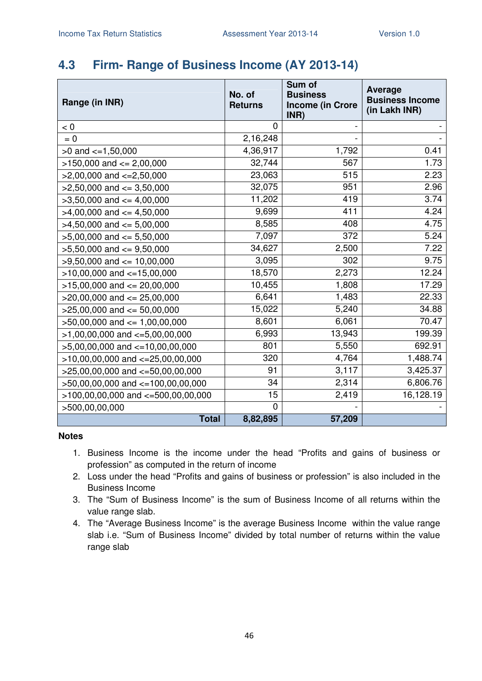### **4.3 Firm- Range of Business Income (AY 2013-14)**

| Range (in INR)                         | No. of<br><b>Returns</b> | Sum of<br><b>Business</b><br><b>Income (in Crore</b><br>INR) | <b>Average</b><br><b>Business Income</b><br>(in Lakh INR) |
|----------------------------------------|--------------------------|--------------------------------------------------------------|-----------------------------------------------------------|
| < 0                                    | 0                        |                                                              |                                                           |
| $= 0$                                  | 2,16,248                 |                                                              |                                                           |
| $>0$ and $\lt=1,50,000$                | 4,36,917                 | 1,792                                                        | 0.41                                                      |
| $>150,000$ and $<= 2,00,000$           | 32,744                   | 567                                                          | 1.73                                                      |
| $>2,00,000$ and $\lt=2,50,000$         | 23,063                   | 515                                                          | 2.23                                                      |
| $>2,50,000$ and $<=3,50,000$           | 32,075                   | 951                                                          | 2.96                                                      |
| $>3,50,000$ and $<=4,00,000$           | 11,202                   | 419                                                          | 3.74                                                      |
| $>4,00,000$ and $\leq 4,50,000$        | 9,699                    | 411                                                          | 4.24                                                      |
| $>4,50,000$ and $<=5,00,000$           | 8,585                    | 408                                                          | 4.75                                                      |
| $>5,00,000$ and $<= 5,50,000$          | 7,097                    | 372                                                          | 5.24                                                      |
| $>5,50,000$ and $<=9,50,000$           | 34,627                   | 2,500                                                        | 7.22                                                      |
| $>9,50,000$ and $<= 10,00,000$         | 3,095                    | 302                                                          | 9.75                                                      |
| $>10,00,000$ and $<-15,00,000$         | 18,570                   | 2,273                                                        | 12.24                                                     |
| $>15,00,000$ and $<= 20,00,000$        | 10,455                   | 1,808                                                        | 17.29                                                     |
| $>20,00,000$ and $<= 25,00,000$        | 6,641                    | 1,483                                                        | 22.33                                                     |
| $>25,00,000$ and $<= 50,00,000$        | 15,022                   | 5,240                                                        | 34.88                                                     |
| $>50,00,000$ and $\leq 1,00,00,000$    | 8,601                    | 6,061                                                        | 70.47                                                     |
| $>1,00,00,000$ and $\lt=5,00,00,000$   | 6,993                    | 13,943                                                       | 199.39                                                    |
| $>5,00,00,000$ and $\lt=10,00,00,000$  | 801                      | 5,550                                                        | 692.91                                                    |
| $>10,00,00,000$ and $<-25,00,00,000$   | 320                      | 4,764                                                        | 1,488.74                                                  |
| $>25,00,00,000$ and $<=50,00,00,000$   | 91                       | 3,117                                                        | 3,425.37                                                  |
| >50,00,00,000 and <=100,00,00,000      | 34                       | 2,314                                                        | 6,806.76                                                  |
| $>100,00,00,000$ and $<=500,00,00,000$ | 15                       | 2,419                                                        | 16,128.19                                                 |
| >500,00,00,000                         | $\Omega$                 |                                                              |                                                           |
| <b>Total</b>                           | 8,82,895                 | 57,209                                                       |                                                           |

- 1. Business Income is the income under the head "Profits and gains of business or profession" as computed in the return of income
- 2. Loss under the head "Profits and gains of business or profession" is also included in the Business Income
- 3. The "Sum of Business Income" is the sum of Business Income of all returns within the value range slab.
- 4. The "Average Business Income" is the average Business Income within the value range slab i.e. "Sum of Business Income" divided by total number of returns within the value range slab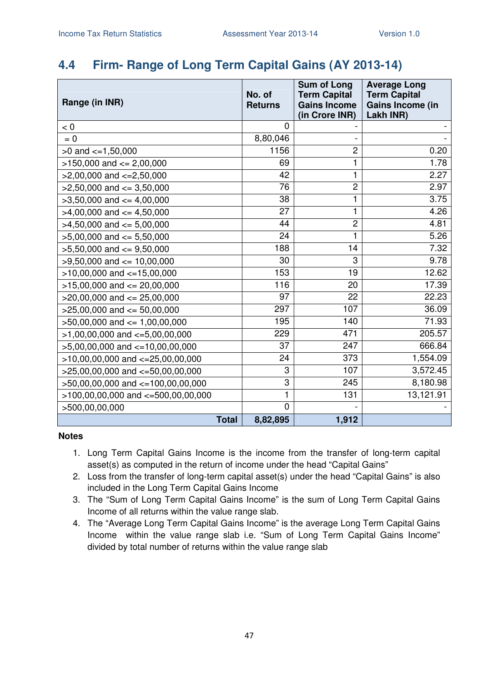### **4.4 Firm- Range of Long Term Capital Gains (AY 2013-14)**

| Range (in INR)                         |              | No. of<br><b>Returns</b> | <b>Sum of Long</b><br><b>Term Capital</b><br><b>Gains Income</b><br>(in Crore INR) | <b>Average Long</b><br><b>Term Capital</b><br>Gains Income (in<br>Lakh INR) |
|----------------------------------------|--------------|--------------------------|------------------------------------------------------------------------------------|-----------------------------------------------------------------------------|
| $< 0$                                  |              | 0                        |                                                                                    |                                                                             |
| $= 0$                                  |              | 8,80,046                 |                                                                                    |                                                                             |
| $>0$ and $\lt=1,50,000$                |              | 1156                     | $\overline{c}$                                                                     | 0.20                                                                        |
| $>150,000$ and $<= 2,00,000$           |              | 69                       | 1                                                                                  | 1.78                                                                        |
| $>2,00,000$ and $<=2,50,000$           |              | 42                       | 1                                                                                  | 2.27                                                                        |
| $>2,50,000$ and $\leq$ 3,50,000        |              | 76                       | $\overline{c}$                                                                     | 2.97                                                                        |
| $>3,50,000$ and $<=4,00,000$           |              | 38                       | 1                                                                                  | 3.75                                                                        |
| $>4,00,000$ and $<=4,50,000$           |              | 27                       | 1                                                                                  | 4.26                                                                        |
| $>4,50,000$ and $<= 5,00,000$          |              | 44                       | $\overline{c}$                                                                     | 4.81                                                                        |
| $>5,00,000$ and $<= 5,50,000$          |              | 24                       | 1                                                                                  | 5.26                                                                        |
| $>5,50,000$ and $<=9,50,000$           |              | 188                      | 14                                                                                 | 7.32                                                                        |
| $>9,50,000$ and $<= 10,00,000$         |              | 30                       | 3                                                                                  | 9.78                                                                        |
| $>10,00,000$ and $<=15,00,000$         |              | 153                      | 19                                                                                 | 12.62                                                                       |
| $>15,00,000$ and $<= 20,00,000$        |              | 116                      | 20                                                                                 | 17.39                                                                       |
| $>20,00,000$ and $<= 25,00,000$        |              | 97                       | 22                                                                                 | 22.23                                                                       |
| $>25,00,000$ and $<= 50,00,000$        |              | 297                      | 107                                                                                | 36.09                                                                       |
| $>50,00,000$ and $\leq 1,00,00,000$    |              | 195                      | 140                                                                                | 71.93                                                                       |
| $>1,00,00,000$ and $\lt=5,00,00,000$   |              | 229                      | 471                                                                                | 205.57                                                                      |
| $>5,00,00,000$ and $\lt=10,00,00,000$  |              | 37                       | 247                                                                                | 666.84                                                                      |
| $>10,00,00,000$ and $<=25,00,00,000$   |              | 24                       | 373                                                                                | 1,554.09                                                                    |
| $>25,00,00,000$ and $<=50,00,00,000$   |              | 3                        | 107                                                                                | 3,572.45                                                                    |
| $>50,00,00,000$ and $<=100,00,00,000$  |              | 3                        | 245                                                                                | 8,180.98                                                                    |
| $>100,00,00,000$ and $<=500,00,00,000$ |              | 1                        | 131                                                                                | 13,121.91                                                                   |
| >500,00,00,000                         |              | $\overline{0}$           |                                                                                    |                                                                             |
|                                        | <b>Total</b> | 8,82,895                 | 1,912                                                                              |                                                                             |

- 1. Long Term Capital Gains Income is the income from the transfer of long-term capital asset(s) as computed in the return of income under the head "Capital Gains"
- 2. Loss from the transfer of long-term capital asset(s) under the head "Capital Gains" is also included in the Long Term Capital Gains Income
- 3. The "Sum of Long Term Capital Gains Income" is the sum of Long Term Capital Gains Income of all returns within the value range slab.
- 4. The "Average Long Term Capital Gains Income" is the average Long Term Capital Gains Income within the value range slab i.e. "Sum of Long Term Capital Gains Income" divided by total number of returns within the value range slab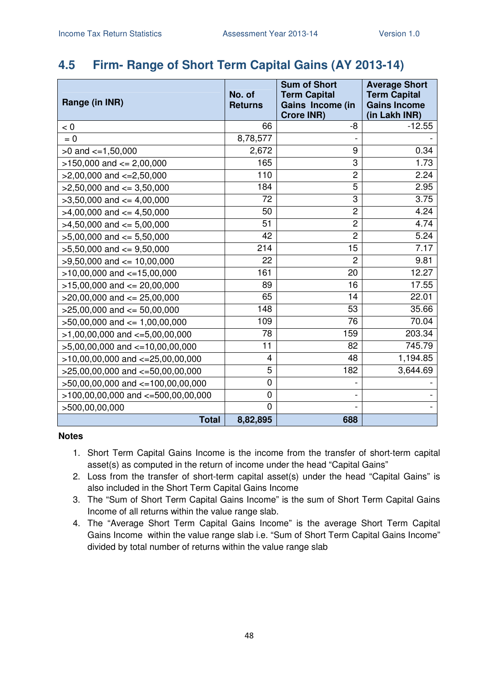#### **4.5 Firm- Range of Short Term Capital Gains (AY 2013-14)**

| Range (in INR)                         | No. of<br><b>Returns</b> | <b>Sum of Short</b><br><b>Term Capital</b><br>Gains Income (in<br><b>Crore INR)</b> | <b>Average Short</b><br><b>Term Capital</b><br><b>Gains Income</b><br>(in Lakh INR) |
|----------------------------------------|--------------------------|-------------------------------------------------------------------------------------|-------------------------------------------------------------------------------------|
| < 0                                    | 66                       | -8                                                                                  | $-12.55$                                                                            |
| $= 0$                                  | 8,78,577                 |                                                                                     |                                                                                     |
| $>0$ and $\lt=1,50,000$                | 2,672                    | 9                                                                                   | 0.34                                                                                |
| $>150,000$ and $<= 2,00,000$           | 165                      | 3                                                                                   | 1.73                                                                                |
| $>2,00,000$ and $<=2,50,000$           | 110                      | $\overline{c}$                                                                      | 2.24                                                                                |
| $>2,50,000$ and $<=3,50,000$           | 184                      | $\overline{5}$                                                                      | 2.95                                                                                |
| $>3,50,000$ and $<=4,00,000$           | 72                       | $\overline{3}$                                                                      | 3.75                                                                                |
| $>4,00,000$ and $\leq 4,50,000$        | 50                       | $\overline{c}$                                                                      | 4.24                                                                                |
| $>4,50,000$ and $<=5,00,000$           | 51                       | $\overline{2}$                                                                      | 4.74                                                                                |
| $>5,00,000$ and $<= 5,50,000$          | 42                       | $\overline{c}$                                                                      | 5.24                                                                                |
| $>5,50,000$ and $<=9,50,000$           | 214                      | 15                                                                                  | 7.17                                                                                |
| $>9,50,000$ and $<= 10,00,000$         | 22                       | $\overline{2}$                                                                      | 9.81                                                                                |
| $>10,00,000$ and $<-15,00,000$         | 161                      | 20                                                                                  | 12.27                                                                               |
| $>15,00,000$ and $<= 20,00,000$        | 89                       | 16                                                                                  | 17.55                                                                               |
| $>20,00,000$ and $<= 25,00,000$        | 65                       | 14                                                                                  | 22.01                                                                               |
| $>25,00,000$ and $<= 50,00,000$        | 148                      | 53                                                                                  | 35.66                                                                               |
| $>50,00,000$ and $<= 1,00,00,000$      | 109                      | 76                                                                                  | 70.04                                                                               |
| $>1,00,00,000$ and $\lt=5,00,00,000$   | 78                       | 159                                                                                 | 203.34                                                                              |
| $>5,00,00,000$ and $\lt=10,00,00,000$  | 11                       | 82                                                                                  | 745.79                                                                              |
| $>10,00,00,000$ and $<-25,00,00,000$   | 4                        | 48                                                                                  | 1,194.85                                                                            |
| $>25,00,00,000$ and $<=50,00,00,000$   | 5                        | 182                                                                                 | 3,644.69                                                                            |
| >50,00,00,000 and <=100,00,00,000      | $\mathbf 0$              |                                                                                     |                                                                                     |
| $>100,00,00,000$ and $<=500,00,00,000$ | $\mathbf 0$              |                                                                                     |                                                                                     |
| >500,00,00,000                         | $\overline{0}$           |                                                                                     |                                                                                     |
| <b>Total</b>                           | 8,82,895                 | 688                                                                                 |                                                                                     |

- 1. Short Term Capital Gains Income is the income from the transfer of short-term capital asset(s) as computed in the return of income under the head "Capital Gains"
- 2. Loss from the transfer of short-term capital asset(s) under the head "Capital Gains" is also included in the Short Term Capital Gains Income
- 3. The "Sum of Short Term Capital Gains Income" is the sum of Short Term Capital Gains Income of all returns within the value range slab.
- 4. The "Average Short Term Capital Gains Income" is the average Short Term Capital Gains Income within the value range slab i.e. "Sum of Short Term Capital Gains Income" divided by total number of returns within the value range slab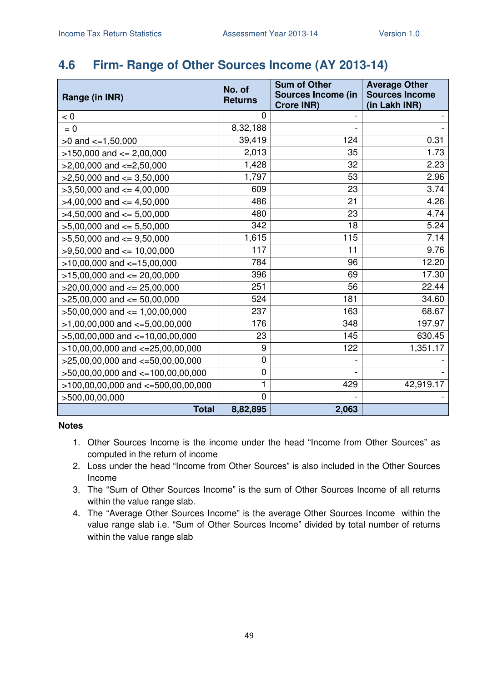### **4.6 Firm- Range of Other Sources Income (AY 2013-14)**

| Range (in INR)                         | No. of<br><b>Returns</b> | <b>Sum of Other</b><br><b>Sources Income (in</b><br><b>Crore INR)</b> | <b>Average Other</b><br><b>Sources Income</b><br>(in Lakh INR) |
|----------------------------------------|--------------------------|-----------------------------------------------------------------------|----------------------------------------------------------------|
| < 0                                    | 0                        |                                                                       |                                                                |
| $= 0$                                  | $\overline{8,}32,188$    |                                                                       |                                                                |
| $>0$ and $\lt=1,50,000$                | 39,419                   | 124                                                                   | 0.31                                                           |
| $>150,000$ and $<= 2,00,000$           | 2,013                    | 35                                                                    | 1.73                                                           |
| $>2,00,000$ and $\lt=2,50,000$         | 1,428                    | 32                                                                    | 2.23                                                           |
| $>2,50,000$ and $<=3,50,000$           | 1,797                    | 53                                                                    | 2.96                                                           |
| $>3,50,000$ and $<=4,00,000$           | 609                      | 23                                                                    | 3.74                                                           |
| $>4,00,000$ and $\lt=4,50,000$         | 486                      | 21                                                                    | 4.26                                                           |
| $>4,50,000$ and $<=5,00,000$           | 480                      | 23                                                                    | 4.74                                                           |
| $>5,00,000$ and $<= 5,50,000$          | 342                      | 18                                                                    | 5.24                                                           |
| $>5,50,000$ and $<=9,50,000$           | 1,615                    | 115                                                                   | 7.14                                                           |
| $>9,50,000$ and $\leq 10,00,000$       | 117                      | 11                                                                    | 9.76                                                           |
| $>10,00,000$ and $<=15,00,000$         | 784                      | 96                                                                    | 12.20                                                          |
| $>15,00,000$ and $<= 20,00,000$        | 396                      | 69                                                                    | 17.30                                                          |
| $>20,00,000$ and $<= 25,00,000$        | 251                      | 56                                                                    | 22.44                                                          |
| $>25,00,000$ and $<= 50,00,000$        | 524                      | 181                                                                   | 34.60                                                          |
| $>50,00,000$ and $\leq 1,00,00,000$    | 237                      | 163                                                                   | 68.67                                                          |
| $>1,00,00,000$ and $\lt=5,00,00,000$   | 176                      | 348                                                                   | 197.97                                                         |
| $>5,00,00,000$ and $\lt=10,00,00,000$  | 23                       | 145                                                                   | 630.45                                                         |
| $>10,00,00,000$ and $<-25,00,00,000$   | 9                        | 122                                                                   | 1,351.17                                                       |
| >25,00,00,000 and <= 50,00,00,000      | 0                        |                                                                       |                                                                |
| $>50,00,00,000$ and $<=100,00,00,000$  | $\mathbf 0$              |                                                                       |                                                                |
| $>100,00,00,000$ and $<-500,00,00,000$ | 1                        | 429                                                                   | 42,919.17                                                      |
| >500,00,00,000                         | $\overline{0}$           |                                                                       |                                                                |
| <b>Total</b>                           | 8,82,895                 | 2,063                                                                 |                                                                |

- 1. Other Sources Income is the income under the head "Income from Other Sources" as computed in the return of income
- 2. Loss under the head "Income from Other Sources" is also included in the Other Sources Income
- 3. The "Sum of Other Sources Income" is the sum of Other Sources Income of all returns within the value range slab.
- 4. The "Average Other Sources Income" is the average Other Sources Income within the value range slab i.e. "Sum of Other Sources Income" divided by total number of returns within the value range slab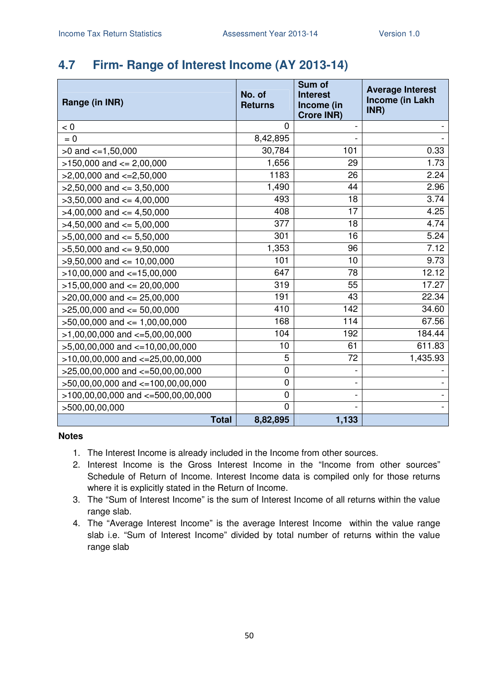### **4.7 Firm- Range of Interest Income (AY 2013-14)**

| Range (in INR)                         | No. of<br><b>Returns</b> | Sum of<br><b>Interest</b><br>Income (in<br><b>Crore INR)</b> | <b>Average Interest</b><br>Income (in Lakh<br>INR) |
|----------------------------------------|--------------------------|--------------------------------------------------------------|----------------------------------------------------|
| < 0                                    | 0                        |                                                              |                                                    |
| $= 0$                                  | 8,42,895                 |                                                              |                                                    |
| $>0$ and $\lt=1,50,000$                | 30,784                   | 101                                                          | 0.33                                               |
| $>150,000$ and $<= 2,00,000$           | 1,656                    | 29                                                           | 1.73                                               |
| $>2,00,000$ and $<=2,50,000$           | 1183                     | 26                                                           | 2.24                                               |
| $>2,50,000$ and $\leq$ 3,50,000        | 1,490                    | 44                                                           | 2.96                                               |
| $>3,50,000$ and $<=4,00,000$           | 493                      | 18                                                           | 3.74                                               |
| $>4,00,000$ and $\leq 4,50,000$        | 408                      | 17                                                           | 4.25                                               |
| $>4,50,000$ and $\leq 5,00,000$        | 377                      | 18                                                           | 4.74                                               |
| $>5,00,000$ and $<=5,50,000$           | 301                      | 16                                                           | 5.24                                               |
| $>5,50,000$ and $<=9,50,000$           | 1,353                    | 96                                                           | 7.12                                               |
| $>9,50,000$ and $<= 10,00,000$         | 101                      | 10                                                           | 9.73                                               |
| $>10,00,000$ and $<-15,00,000$         | 647                      | 78                                                           | 12.12                                              |
| $>15,00,000$ and $<= 20,00,000$        | 319                      | 55                                                           | 17.27                                              |
| $>20,00,000$ and $<= 25,00,000$        | 191                      | 43                                                           | 22.34                                              |
| $>25,00,000$ and $<= 50,00,000$        | 410                      | 142                                                          | 34.60                                              |
| $>50,00,000$ and $\leq 1,00,00,000$    | 168                      | 114                                                          | 67.56                                              |
| $>1,00,00,000$ and $\lt=5,00,00,000$   | 104                      | 192                                                          | 184.44                                             |
| $>5,00,00,000$ and $<=10,00,00,000$    | 10                       | 61                                                           | 611.83                                             |
| $>10,00,00,000$ and $<=25,00,00,000$   | 5                        | 72                                                           | 1,435.93                                           |
| >25,00,00,000 and <=50,00,00,000       | 0                        |                                                              |                                                    |
| >50,00,00,000 and <=100,00,00,000      | 0                        |                                                              |                                                    |
| $>100,00,00,000$ and $<=500,00,00,000$ | $\mathbf 0$              |                                                              |                                                    |
| >500,00,00,000                         | 0                        |                                                              |                                                    |
| <b>Total</b>                           | 8,82,895                 | 1,133                                                        |                                                    |

- 1. The Interest Income is already included in the Income from other sources.
- 2. Interest Income is the Gross Interest Income in the "Income from other sources" Schedule of Return of Income. Interest Income data is compiled only for those returns where it is explicitly stated in the Return of Income.
- 3. The "Sum of Interest Income" is the sum of Interest Income of all returns within the value range slab.
- 4. The "Average Interest Income" is the average Interest Income within the value range slab i.e. "Sum of Interest Income" divided by total number of returns within the value range slab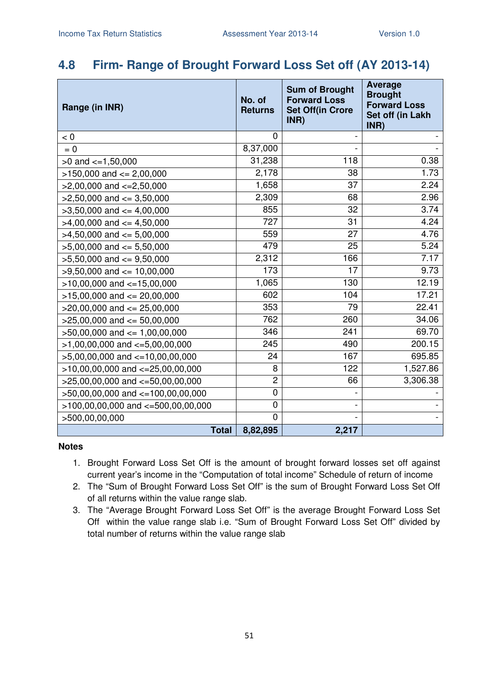#### **4.8 Firm- Range of Brought Forward Loss Set off (AY 2013-14)**

| Range (in INR)                           | No. of<br><b>Returns</b> | <b>Sum of Brought</b><br><b>Forward Loss</b><br><b>Set Off(in Crore</b><br>INR) | <b>Average</b><br><b>Brought</b><br><b>Forward Loss</b><br>Set off (in Lakh<br>INR) |
|------------------------------------------|--------------------------|---------------------------------------------------------------------------------|-------------------------------------------------------------------------------------|
| < 0                                      | 0                        |                                                                                 |                                                                                     |
| $= 0$                                    | 8,37,000                 |                                                                                 |                                                                                     |
| $>0$ and $\lt=1,50,000$                  | 31,238                   | 118                                                                             | 0.38                                                                                |
| $>150,000$ and $<= 2,00,000$             | 2,178                    | 38                                                                              | 1.73                                                                                |
| $>2,00,000$ and $\lt=2,50,000$           | 1,658                    | 37                                                                              | 2.24                                                                                |
| $>2,50,000$ and $<=3,50,000$             | 2,309                    | 68                                                                              | 2.96                                                                                |
| $>3,50,000$ and $<=4,00,000$             | 855                      | 32                                                                              | 3.74                                                                                |
| $>4,00,000$ and $\leq 4,50,000$          | 727                      | 31                                                                              | 4.24                                                                                |
| $>4,50,000$ and $<=5,00,000$             | 559                      | 27                                                                              | 4.76                                                                                |
| $>5,00,000$ and $<= 5,50,000$            | 479                      | 25                                                                              | 5.24                                                                                |
| $>5,50,000$ and $<=9,50,000$             | 2,312                    | 166                                                                             | 7.17                                                                                |
| $>9,50,000$ and $<= 10,00,000$           | 173                      | 17                                                                              | 9.73                                                                                |
| $>10,00,000$ and $<=15,00,000$           | 1,065                    | 130                                                                             | 12.19                                                                               |
| $>15,00,000$ and $<= 20,00,000$          | 602                      | 104                                                                             | 17.21                                                                               |
| $>20,00,000$ and $<= 25,00,000$          | 353                      | 79                                                                              | 22.41                                                                               |
| $>25,00,000$ and $<= 50,00,000$          | 762                      | 260                                                                             | 34.06                                                                               |
| $>50,00,000$ and $<= 1,00,00,000$        | 346                      | 241                                                                             | 69.70                                                                               |
| $>1,00,00,000$ and $\lt=5,00,00,000$     | 245                      | 490                                                                             | 200.15                                                                              |
| $>5,00,00,000$ and $\lt=10,00,00,000$    | 24                       | 167                                                                             | 695.85                                                                              |
| $>10,00,00,000$ and $<=25,00,00,000$     | 8                        | 122                                                                             | 1,527.86                                                                            |
| $>25,00,00,000$ and $<-50,00,00,000$     | 2                        | 66                                                                              | 3,306.38                                                                            |
| >50,00,00,000 and <=100,00,00,000        | 0                        |                                                                                 |                                                                                     |
| $>100,00,00,000$ and $\lt=500,00,00,000$ | 0                        |                                                                                 |                                                                                     |
| >500,00,00,000                           | $\overline{0}$           |                                                                                 |                                                                                     |
| <b>Total</b>                             | 8,82,895                 | 2,217                                                                           |                                                                                     |

- 1. Brought Forward Loss Set Off is the amount of brought forward losses set off against current year's income in the "Computation of total income" Schedule of return of income
- 2. The "Sum of Brought Forward Loss Set Off" is the sum of Brought Forward Loss Set Off of all returns within the value range slab.
- 3. The "Average Brought Forward Loss Set Off" is the average Brought Forward Loss Set Off within the value range slab i.e. "Sum of Brought Forward Loss Set Off" divided by total number of returns within the value range slab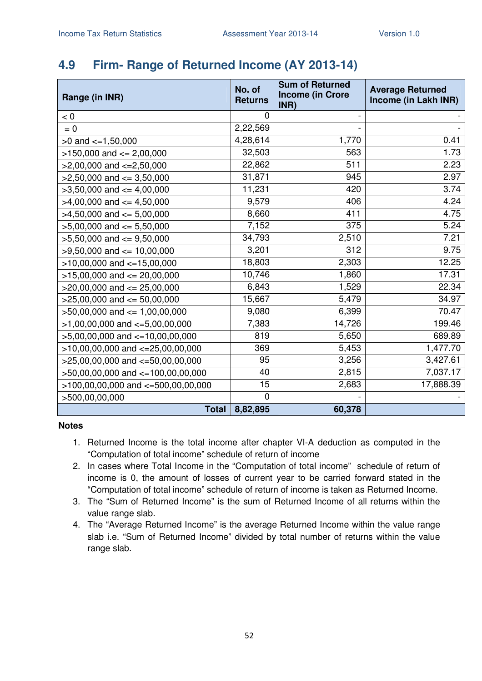### **4.9 Firm- Range of Returned Income (AY 2013-14)**

| Range (in INR)                        | No. of<br><b>Returns</b> | <b>Sum of Returned</b><br><b>Income (in Crore</b><br>INR) | <b>Average Returned</b><br>Income (in Lakh INR) |
|---------------------------------------|--------------------------|-----------------------------------------------------------|-------------------------------------------------|
| < 0                                   | 0                        |                                                           |                                                 |
| $= 0$                                 | 2,22,569                 |                                                           |                                                 |
| $>0$ and $\lt=1,50,000$               | 4,28,614                 | 1,770                                                     | 0.41                                            |
| $>150,000$ and $<= 2,00,000$          | 32,503                   | 563                                                       | 1.73                                            |
| $>2,00,000$ and $\lt=2,50,000$        | 22,862                   | 511                                                       | 2.23                                            |
| $>2,50,000$ and $\leq$ 3,50,000       | 31,871                   | 945                                                       | 2.97                                            |
| $>3,50,000$ and $<=4,00,000$          | 11,231                   | 420                                                       | 3.74                                            |
| $>4,00,000$ and $\lt=4,50,000$        | 9,579                    | 406                                                       | 4.24                                            |
| $>4,50,000$ and $<=5,00,000$          | 8,660                    | 411                                                       | 4.75                                            |
| $>5,00,000$ and $<= 5,50,000$         | 7,152                    | 375                                                       | 5.24                                            |
| $>5,50,000$ and $<=9,50,000$          | 34,793                   | 2,510                                                     | 7.21                                            |
| $>9,50,000$ and $\leq 10,00,000$      | 3,201                    | 312                                                       | 9.75                                            |
| $>10,00,000$ and $<=15,00,000$        | 18,803                   | 2,303                                                     | 12.25                                           |
| $>15,00,000$ and $<= 20,00,000$       | 10,746                   | 1,860                                                     | 17.31                                           |
| $>20,00,000$ and $\leq$ 25,00,000     | 6,843                    | 1,529                                                     | 22.34                                           |
| $>25,00,000$ and $<= 50,00,000$       | 15,667                   | 5,479                                                     | 34.97                                           |
| $>50,00,000$ and $<= 1,00,00,000$     | 9,080                    | 6,399                                                     | 70.47                                           |
| $>1,00,00,000$ and $\lt=5,00,00,000$  | 7,383                    | 14,726                                                    | 199.46                                          |
| $>5,00,00,000$ and $\lt=10,00,00,000$ | 819                      | 5,650                                                     | 689.89                                          |
| $>10,00,00,000$ and $<=25,00,00,000$  | 369                      | 5,453                                                     | 1,477.70                                        |
| $>25,00,00,000$ and $<=50,00,00,000$  | 95                       | 3,256                                                     | 3,427.61                                        |
| $>50,00,00,000$ and $<=100,00,00,000$ | 40                       | 2,815                                                     | 7,037.17                                        |
| >100,00,00,000 and <=500,00,00,000    | 15                       | 2,683                                                     | 17,888.39                                       |
| >500,00,00,000                        | 0                        |                                                           |                                                 |
| <b>Total</b>                          | 8,82,895                 | 60,378                                                    |                                                 |

- 1. Returned Income is the total income after chapter VI-A deduction as computed in the "Computation of total income" schedule of return of income
- 2. In cases where Total Income in the "Computation of total income" schedule of return of income is 0, the amount of losses of current year to be carried forward stated in the "Computation of total income" schedule of return of income is taken as Returned Income.
- 3. The "Sum of Returned Income" is the sum of Returned Income of all returns within the value range slab.
- 4. The "Average Returned Income" is the average Returned Income within the value range slab i.e. "Sum of Returned Income" divided by total number of returns within the value range slab.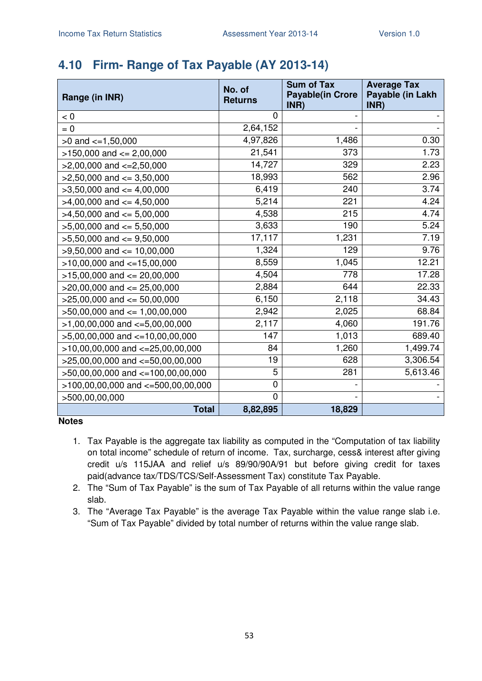### **4.10 Firm- Range of Tax Payable (AY 2013-14)**

| Range (in INR)                        | No. of<br><b>Returns</b> | <b>Sum of Tax</b><br><b>Payable(in Crore</b><br>INR) | <b>Average Tax</b><br>Payable (in Lakh<br>INR) |
|---------------------------------------|--------------------------|------------------------------------------------------|------------------------------------------------|
| < 0                                   | 0                        |                                                      |                                                |
| $= 0$                                 | 2,64,152                 |                                                      |                                                |
| $>0$ and $\leq 1,50,000$              | 4,97,826                 | 1,486                                                | 0.30                                           |
| $>150,000$ and $<= 2,00,000$          | 21,541                   | 373                                                  | 1.73                                           |
| $>2,00,000$ and $\lt=2,50,000$        | 14,727                   | 329                                                  | 2.23                                           |
| $>2,50,000$ and $<=3,50,000$          | 18,993                   | 562                                                  | 2.96                                           |
| $>3,50,000$ and $<=4,00,000$          | 6,419                    | 240                                                  | 3.74                                           |
| $>4,00,000$ and $\leq 4,50,000$       | 5,214                    | 221                                                  | 4.24                                           |
| $>4,50,000$ and $<=5,00,000$          | 4,538                    | 215                                                  | 4.74                                           |
| $>5,00,000$ and $<= 5,50,000$         | 3,633                    | 190                                                  | 5.24                                           |
| $>5,50,000$ and $<=9,50,000$          | 17,117                   | 1,231                                                | 7.19                                           |
| $>9,50,000$ and $\leq 10,00,000$      | 1,324                    | 129                                                  | 9.76                                           |
| $>10,00,000$ and $<=15,00,000$        | 8,559                    | 1,045                                                | 12.21                                          |
| $>15,00,000$ and $<= 20,00,000$       | 4,504                    | 778                                                  | 17.28                                          |
| $>20,00,000$ and $\leq$ 25,00,000     | 2,884                    | 644                                                  | 22.33                                          |
| $>25,00,000$ and $<= 50,00,000$       | 6,150                    | 2,118                                                | 34.43                                          |
| $>50,00,000$ and $<= 1,00,00,000$     | 2,942                    | 2,025                                                | 68.84                                          |
| $>1,00,00,000$ and $\lt=5,00,00,000$  | 2,117                    | 4,060                                                | 191.76                                         |
| $>5,00,00,000$ and $\lt=10,00,00,000$ | 147                      | 1,013                                                | 689.40                                         |
| $>10,00,00,000$ and $<-25,00,00,000$  | 84                       | 1,260                                                | 1,499.74                                       |
| >25,00,00,000 and <=50,00,00,000      | 19                       | 628                                                  | 3,306.54                                       |
| >50,00,00,000 and <=100,00,00,000     | 5                        | 281                                                  | 5,613.46                                       |
| >100,00,00,000 and <=500,00,00,000    | 0                        |                                                      |                                                |
| >500,00,00,000                        | $\mathbf 0$              |                                                      |                                                |
| <b>Total</b>                          | 8,82,895                 | 18,829                                               |                                                |

- 1. Tax Payable is the aggregate tax liability as computed in the "Computation of tax liability on total income" schedule of return of income. Tax, surcharge, cess& interest after giving credit u/s 115JAA and relief u/s 89/90/90A/91 but before giving credit for taxes paid(advance tax/TDS/TCS/Self-Assessment Tax) constitute Tax Payable.
- 2. The "Sum of Tax Payable" is the sum of Tax Payable of all returns within the value range slab.
- 3. The "Average Tax Payable" is the average Tax Payable within the value range slab i.e. "Sum of Tax Payable" divided by total number of returns within the value range slab.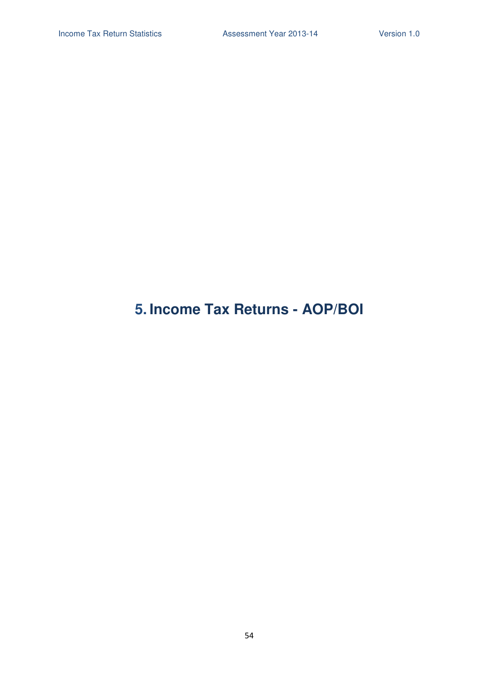## **5. Income Tax Returns - AOP/BOI**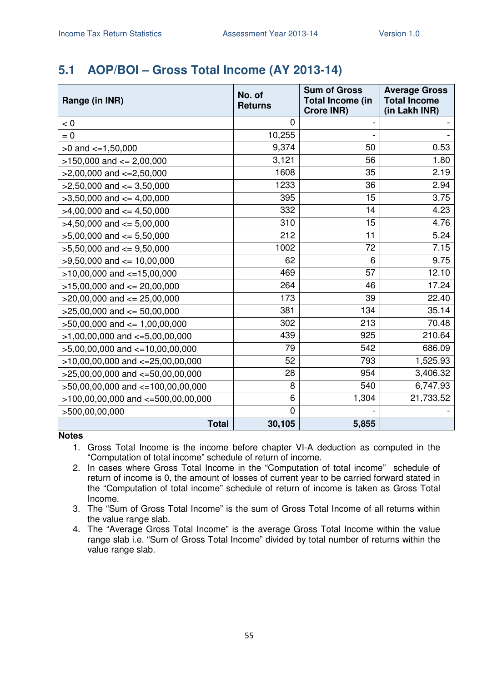### **5.1 AOP/BOI – Gross Total Income (AY 2013-14)**

| Range (in INR)                         | No. of<br><b>Returns</b> | <b>Sum of Gross</b><br><b>Total Income (in</b><br><b>Crore INR)</b> | <b>Average Gross</b><br><b>Total Income</b><br>(in Lakh INR) |
|----------------------------------------|--------------------------|---------------------------------------------------------------------|--------------------------------------------------------------|
| < 0                                    | 0                        |                                                                     |                                                              |
| $= 0$                                  | 10,255                   |                                                                     |                                                              |
| $>0$ and $\lt=1,50,000$                | 9,374                    | 50                                                                  | 0.53                                                         |
| $>150,000$ and $<= 2,00,000$           | 3,121                    | 56                                                                  | 1.80                                                         |
| $>2,00,000$ and $\lt=2,50,000$         | 1608                     | 35                                                                  | 2.19                                                         |
| $>2,50,000$ and $\leq 3,50,000$        | 1233                     | 36                                                                  | 2.94                                                         |
| $>3,50,000$ and $<=4,00,000$           | 395                      | 15                                                                  | 3.75                                                         |
| $>4,00,000$ and $\leq 4,50,000$        | 332                      | 14                                                                  | 4.23                                                         |
| $>4,50,000$ and $\leq 5,00,000$        | 310                      | 15                                                                  | 4.76                                                         |
| $>5,00,000$ and $<= 5,50,000$          | 212                      | 11                                                                  | 5.24                                                         |
| $>5,50,000$ and $<=9,50,000$           | 1002                     | 72                                                                  | 7.15                                                         |
| $>9,50,000$ and $\leq 10,00,000$       | 62                       | 6                                                                   | 9.75                                                         |
| $>10,00,000$ and $<-15,00,000$         | 469                      | 57                                                                  | 12.10                                                        |
| $>15,00,000$ and $<= 20,00,000$        | 264                      | 46                                                                  | 17.24                                                        |
| $>20,00,000$ and $<= 25,00,000$        | 173                      | 39                                                                  | 22.40                                                        |
| $>25,00,000$ and $<= 50,00,000$        | 381                      | 134                                                                 | 35.14                                                        |
| $>50,00,000$ and $<= 1,00,00,000$      | 302                      | 213                                                                 | 70.48                                                        |
| $>1,00,00,000$ and $\lt=5,00,00,000$   | 439                      | 925                                                                 | 210.64                                                       |
| >5,00,00,000 and <=10,00,00,000        | 79                       | 542                                                                 | 686.09                                                       |
| $>10,00,00,000$ and $<=25,00,00,000$   | 52                       | 793                                                                 | 1,525.93                                                     |
| $>25,00,00,000$ and $<=50,00,00,000$   | 28                       | 954                                                                 | 3,406.32                                                     |
| >50,00,00,000 and <=100,00,00,000      | 8                        | 540                                                                 | 6,747.93                                                     |
| $>100,00,00,000$ and $<-500,00,00,000$ | 6                        | 1,304                                                               | 21,733.52                                                    |
| >500,00,00,000                         | 0                        |                                                                     |                                                              |
| <b>Total</b>                           | 30,105                   | 5,855                                                               |                                                              |

- 1. Gross Total Income is the income before chapter VI-A deduction as computed in the "Computation of total income" schedule of return of income.
- 2. In cases where Gross Total Income in the "Computation of total income" schedule of return of income is 0, the amount of losses of current year to be carried forward stated in the "Computation of total income" schedule of return of income is taken as Gross Total Income.
- 3. The "Sum of Gross Total Income" is the sum of Gross Total Income of all returns within the value range slab.
- 4. The "Average Gross Total Income" is the average Gross Total Income within the value range slab i.e. "Sum of Gross Total Income" divided by total number of returns within the value range slab.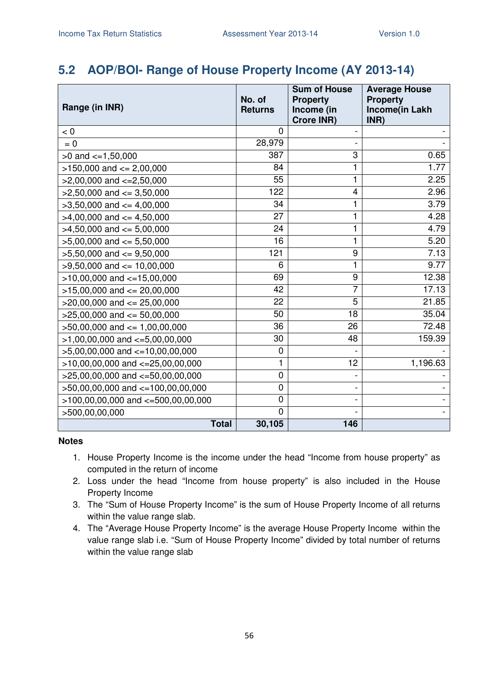#### **5.2 AOP/BOI- Range of House Property Income (AY 2013-14)**

| Range (in INR)                         | No. of<br><b>Returns</b> | <b>Sum of House</b><br><b>Property</b><br>Income (in<br><b>Crore INR)</b> | <b>Average House</b><br><b>Property</b><br>Income(in Lakh<br>INR) |
|----------------------------------------|--------------------------|---------------------------------------------------------------------------|-------------------------------------------------------------------|
| < 0                                    | 0                        |                                                                           |                                                                   |
| $= 0$                                  | 28,979                   |                                                                           |                                                                   |
| $>0$ and $\lt=1,50,000$                | 387                      | 3                                                                         | 0.65                                                              |
| $>150,000$ and $<= 2,00,000$           | 84                       | 1                                                                         | 1.77                                                              |
| $>2,00,000$ and $\lt=2,50,000$         | 55                       | 1                                                                         | 2.25                                                              |
| $>2,50,000$ and $\leq$ 3,50,000        | 122                      | $\overline{\mathbf{4}}$                                                   | 2.96                                                              |
| $>3,50,000$ and $<=4,00,000$           | 34                       | 1                                                                         | 3.79                                                              |
| $>4,00,000$ and $<= 4,50,000$          | 27                       | 1                                                                         | 4.28                                                              |
| $>4,50,000$ and $\leq 5,00,000$        | 24                       | 1                                                                         | 4.79                                                              |
| $>5,00,000$ and $<= 5,50,000$          | 16                       | 1                                                                         | 5.20                                                              |
| $>5,50,000$ and $<=9,50,000$           | 121                      | 9                                                                         | 7.13                                                              |
| $>9,50,000$ and $\leq 10,00,000$       | 6                        | 1                                                                         | 9.77                                                              |
| $>10,00,000$ and $<=15,00,000$         | 69                       | 9                                                                         | 12.38                                                             |
| $>15,00,000$ and $<= 20,00,000$        | 42                       | 7                                                                         | 17.13                                                             |
| $>20,00,000$ and $<= 25,00,000$        | 22                       | 5                                                                         | 21.85                                                             |
| $>25,00,000$ and $<= 50,00,000$        | 50                       | 18                                                                        | 35.04                                                             |
| $>50,00,000$ and $<= 1,00,00,000$      | 36                       | 26                                                                        | 72.48                                                             |
| $>1,00,00,000$ and $\lt=5,00,00,000$   | 30                       | 48                                                                        | 159.39                                                            |
| $>5,00,00,000$ and $\lt=10,00,00,000$  | 0                        |                                                                           |                                                                   |
| $>10,00,00,000$ and $<=25,00,00,000$   | $\mathbf{1}$             | 12                                                                        | 1,196.63                                                          |
| >25,00,00,000 and <= 50,00,00,000      | $\mathbf 0$              |                                                                           |                                                                   |
| >50,00,00,000 and <=100,00,00,000      | $\mathbf 0$              |                                                                           |                                                                   |
| $>100,00,00,000$ and $<-500,00,00,000$ | $\mathbf 0$              |                                                                           |                                                                   |
| >500,00,00,000                         | $\overline{0}$           |                                                                           |                                                                   |
| <b>Total</b>                           | 30,105                   | 146                                                                       |                                                                   |

- 1. House Property Income is the income under the head "Income from house property" as computed in the return of income
- 2. Loss under the head "Income from house property" is also included in the House Property Income
- 3. The "Sum of House Property Income" is the sum of House Property Income of all returns within the value range slab.
- 4. The "Average House Property Income" is the average House Property Income within the value range slab i.e. "Sum of House Property Income" divided by total number of returns within the value range slab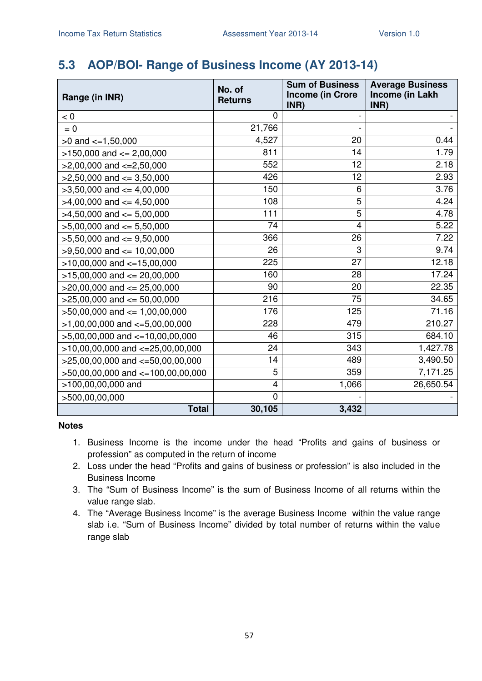### **5.3 AOP/BOI- Range of Business Income (AY 2013-14)**

| Range (in INR)                        | No. of<br><b>Returns</b> | <b>Sum of Business</b><br><b>Income (in Crore</b><br>INR) | <b>Average Business</b><br>Income (in Lakh<br>INR) |
|---------------------------------------|--------------------------|-----------------------------------------------------------|----------------------------------------------------|
| < 0                                   | $\overline{0}$           |                                                           |                                                    |
| $= 0$                                 | 21,766                   |                                                           |                                                    |
| $>0$ and $\lt=1,50,000$               | 4,527                    | 20                                                        | 0.44                                               |
| $>150,000$ and $<= 2,00,000$          | 811                      | 14                                                        | 1.79                                               |
| $>2,00,000$ and $\lt=2,50,000$        | 552                      | 12                                                        | 2.18                                               |
| $>2,50,000$ and $<=3,50,000$          | 426                      | 12                                                        | 2.93                                               |
| $>3,50,000$ and $<=4,00,000$          | 150                      | 6                                                         | 3.76                                               |
| $>4,00,000$ and $\lt=4,50,000$        | 108                      | $\overline{5}$                                            | 4.24                                               |
| $>4,50,000$ and $<=5,00,000$          | 111                      | 5                                                         | 4.78                                               |
| $>5,00,000$ and $<= 5,50,000$         | 74                       | $\overline{\mathbf{4}}$                                   | 5.22                                               |
| $>5,50,000$ and $<=9,50,000$          | 366                      | 26                                                        | 7.22                                               |
| $>9,50,000$ and $<= 10,00,000$        | 26                       | 3                                                         | 9.74                                               |
| $>10,00,000$ and $<-15,00,000$        | 225                      | 27                                                        | 12.18                                              |
| $>15,00,000$ and $<= 20,00,000$       | 160                      | 28                                                        | 17.24                                              |
| $>20,00,000$ and $<= 25,00,000$       | 90                       | 20                                                        | 22.35                                              |
| $>25,00,000$ and $<= 50,00,000$       | 216                      | 75                                                        | 34.65                                              |
| $>50,00,000$ and $\leq 1,00,00,000$   | 176                      | 125                                                       | 71.16                                              |
| $>1,00,00,000$ and $\lt=5,00,00,000$  | 228                      | 479                                                       | 210.27                                             |
| $>5,00,00,000$ and $\lt=10,00,00,000$ | 46                       | 315                                                       | 684.10                                             |
| $>10,00,00,000$ and $<=25,00,00,000$  | 24                       | 343                                                       | 1,427.78                                           |
| >25,00,00,000 and <=50,00,00,000      | 14                       | 489                                                       | 3,490.50                                           |
| $>50,00,00,000$ and $<=100,00,00,000$ | 5                        | 359                                                       | 7,171.25                                           |
| >100,00,00,000 and                    | 4                        | 1,066                                                     | 26,650.54                                          |
| >500,00,00,000                        | $\mathbf 0$              |                                                           |                                                    |
| <b>Total</b>                          | 30,105                   | 3,432                                                     |                                                    |

- 1. Business Income is the income under the head "Profits and gains of business or profession" as computed in the return of income
- 2. Loss under the head "Profits and gains of business or profession" is also included in the Business Income
- 3. The "Sum of Business Income" is the sum of Business Income of all returns within the value range slab.
- 4. The "Average Business Income" is the average Business Income within the value range slab i.e. "Sum of Business Income" divided by total number of returns within the value range slab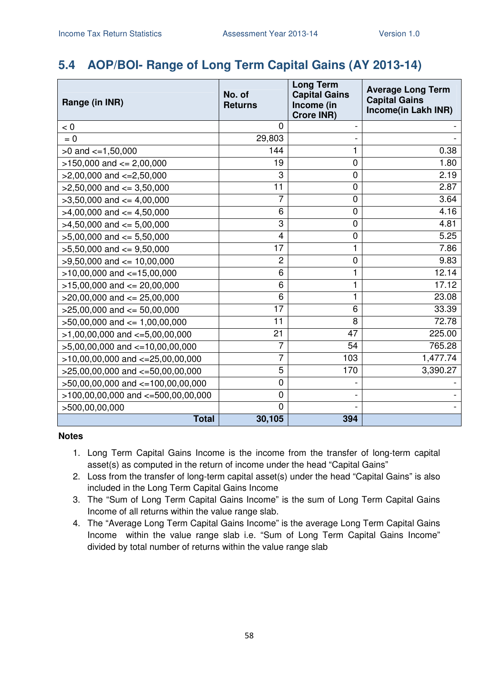### **5.4 AOP/BOI- Range of Long Term Capital Gains (AY 2013-14)**

| Range (in INR)                         | No. of<br><b>Returns</b> | <b>Long Term</b><br><b>Capital Gains</b><br>Income (in<br><b>Crore INR)</b> | <b>Average Long Term</b><br><b>Capital Gains</b><br>Income(in Lakh INR) |
|----------------------------------------|--------------------------|-----------------------------------------------------------------------------|-------------------------------------------------------------------------|
| < 0                                    | $\overline{0}$           |                                                                             |                                                                         |
| $= 0$                                  | 29,803                   |                                                                             |                                                                         |
| $>0$ and $\lt=1,50,000$                | 144                      | 1                                                                           | 0.38                                                                    |
| $>150,000$ and $<= 2,00,000$           | 19                       | 0                                                                           | 1.80                                                                    |
| $>2,00,000$ and $<=2,50,000$           | 3                        | 0                                                                           | 2.19                                                                    |
| $>2,50,000$ and $<=3,50,000$           | 11                       | 0                                                                           | 2.87                                                                    |
| $>3,50,000$ and $<=4,00,000$           | 7                        | 0                                                                           | 3.64                                                                    |
| $>4,00,000$ and $\lt=4,50,000$         | 6                        | 0                                                                           | 4.16                                                                    |
| $>4,50,000$ and $<=5,00,000$           | 3                        | 0                                                                           | 4.81                                                                    |
| $>5,00,000$ and $<= 5,50,000$          | $\overline{4}$           | 0                                                                           | 5.25                                                                    |
| $>5,50,000$ and $<=9,50,000$           | 17                       | 1                                                                           | 7.86                                                                    |
| $>9,50,000$ and $<= 10,00,000$         | $\overline{c}$           | 0                                                                           | 9.83                                                                    |
| $>10,00,000$ and $<=15,00,000$         | 6                        | 1                                                                           | 12.14                                                                   |
| $>15,00,000$ and $<= 20,00,000$        | 6                        | 1                                                                           | 17.12                                                                   |
| $>$ 20,00,000 and $\leq$ 25,00,000     | 6                        | 1                                                                           | 23.08                                                                   |
| $>25,00,000$ and $<= 50,00,000$        | 17                       | 6                                                                           | 33.39                                                                   |
| $>50,00,000$ and $<= 1,00,00,000$      | 11                       | 8                                                                           | 72.78                                                                   |
| $>1,00,00,000$ and $<=5,00,00,000$     | 21                       | 47                                                                          | 225.00                                                                  |
| $>5,00,00,000$ and $<-10,00,00,000$    | 7                        | 54                                                                          | 765.28                                                                  |
| $>10,00,00,000$ and $<=25,00,00,000$   | 7                        | 103                                                                         | 1,477.74                                                                |
| $>25,00,00,000$ and $<=50,00,00,000$   | 5                        | 170                                                                         | 3,390.27                                                                |
| >50,00,00,000 and <=100,00,00,000      | $\mathbf 0$              |                                                                             |                                                                         |
| $>100,00,00,000$ and $<=500,00,00,000$ | $\mathbf 0$              |                                                                             |                                                                         |
| >500,00,00,000                         | $\overline{0}$           |                                                                             |                                                                         |
| <b>Total</b>                           | 30,105                   | 394                                                                         |                                                                         |

- 1. Long Term Capital Gains Income is the income from the transfer of long-term capital asset(s) as computed in the return of income under the head "Capital Gains"
- 2. Loss from the transfer of long-term capital asset(s) under the head "Capital Gains" is also included in the Long Term Capital Gains Income
- 3. The "Sum of Long Term Capital Gains Income" is the sum of Long Term Capital Gains Income of all returns within the value range slab.
- 4. The "Average Long Term Capital Gains Income" is the average Long Term Capital Gains Income within the value range slab i.e. "Sum of Long Term Capital Gains Income" divided by total number of returns within the value range slab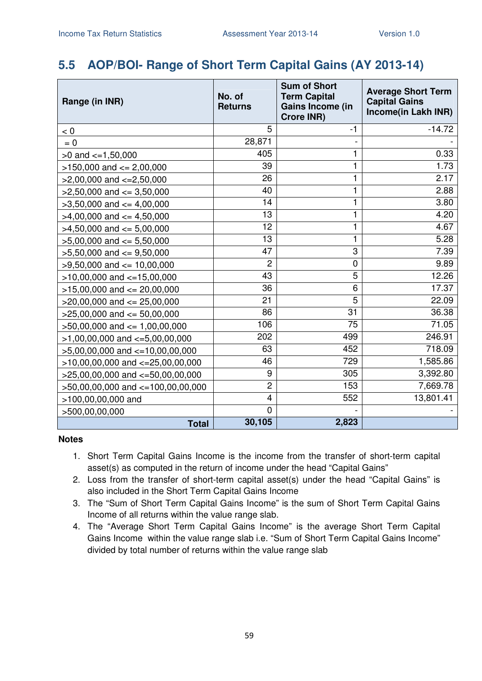### **5.5 AOP/BOI- Range of Short Term Capital Gains (AY 2013-14)**

| Range (in INR)                       | No. of<br><b>Returns</b> | <b>Sum of Short</b><br><b>Term Capital</b><br>Gains Income (in<br><b>Crore INR)</b> | <b>Average Short Term</b><br><b>Capital Gains</b><br>Income(in Lakh INR) |
|--------------------------------------|--------------------------|-------------------------------------------------------------------------------------|--------------------------------------------------------------------------|
| < 0                                  | 5                        | $-1$                                                                                | $-14.72$                                                                 |
| $= 0$                                | 28,871                   |                                                                                     |                                                                          |
| $>0$ and $\lt=1,50,000$              | 405                      | 1                                                                                   | 0.33                                                                     |
| $>150,000$ and $<= 2,00,000$         | 39                       | 1                                                                                   | 1.73                                                                     |
| $>2,00,000$ and $\lt=2,50,000$       | 26                       | 1                                                                                   | 2.17                                                                     |
| $>2,50,000$ and $<=3,50,000$         | 40                       | 1                                                                                   | 2.88                                                                     |
| $>3,50,000$ and $<=4,00,000$         | 14                       | $\mathbf{1}$                                                                        | 3.80                                                                     |
| $>4,00,000$ and $<=4,50,000$         | 13                       | 1                                                                                   | 4.20                                                                     |
| $>4,50,000$ and $<= 5,00,000$        | 12                       | $\mathbf{1}$                                                                        | 4.67                                                                     |
| $>5,00,000$ and $<= 5,50,000$        | 13                       | 1                                                                                   | 5.28                                                                     |
| $>5,50,000$ and $<=9,50,000$         | 47                       | 3                                                                                   | 7.39                                                                     |
| $>9,50,000$ and $<= 10,00,000$       | $\overline{2}$           | $\overline{0}$                                                                      | 9.89                                                                     |
| $>10,00,000$ and $<=15,00,000$       | 43                       | 5                                                                                   | 12.26                                                                    |
| $>15,00,000$ and $<= 20,00,000$      | 36                       | 6                                                                                   | 17.37                                                                    |
| $>20,00,000$ and $<= 25,00,000$      | 21                       | $\overline{5}$                                                                      | 22.09                                                                    |
| $>25,00,000$ and $<= 50,00,000$      | 86                       | 31                                                                                  | 36.38                                                                    |
| $>50,00,000$ and $<= 1,00,00,000$    | 106                      | 75                                                                                  | 71.05                                                                    |
| $>1,00,00,000$ and $\lt=5,00,00,000$ | 202                      | 499                                                                                 | 246.91                                                                   |
| $>5,00,00,000$ and $<-10,00,00,000$  | 63                       | 452                                                                                 | 718.09                                                                   |
| $>10,00,00,000$ and $<-25,00,00,000$ | 46                       | 729                                                                                 | 1,585.86                                                                 |
| $>25,00,00,000$ and $<=50,00,00,000$ | 9                        | 305                                                                                 | 3,392.80                                                                 |
| >50,00,00,000 and <=100,00,00,000    | $\overline{c}$           | 153                                                                                 | 7,669.78                                                                 |
| >100,00,00,000 and                   | $\overline{4}$           | 552                                                                                 | 13,801.41                                                                |
| >500,00,00,000                       | $\overline{0}$           |                                                                                     |                                                                          |
| <b>Total</b>                         | 30,105                   | 2,823                                                                               |                                                                          |

- 1. Short Term Capital Gains Income is the income from the transfer of short-term capital asset(s) as computed in the return of income under the head "Capital Gains"
- 2. Loss from the transfer of short-term capital asset(s) under the head "Capital Gains" is also included in the Short Term Capital Gains Income
- 3. The "Sum of Short Term Capital Gains Income" is the sum of Short Term Capital Gains Income of all returns within the value range slab.
- 4. The "Average Short Term Capital Gains Income" is the average Short Term Capital Gains Income within the value range slab i.e. "Sum of Short Term Capital Gains Income" divided by total number of returns within the value range slab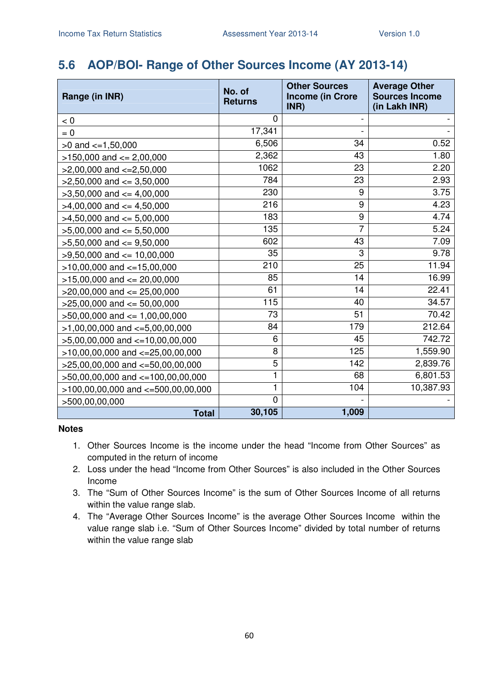### **5.6 AOP/BOI- Range of Other Sources Income (AY 2013-14)**

| Range (in INR)                           | No. of<br><b>Returns</b> | <b>Other Sources</b><br><b>Income (in Crore</b><br>INR) | <b>Average Other</b><br><b>Sources Income</b><br>(in Lakh INR) |
|------------------------------------------|--------------------------|---------------------------------------------------------|----------------------------------------------------------------|
| < 0                                      | 0                        |                                                         |                                                                |
| $= 0$                                    | 17,341                   |                                                         |                                                                |
| $>0$ and $\leq$ =1,50,000                | 6,506                    | 34                                                      | 0.52                                                           |
| $>150,000$ and $<= 2,00,000$             | 2,362                    | 43                                                      | 1.80                                                           |
| $>2,00,000$ and $\lt=2,50,000$           | 1062                     | 23                                                      | 2.20                                                           |
| $>2,50,000$ and $<=3,50,000$             | 784                      | 23                                                      | 2.93                                                           |
| $>3,50,000$ and $<=4,00,000$             | 230                      | 9                                                       | 3.75                                                           |
| $>4,00,000$ and $\leq 4,50,000$          | 216                      | 9                                                       | 4.23                                                           |
| $>4,50,000$ and $\leq 5,00,000$          | 183                      | 9                                                       | 4.74                                                           |
| $>5,00,000$ and $<= 5,50,000$            | 135                      | $\overline{7}$                                          | 5.24                                                           |
| $>5,50,000$ and $\lt$ = 9,50,000         | 602                      | 43                                                      | 7.09                                                           |
| $>9,50,000$ and $<= 10,00,000$           | 35                       | 3                                                       | 9.78                                                           |
| $>10,00,000$ and $<-15,00,000$           | 210                      | 25                                                      | 11.94                                                          |
| $>15,00,000$ and $<= 20,00,000$          | 85                       | 14                                                      | 16.99                                                          |
| $>20,00,000$ and $<= 25,00,000$          | 61                       | 14                                                      | 22.41                                                          |
| $>25,00,000$ and $<= 50,00,000$          | 115                      | 40                                                      | 34.57                                                          |
| $>50,00,000$ and $<= 1,00,00,000$        | 73                       | 51                                                      | 70.42                                                          |
| $>1,00,00,000$ and $\lt=5,00,00,000$     | 84                       | 179                                                     | 212.64                                                         |
| $>5,00,00,000$ and $<-10,00,00,000$      | 6                        | 45                                                      | 742.72                                                         |
| $>10,00,00,000$ and $<=25,00,00,000$     | 8                        | 125                                                     | 1,559.90                                                       |
| $>25,00,00,000$ and $<=50,00,00,000$     | 5                        | 142                                                     | 2,839.76                                                       |
| >50,00,00,000 and <=100,00,00,000        | 1                        | 68                                                      | 6,801.53                                                       |
| $>100,00,00,000$ and $\lt=500,00,00,000$ | $\mathbf{1}$             | 104                                                     | 10,387.93                                                      |
| >500,00,00,000                           | 0                        |                                                         |                                                                |
| <b>Total</b>                             | 30,105                   | 1,009                                                   |                                                                |

- 1. Other Sources Income is the income under the head "Income from Other Sources" as computed in the return of income
- 2. Loss under the head "Income from Other Sources" is also included in the Other Sources Income
- 3. The "Sum of Other Sources Income" is the sum of Other Sources Income of all returns within the value range slab.
- 4. The "Average Other Sources Income" is the average Other Sources Income within the value range slab i.e. "Sum of Other Sources Income" divided by total number of returns within the value range slab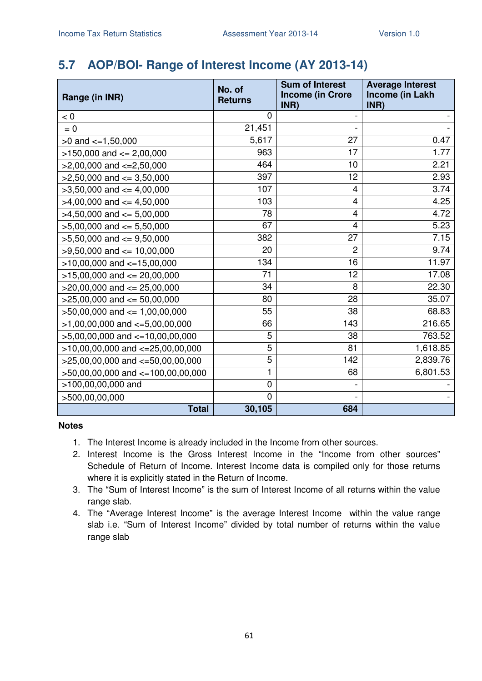### **5.7 AOP/BOI- Range of Interest Income (AY 2013-14)**

| Range (in INR)                        | No. of<br><b>Returns</b> | <b>Sum of Interest</b><br><b>Income (in Crore</b><br>INR) | <b>Average Interest</b><br>Income (in Lakh<br>INR) |
|---------------------------------------|--------------------------|-----------------------------------------------------------|----------------------------------------------------|
| < 0                                   | $\Omega$                 |                                                           |                                                    |
| $= 0$                                 | 21,451                   |                                                           |                                                    |
| $>0$ and $\lt=1,50,000$               | 5,617                    | 27                                                        | 0.47                                               |
| $>150,000$ and $<= 2,00,000$          | 963                      | 17                                                        | 1.77                                               |
| $>2,00,000$ and $\lt=2,50,000$        | 464                      | 10                                                        | 2.21                                               |
| $>2,50,000$ and $<=3,50,000$          | 397                      | 12                                                        | 2.93                                               |
| $>3,50,000$ and $<=4,00,000$          | 107                      | 4                                                         | 3.74                                               |
| $>4,00,000$ and $\leq 4,50,000$       | 103                      | 4                                                         | 4.25                                               |
| $>4,50,000$ and $\leq 5,00,000$       | 78                       | 4                                                         | 4.72                                               |
| $>5,00,000$ and $<= 5,50,000$         | 67                       | 4                                                         | 5.23                                               |
| $>5,50,000$ and $<=9,50,000$          | 382                      | 27                                                        | 7.15                                               |
| $>9,50,000$ and $\leq 10,00,000$      | 20                       | 2                                                         | 9.74                                               |
| $>10,00,000$ and $<=15,00,000$        | 134                      | 16                                                        | 11.97                                              |
| $>15,00,000$ and $<= 20,00,000$       | 71                       | 12                                                        | 17.08                                              |
| $>20,00,000$ and $\leq$ 25,00,000     | 34                       | 8                                                         | 22.30                                              |
| $>25,00,000$ and $\leq 50,00,000$     | 80                       | 28                                                        | 35.07                                              |
| $>50,00,000$ and $<= 1,00,00,000$     | 55                       | 38                                                        | 68.83                                              |
| $>1,00,00,000$ and $<=5,00,00,000$    | 66                       | 143                                                       | 216.65                                             |
| $>5,00,00,000$ and $\lt=10,00,00,000$ | 5                        | 38                                                        | 763.52                                             |
| $>10,00,00,000$ and $<=25,00,00,000$  | 5                        | 81                                                        | 1,618.85                                           |
| $>25,00,00,000$ and $<-50,00,00,000$  | 5                        | 142                                                       | 2,839.76                                           |
| $>50,00,00,000$ and $<=100,00,00,000$ | 1                        | 68                                                        | 6,801.53                                           |
| >100,00,00,000 and                    | $\mathbf 0$              |                                                           |                                                    |
| >500,00,00,000                        | $\mathbf 0$              |                                                           |                                                    |
| <b>Total</b>                          | 30,105                   | 684                                                       |                                                    |

- 1. The Interest Income is already included in the Income from other sources.
- 2. Interest Income is the Gross Interest Income in the "Income from other sources" Schedule of Return of Income. Interest Income data is compiled only for those returns where it is explicitly stated in the Return of Income.
- 3. The "Sum of Interest Income" is the sum of Interest Income of all returns within the value range slab.
- 4. The "Average Interest Income" is the average Interest Income within the value range slab i.e. "Sum of Interest Income" divided by total number of returns within the value range slab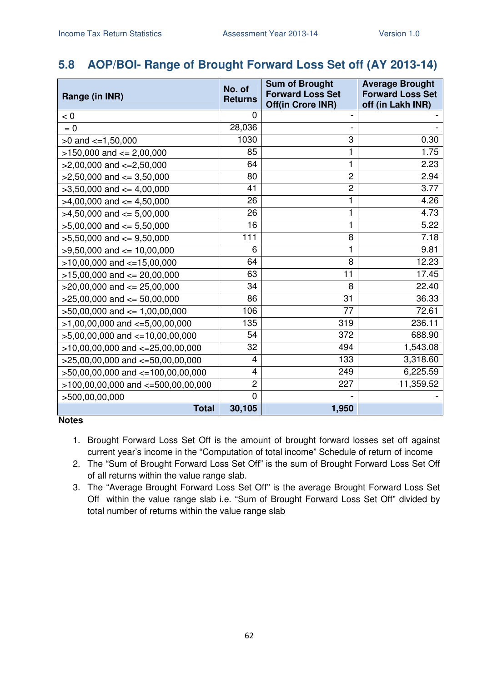### **5.8 AOP/BOI- Range of Brought Forward Loss Set off (AY 2013-14)**

| Range (in INR)                         | No. of<br><b>Returns</b> | <b>Sum of Brought</b><br><b>Forward Loss Set</b><br><b>Off(in Crore INR)</b> | <b>Average Brought</b><br><b>Forward Loss Set</b><br>off (in Lakh INR) |
|----------------------------------------|--------------------------|------------------------------------------------------------------------------|------------------------------------------------------------------------|
| < 0                                    | 0                        |                                                                              |                                                                        |
| $= 0$                                  | 28,036                   |                                                                              |                                                                        |
| $>0$ and $\lt=1,50,000$                | 1030                     | 3                                                                            | 0.30                                                                   |
| $>150,000$ and $<= 2,00,000$           | 85                       | 1                                                                            | 1.75                                                                   |
| $>2,00,000$ and $\lt=2,50,000$         | 64                       | 1                                                                            | 2.23                                                                   |
| $>2,50,000$ and $<=3,50,000$           | 80                       | $\overline{2}$                                                               | 2.94                                                                   |
| $>3,50,000$ and $<=4,00,000$           | 41                       | $\overline{c}$                                                               | 3.77                                                                   |
| $>4,00,000$ and $\leq 4,50,000$        | 26                       | 1                                                                            | 4.26                                                                   |
| $>4,50,000$ and $<=5,00,000$           | 26                       | 1                                                                            | 4.73                                                                   |
| $>5,00,000$ and $<= 5,50,000$          | 16                       | 1                                                                            | 5.22                                                                   |
| $>5,50,000$ and $<=9,50,000$           | 111                      | 8                                                                            | 7.18                                                                   |
| $>9,50,000$ and $<= 10,00,000$         | 6                        | 1                                                                            | 9.81                                                                   |
| $>10,00,000$ and $<-15,00,000$         | 64                       | 8                                                                            | 12.23                                                                  |
| $>15,00,000$ and $<= 20,00,000$        | 63                       | 11                                                                           | 17.45                                                                  |
| $>20,00,000$ and $\leq$ 25,00,000      | 34                       | 8                                                                            | 22.40                                                                  |
| $>25,00,000$ and $<= 50,00,000$        | 86                       | 31                                                                           | 36.33                                                                  |
| $>50,00,000$ and $<= 1,00,00,000$      | 106                      | 77                                                                           | 72.61                                                                  |
| $>1,00,00,000$ and $\lt=5,00,00,000$   | 135                      | 319                                                                          | 236.11                                                                 |
| $>5,00,00,000$ and $<=10,00,00,000$    | 54                       | 372                                                                          | 688.90                                                                 |
| $>10,00,00,000$ and $<=25,00,00,000$   | 32                       | 494                                                                          | 1,543.08                                                               |
| $>25,00,00,000$ and $<-50,00,00,000$   | 4                        | 133                                                                          | 3,318.60                                                               |
| >50,00,00,000 and <=100,00,00,000      | 4                        | 249                                                                          | 6,225.59                                                               |
| $>100,00,00,000$ and $<=500,00,00,000$ | $\overline{c}$           | 227                                                                          | 11,359.52                                                              |
| >500,00,00,000                         | 0                        |                                                                              |                                                                        |
| <b>Total</b>                           | 30,105                   | 1,950                                                                        |                                                                        |

- 1. Brought Forward Loss Set Off is the amount of brought forward losses set off against current year's income in the "Computation of total income" Schedule of return of income
- 2. The "Sum of Brought Forward Loss Set Off" is the sum of Brought Forward Loss Set Off of all returns within the value range slab.
- 3. The "Average Brought Forward Loss Set Off" is the average Brought Forward Loss Set Off within the value range slab i.e. "Sum of Brought Forward Loss Set Off" divided by total number of returns within the value range slab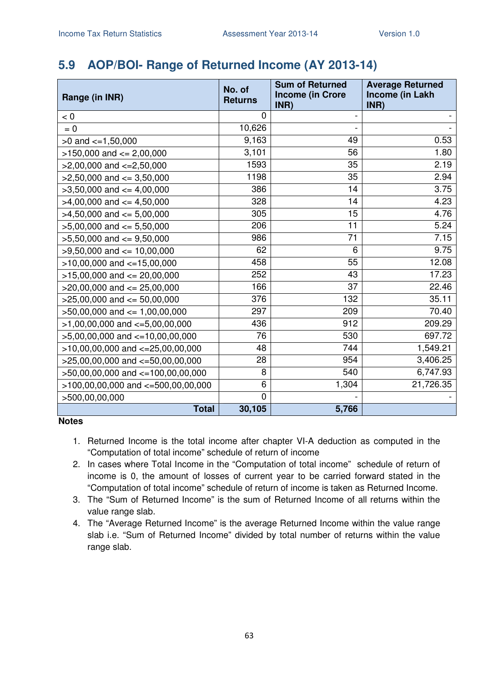### **5.9 AOP/BOI- Range of Returned Income (AY 2013-14)**

| Range (in INR)                           | No. of<br><b>Returns</b> | <b>Sum of Returned</b><br><b>Income (in Crore</b> | <b>Average Returned</b><br>Income (in Lakh |
|------------------------------------------|--------------------------|---------------------------------------------------|--------------------------------------------|
| < 0                                      | 0                        | INR)                                              | INR)                                       |
| $= 0$                                    | 10,626                   |                                                   |                                            |
| $>0$ and $\lt=1,50,000$                  | 9,163                    | 49                                                | 0.53                                       |
| $>150,000$ and $<= 2,00,000$             | 3,101                    | 56                                                | 1.80                                       |
| $>2,00,000$ and $\lt=2,50,000$           | 1593                     | 35                                                | 2.19                                       |
|                                          | 1198                     | 35                                                | 2.94                                       |
| $>2,50,000$ and $<=3,50,000$             | 386                      | 14                                                | 3.75                                       |
| $>3,50,000$ and $<=4,00,000$             | 328                      | 14                                                | 4.23                                       |
| $>4,00,000$ and $\lt=4,50,000$           |                          |                                                   |                                            |
| $>4,50,000$ and $\leq 5,00,000$          | 305                      | 15                                                | 4.76                                       |
| $>5,00,000$ and $<= 5,50,000$            | 206                      | 11                                                | 5.24                                       |
| $>5,50,000$ and $<=9,50,000$             | 986                      | 71                                                | 7.15                                       |
| $>9,50,000$ and $\leq 10,00,000$         | 62                       | 6                                                 | 9.75                                       |
| $>10,00,000$ and $<=15,00,000$           | 458                      | 55                                                | 12.08                                      |
| $>15,00,000$ and $<= 20,00,000$          | 252                      | 43                                                | 17.23                                      |
| $>20,00,000$ and $<= 25,00,000$          | 166                      | 37                                                | 22.46                                      |
| $>25,00,000$ and $<= 50,00,000$          | 376                      | 132                                               | 35.11                                      |
| $>50,00,000$ and $<= 1,00,00,000$        | 297                      | 209                                               | 70.40                                      |
| $>1,00,00,000$ and $\lt=5,00,00,000$     | 436                      | 912                                               | 209.29                                     |
| $>5,00,00,000$ and $\lt=10,00,00,000$    | 76                       | 530                                               | 697.72                                     |
| $>10,00,00,000$ and $<=25,00,00,000$     | 48                       | 744                                               | 1,549.21                                   |
| $>25,00,00,000$ and $<=50,00,00,000$     | 28                       | 954                                               | 3,406.25                                   |
| >50,00,00,000 and <=100,00,00,000        | 8                        | 540                                               | 6,747.93                                   |
| $>100,00,00,000$ and $\lt=500,00,00,000$ | 6                        | 1,304                                             | 21,726.35                                  |
| >500,00,00,000                           | $\overline{0}$           |                                                   |                                            |
| <b>Total</b>                             | 30,105                   | 5,766                                             |                                            |

- 1. Returned Income is the total income after chapter VI-A deduction as computed in the "Computation of total income" schedule of return of income
- 2. In cases where Total Income in the "Computation of total income" schedule of return of income is 0, the amount of losses of current year to be carried forward stated in the "Computation of total income" schedule of return of income is taken as Returned Income.
- 3. The "Sum of Returned Income" is the sum of Returned Income of all returns within the value range slab.
- 4. The "Average Returned Income" is the average Returned Income within the value range slab i.e. "Sum of Returned Income" divided by total number of returns within the value range slab.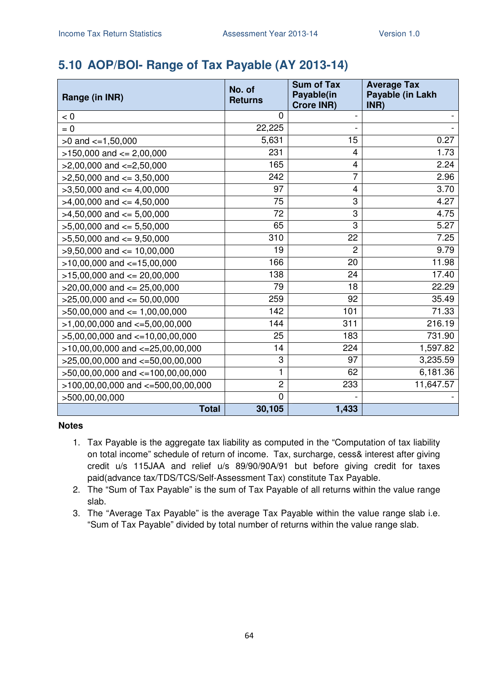### **5.10 AOP/BOI- Range of Tax Payable (AY 2013-14)**

| Range (in INR)                         | No. of<br><b>Returns</b> | <b>Sum of Tax</b><br>Payable(in<br><b>Crore INR)</b> | <b>Average Tax</b><br>Payable (in Lakh<br>INR) |
|----------------------------------------|--------------------------|------------------------------------------------------|------------------------------------------------|
| < 0                                    | $\mathbf 0$              |                                                      |                                                |
| $= 0$                                  | 22,225                   |                                                      |                                                |
| $>0$ and $\lt=1,50,000$                | 5,631                    | 15                                                   | 0.27                                           |
| $>150,000$ and $<= 2,00,000$           | 231                      | 4                                                    | 1.73                                           |
| $>2,00,000$ and $\lt=2,50,000$         | 165                      | 4                                                    | 2.24                                           |
| $>2,50,000$ and $<=3,50,000$           | 242                      | 7                                                    | 2.96                                           |
| $>3,50,000$ and $<=4,00,000$           | 97                       | 4                                                    | 3.70                                           |
| $>4,00,000$ and $\lt=4,50,000$         | 75                       | 3                                                    | 4.27                                           |
| $>4,50,000$ and $<=5,00,000$           | 72                       | 3                                                    | 4.75                                           |
| $>5,00,000$ and $<= 5,50,000$          | 65                       | 3                                                    | 5.27                                           |
| $>5,50,000$ and $<=9,50,000$           | 310                      | 22                                                   | 7.25                                           |
| $>9,50,000$ and $\leq 10,00,000$       | 19                       | $\overline{c}$                                       | 9.79                                           |
| $>10,00,000$ and $<=15,00,000$         | 166                      | 20                                                   | 11.98                                          |
| $>15,00,000$ and $<= 20,00,000$        | 138                      | 24                                                   | 17.40                                          |
| $>20,00,000$ and $<= 25,00,000$        | 79                       | 18                                                   | 22.29                                          |
| $>25,00,000$ and $<= 50,00,000$        | 259                      | 92                                                   | 35.49                                          |
| $>50,00,000$ and $<= 1,00,00,000$      | 142                      | 101                                                  | 71.33                                          |
| $>1,00,00,000$ and $\lt=5,00,00,000$   | 144                      | 311                                                  | 216.19                                         |
| $>5,00,00,000$ and $\lt=10,00,00,000$  | 25                       | 183                                                  | 731.90                                         |
| $>10,00,00,000$ and $<=25,00,00,000$   | 14                       | 224                                                  | 1,597.82                                       |
| $>25,00,00,000$ and $<=50,00,00,000$   | 3                        | 97                                                   | 3,235.59                                       |
| >50,00,00,000 and <=100,00,00,000      | 1                        | 62                                                   | 6,181.36                                       |
| $>100,00,00,000$ and $<=500,00,00,000$ | $\overline{c}$           | 233                                                  | 11,647.57                                      |
| >500,00,00,000                         | $\overline{0}$           |                                                      |                                                |
| <b>Total</b>                           | 30,105                   | 1,433                                                |                                                |

- 1. Tax Payable is the aggregate tax liability as computed in the "Computation of tax liability on total income" schedule of return of income. Tax, surcharge, cess& interest after giving credit u/s 115JAA and relief u/s 89/90/90A/91 but before giving credit for taxes paid(advance tax/TDS/TCS/Self-Assessment Tax) constitute Tax Payable.
- 2. The "Sum of Tax Payable" is the sum of Tax Payable of all returns within the value range slab.
- 3. The "Average Tax Payable" is the average Tax Payable within the value range slab i.e. "Sum of Tax Payable" divided by total number of returns within the value range slab.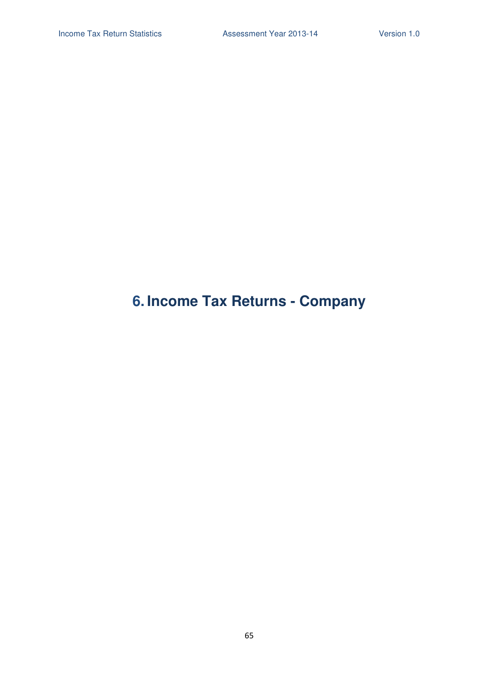# **6. Income Tax Returns - Company**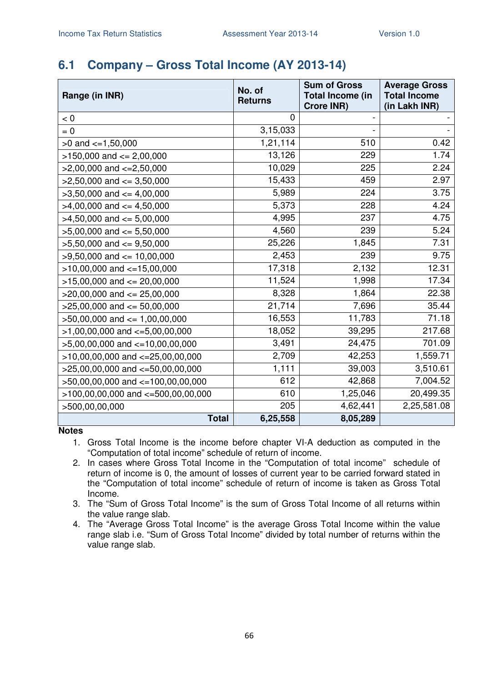### **6.1 Company – Gross Total Income (AY 2013-14)**

| Range (in INR)                         | No. of<br><b>Returns</b> | <b>Sum of Gross</b><br><b>Total Income (in</b><br><b>Crore INR)</b> | <b>Average Gross</b><br><b>Total Income</b><br>(in Lakh INR) |
|----------------------------------------|--------------------------|---------------------------------------------------------------------|--------------------------------------------------------------|
| < 0                                    | 0                        |                                                                     |                                                              |
| $= 0$                                  | 3,15,033                 |                                                                     |                                                              |
| $>0$ and $\lt=1,50,000$                | 1,21,114                 | 510                                                                 | 0.42                                                         |
| $>150,000$ and $<= 2,00,000$           | 13,126                   | 229                                                                 | 1.74                                                         |
| $>2,00,000$ and $\lt=2,50,000$         | 10,029                   | 225                                                                 | 2.24                                                         |
| $>2,50,000$ and $\leq 3,50,000$        | 15,433                   | 459                                                                 | 2.97                                                         |
| $>3,50,000$ and $<=4,00,000$           | 5,989                    | 224                                                                 | 3.75                                                         |
| $>4,00,000$ and $\leq 4,50,000$        | 5,373                    | 228                                                                 | 4.24                                                         |
| $>4,50,000$ and $<= 5,00,000$          | 4,995                    | 237                                                                 | 4.75                                                         |
| $>5,00,000$ and $<= 5,50,000$          | 4,560                    | 239                                                                 | 5.24                                                         |
| $>5,50,000$ and $<=9,50,000$           | 25,226                   | 1,845                                                               | 7.31                                                         |
| $>9,50,000$ and $<= 10,00,000$         | 2,453                    | 239                                                                 | 9.75                                                         |
| $>10,00,000$ and $<-15,00,000$         | 17,318                   | 2,132                                                               | 12.31                                                        |
| $>15,00,000$ and $<= 20,00,000$        | 11,524                   | 1,998                                                               | 17.34                                                        |
| $>20,00,000$ and $\leq$ 25,00,000      | 8,328                    | 1,864                                                               | 22.38                                                        |
| $>25,00,000$ and $<= 50,00,000$        | 21,714                   | 7,696                                                               | 35.44                                                        |
| $>50,00,000$ and $<= 1,00,00,000$      | 16,553                   | 11,783                                                              | 71.18                                                        |
| $>1,00,00,000$ and $\lt=5,00,00,000$   | 18,052                   | 39,295                                                              | 217.68                                                       |
| $>5,00,00,000$ and $\lt=10,00,00,000$  | 3,491                    | 24,475                                                              | 701.09                                                       |
| $>10,00,00,000$ and $<=25,00,00,000$   | 2,709                    | 42,253                                                              | 1,559.71                                                     |
| $>25,00,00,000$ and $<=50,00,00,000$   | 1,111                    | 39,003                                                              | 3,510.61                                                     |
| >50,00,00,000 and <=100,00,00,000      | 612                      | 42,868                                                              | 7,004.52                                                     |
| $>100,00,00,000$ and $<=500,00,00,000$ | 610                      | 1,25,046                                                            | 20,499.35                                                    |
| >500,00,00,000                         | 205                      | 4,62,441                                                            | 2,25,581.08                                                  |
| <b>Total</b>                           | 6,25,558                 | 8,05,289                                                            |                                                              |

- 1. Gross Total Income is the income before chapter VI-A deduction as computed in the "Computation of total income" schedule of return of income.
- 2. In cases where Gross Total Income in the "Computation of total income" schedule of return of income is 0, the amount of losses of current year to be carried forward stated in the "Computation of total income" schedule of return of income is taken as Gross Total Income.
- 3. The "Sum of Gross Total Income" is the sum of Gross Total Income of all returns within the value range slab.
- 4. The "Average Gross Total Income" is the average Gross Total Income within the value range slab i.e. "Sum of Gross Total Income" divided by total number of returns within the value range slab.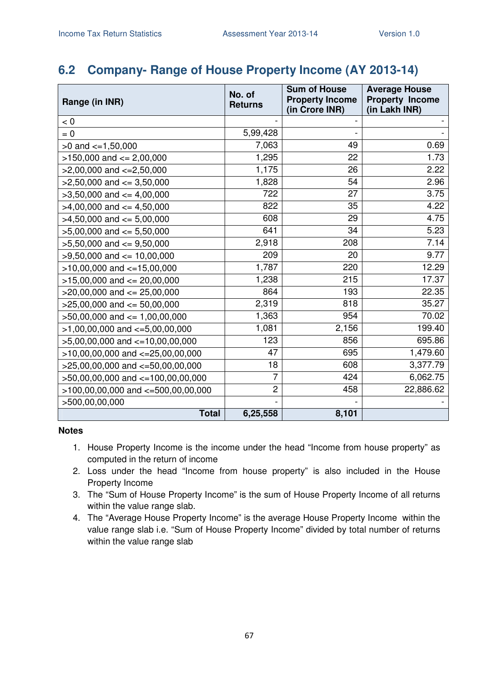#### **6.2 Company- Range of House Property Income (AY 2013-14)**

| Range (in INR)                         | No. of<br><b>Returns</b> | <b>Sum of House</b><br><b>Property Income</b><br>(in Crore INR) | <b>Average House</b><br><b>Property Income</b><br>(in Lakh INR) |
|----------------------------------------|--------------------------|-----------------------------------------------------------------|-----------------------------------------------------------------|
| < 0                                    |                          |                                                                 |                                                                 |
| $= 0$                                  | 5,99,428                 |                                                                 |                                                                 |
| $>0$ and $\leq$ =1,50,000              | 7,063                    | 49                                                              | 0.69                                                            |
| $>150,000$ and $<= 2,00,000$           | 1,295                    | 22                                                              | 1.73                                                            |
| $>2,00,000$ and $\lt=2,50,000$         | 1,175                    | 26                                                              | 2.22                                                            |
| $>2,50,000$ and $\leq 3,50,000$        | 1,828                    | 54                                                              | 2.96                                                            |
| $>3,50,000$ and $<= 4,00,000$          | 722                      | 27                                                              | 3.75                                                            |
| $>4,00,000$ and $\leq 4,50,000$        | 822                      | 35                                                              | 4.22                                                            |
| $>4,50,000$ and $\leq 5,00,000$        | 608                      | 29                                                              | 4.75                                                            |
| $>5,00,000$ and $<= 5,50,000$          | 641                      | 34                                                              | 5.23                                                            |
| $>5,50,000$ and $<=9,50,000$           | 2,918                    | 208                                                             | 7.14                                                            |
| $>9,50,000$ and $\leq 10,00,000$       | 209                      | 20                                                              | 9.77                                                            |
| $>10,00,000$ and $<=15,00,000$         | 1,787                    | 220                                                             | 12.29                                                           |
| $>15,00,000$ and $<= 20,00,000$        | 1,238                    | 215                                                             | 17.37                                                           |
| $>20,00,000$ and $<= 25,00,000$        | 864                      | 193                                                             | 22.35                                                           |
| $>25,00,000$ and $<= 50,00,000$        | 2,319                    | 818                                                             | 35.27                                                           |
| $>50,00,000$ and $\leq 1,00,00,000$    | 1,363                    | 954                                                             | 70.02                                                           |
| $>1,00,00,000$ and $\lt=5,00,00,000$   | 1,081                    | 2,156                                                           | 199.40                                                          |
| $>5,00,00,000$ and $\lt=10,00,00,000$  | 123                      | 856                                                             | 695.86                                                          |
| $>10,00,00,000$ and $<-25,00,00,000$   | 47                       | 695                                                             | 1,479.60                                                        |
| >25,00,00,000 and <=50,00,00,000       | 18                       | 608                                                             | 3,377.79                                                        |
| >50,00,00,000 and <=100,00,00,000      | 7                        | 424                                                             | 6,062.75                                                        |
| $>100,00,00,000$ and $<=500,00,00,000$ | $\overline{c}$           | 458                                                             | 22,886.62                                                       |
| >500,00,00,000                         |                          |                                                                 |                                                                 |
| <b>Total</b>                           | 6,25,558                 | 8,101                                                           |                                                                 |

- 1. House Property Income is the income under the head "Income from house property" as computed in the return of income
- 2. Loss under the head "Income from house property" is also included in the House Property Income
- 3. The "Sum of House Property Income" is the sum of House Property Income of all returns within the value range slab.
- 4. The "Average House Property Income" is the average House Property Income within the value range slab i.e. "Sum of House Property Income" divided by total number of returns within the value range slab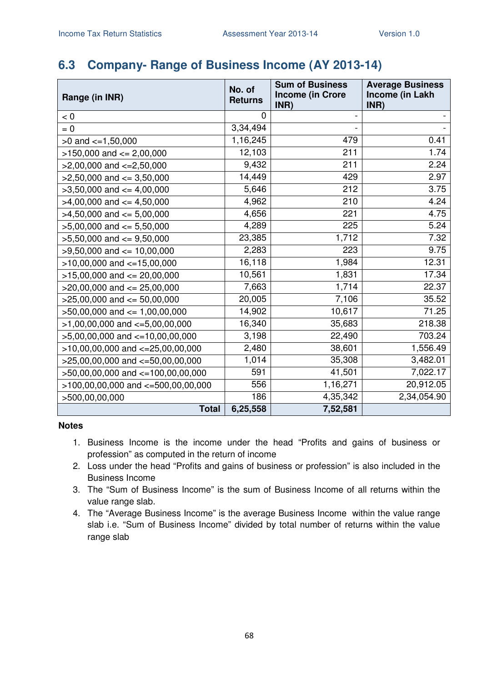### **6.3 Company- Range of Business Income (AY 2013-14)**

| Range (in INR)                         | No. of<br><b>Returns</b> | <b>Sum of Business</b><br><b>Income (in Crore</b> | <b>Average Business</b><br>Income (in Lakh |
|----------------------------------------|--------------------------|---------------------------------------------------|--------------------------------------------|
|                                        | 0                        | INR)                                              | INR)                                       |
| < 0                                    |                          |                                                   |                                            |
| $= 0$                                  | 3,34,494                 |                                                   |                                            |
| $>0$ and $\lt=1,50,000$                | 1,16,245                 | 479                                               | 0.41                                       |
| $>150,000$ and $<= 2,00,000$           | 12,103                   | 211                                               | 1.74                                       |
| $>2,00,000$ and $\lt=2,50,000$         | 9,432                    | 211                                               | 2.24                                       |
| $>2,50,000$ and $<=3,50,000$           | 14,449                   | 429                                               | 2.97                                       |
| $>3,50,000$ and $<=4,00,000$           | 5,646                    | 212                                               | 3.75                                       |
| $>4,00,000$ and $\lt=4,50,000$         | 4,962                    | 210                                               | 4.24                                       |
| $>4,50,000$ and $<=5,00,000$           | 4,656                    | 221                                               | 4.75                                       |
| $>5,00,000$ and $<= 5,50,000$          | 4,289                    | 225                                               | 5.24                                       |
| $>5,50,000$ and $<=9,50,000$           | 23,385                   | 1,712                                             | 7.32                                       |
| $>9,50,000$ and $<= 10,00,000$         | 2,283                    | 223                                               | 9.75                                       |
| $>10,00,000$ and $<-15,00,000$         | 16,118                   | 1,984                                             | 12.31                                      |
| $>15,00,000$ and $<= 20,00,000$        | 10,561                   | 1,831                                             | 17.34                                      |
| $>20,00,000$ and $<= 25,00,000$        | 7,663                    | 1,714                                             | 22.37                                      |
| $>25,00,000$ and $<= 50,00,000$        | 20,005                   | 7,106                                             | 35.52                                      |
| $>50,00,000$ and $\leq 1,00,00,000$    | 14,902                   | 10,617                                            | 71.25                                      |
| $>1,00,00,000$ and $\lt=5,00,00,000$   | 16,340                   | 35,683                                            | 218.38                                     |
| $>5,00,00,000$ and $\lt=10,00,00,000$  | 3,198                    | 22,490                                            | 703.24                                     |
| $>10,00,00,000$ and $<=25,00,00,000$   | 2,480                    | 38,601                                            | 1,556.49                                   |
| $>25,00,00,000$ and $<-50,00,00,000$   | 1,014                    | 35,308                                            | 3,482.01                                   |
| $>50,00,00,000$ and $<=100,00,00,000$  | 591                      | 41,501                                            | 7,022.17                                   |
| $>100,00,00,000$ and $<=500,00,00,000$ | 556                      | 1,16,271                                          | 20,912.05                                  |
| >500,00,00,000                         | 186                      | 4,35,342                                          | 2,34,054.90                                |
| <b>Total</b>                           | 6,25,558                 | 7,52,581                                          |                                            |

- 1. Business Income is the income under the head "Profits and gains of business or profession" as computed in the return of income
- 2. Loss under the head "Profits and gains of business or profession" is also included in the Business Income
- 3. The "Sum of Business Income" is the sum of Business Income of all returns within the value range slab.
- 4. The "Average Business Income" is the average Business Income within the value range slab i.e. "Sum of Business Income" divided by total number of returns within the value range slab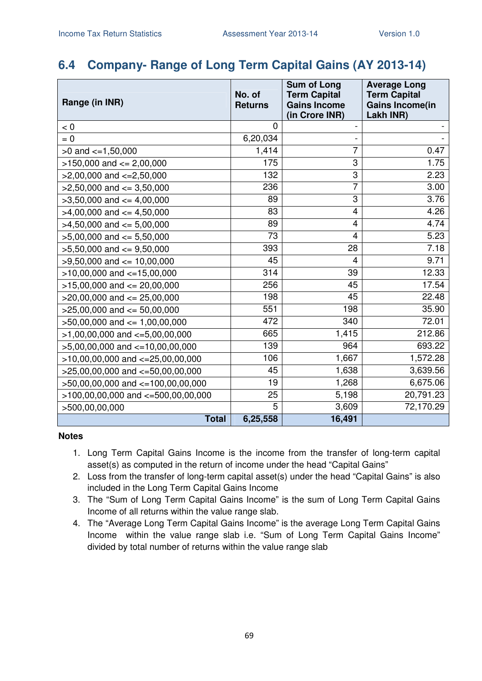### **6.4 Company- Range of Long Term Capital Gains (AY 2013-14)**

| Range (in INR)                         | No. of<br><b>Returns</b> | <b>Sum of Long</b><br><b>Term Capital</b><br><b>Gains Income</b><br>(in Crore INR) | <b>Average Long</b><br><b>Term Capital</b><br><b>Gains Income(in</b><br>Lakh INR) |
|----------------------------------------|--------------------------|------------------------------------------------------------------------------------|-----------------------------------------------------------------------------------|
| < 0                                    | 0                        |                                                                                    |                                                                                   |
| $= 0$                                  | 6,20,034                 |                                                                                    |                                                                                   |
| $>0$ and $\lt=1,50,000$                | 1,414                    | 7                                                                                  | 0.47                                                                              |
| $>150,000$ and $<= 2,00,000$           | 175                      | 3                                                                                  | 1.75                                                                              |
| $>2,00,000$ and $<=2,50,000$           | 132                      | 3                                                                                  | 2.23                                                                              |
| $>2,50,000$ and $<=3,50,000$           | 236                      | $\overline{7}$                                                                     | 3.00                                                                              |
| $>3,50,000$ and $<=4,00,000$           | 89                       | 3                                                                                  | 3.76                                                                              |
| $>4,00,000$ and $\leq 4,50,000$        | 83                       | 4                                                                                  | 4.26                                                                              |
| $>4,50,000$ and $\leq 5,00,000$        | 89                       | 4                                                                                  | 4.74                                                                              |
| $>5,00,000$ and $<= 5,50,000$          | 73                       | 4                                                                                  | 5.23                                                                              |
| $>5,50,000$ and $<=9,50,000$           | 393                      | 28                                                                                 | 7.18                                                                              |
| $>9,50,000$ and $<= 10,00,000$         | 45                       | 4                                                                                  | 9.71                                                                              |
| $>10,00,000$ and $<-15,00,000$         | 314                      | 39                                                                                 | 12.33                                                                             |
| $>15,00,000$ and $<= 20,00,000$        | 256                      | 45                                                                                 | 17.54                                                                             |
| $>20,00,000$ and $<= 25,00,000$        | 198                      | 45                                                                                 | 22.48                                                                             |
| $>25,00,000$ and $<= 50,00,000$        | 551                      | 198                                                                                | 35.90                                                                             |
| $>50,00,000$ and $<= 1,00,00,000$      | 472                      | 340                                                                                | 72.01                                                                             |
| $>1,00,00,000$ and $\lt=5,00,00,000$   | 665                      | 1,415                                                                              | 212.86                                                                            |
| $>5,00,00,000$ and $\lt=10,00,00,000$  | 139                      | 964                                                                                | 693.22                                                                            |
| $>10,00,00,000$ and $<=25,00,00,000$   | 106                      | 1,667                                                                              | 1,572.28                                                                          |
| >25,00,00,000 and <=50,00,00,000       | 45                       | 1,638                                                                              | 3,639.56                                                                          |
| >50,00,00,000 and <=100,00,00,000      | 19                       | 1,268                                                                              | 6,675.06                                                                          |
| $>100,00,00,000$ and $<=500,00,00,000$ | 25                       | 5,198                                                                              | 20,791.23                                                                         |
| >500,00,00,000                         | 5                        | 3,609                                                                              | 72,170.29                                                                         |
| <b>Total</b>                           | 6,25,558                 | 16,491                                                                             |                                                                                   |

- 1. Long Term Capital Gains Income is the income from the transfer of long-term capital asset(s) as computed in the return of income under the head "Capital Gains"
- 2. Loss from the transfer of long-term capital asset(s) under the head "Capital Gains" is also included in the Long Term Capital Gains Income
- 3. The "Sum of Long Term Capital Gains Income" is the sum of Long Term Capital Gains Income of all returns within the value range slab.
- 4. The "Average Long Term Capital Gains Income" is the average Long Term Capital Gains Income within the value range slab i.e. "Sum of Long Term Capital Gains Income" divided by total number of returns within the value range slab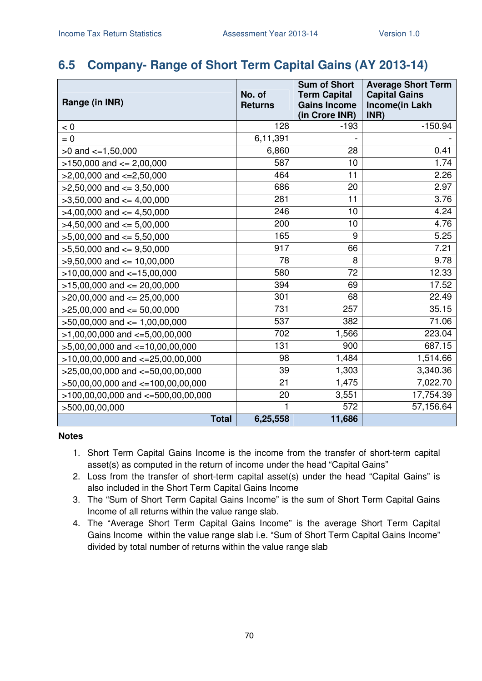### **6.5 Company- Range of Short Term Capital Gains (AY 2013-14)**

| Range (in INR)                         | No. of<br><b>Returns</b> | <b>Sum of Short</b><br><b>Term Capital</b><br><b>Gains Income</b><br>(in Crore INR) | <b>Average Short Term</b><br><b>Capital Gains</b><br>Income(in Lakh<br>INR) |
|----------------------------------------|--------------------------|-------------------------------------------------------------------------------------|-----------------------------------------------------------------------------|
| < 0                                    | 128                      | $-193$                                                                              | $-150.94$                                                                   |
| $= 0$                                  | 6,11,391                 |                                                                                     |                                                                             |
| $>0$ and $\lt=1,50,000$                | 6,860                    | 28                                                                                  | 0.41                                                                        |
| $>150,000$ and $<= 2,00,000$           | 587                      | 10                                                                                  | 1.74                                                                        |
| $>2,00,000$ and $<=2,50,000$           | 464                      | 11                                                                                  | 2.26                                                                        |
| $>2,50,000$ and $<=3,50,000$           | 686                      | 20                                                                                  | 2.97                                                                        |
| $>3,50,000$ and $<=4,00,000$           | 281                      | 11                                                                                  | 3.76                                                                        |
| $>4,00,000$ and $\leq 4,50,000$        | 246                      | 10                                                                                  | 4.24                                                                        |
| $>4,50,000$ and $<=5,00,000$           | 200                      | 10                                                                                  | 4.76                                                                        |
| $>5,00,000$ and $<= 5,50,000$          | 165                      | 9                                                                                   | 5.25                                                                        |
| $>5,50,000$ and $<=9,50,000$           | 917                      | 66                                                                                  | 7.21                                                                        |
| $>9,50,000$ and $<= 10,00,000$         | 78                       | 8                                                                                   | 9.78                                                                        |
| $>10,00,000$ and $<-15,00,000$         | 580                      | 72                                                                                  | 12.33                                                                       |
| $>15,00,000$ and $<= 20,00,000$        | 394                      | 69                                                                                  | 17.52                                                                       |
| $>$ 20,00,000 and $\leq$ 25,00,000     | 301                      | 68                                                                                  | 22.49                                                                       |
| $>25,00,000$ and $<= 50,00,000$        | 731                      | 257                                                                                 | 35.15                                                                       |
| $>50,00,000$ and $<= 1,00,00,000$      | 537                      | 382                                                                                 | 71.06                                                                       |
| $>1,00,00,000$ and $\lt=5,00,00,000$   | 702                      | 1,566                                                                               | 223.04                                                                      |
| $>5,00,00,000$ and $<-10,00,00,000$    | 131                      | 900                                                                                 | 687.15                                                                      |
| $>10,00,00,000$ and $<-25,00,00,000$   | 98                       | 1,484                                                                               | 1,514.66                                                                    |
| $>25,00,00,000$ and $<=50,00,00,000$   | 39                       | 1,303                                                                               | 3,340.36                                                                    |
| >50,00,00,000 and <=100,00,00,000      | 21                       | 1,475                                                                               | 7,022.70                                                                    |
| $>100,00,00,000$ and $<=500,00,00,000$ | 20                       | 3,551                                                                               | 17,754.39                                                                   |
| >500,00,00,000                         | 1                        | 572                                                                                 | 57,156.64                                                                   |
| <b>Total</b>                           | 6,25,558                 | 11,686                                                                              |                                                                             |

- 1. Short Term Capital Gains Income is the income from the transfer of short-term capital asset(s) as computed in the return of income under the head "Capital Gains"
- 2. Loss from the transfer of short-term capital asset(s) under the head "Capital Gains" is also included in the Short Term Capital Gains Income
- 3. The "Sum of Short Term Capital Gains Income" is the sum of Short Term Capital Gains Income of all returns within the value range slab.
- 4. The "Average Short Term Capital Gains Income" is the average Short Term Capital Gains Income within the value range slab i.e. "Sum of Short Term Capital Gains Income" divided by total number of returns within the value range slab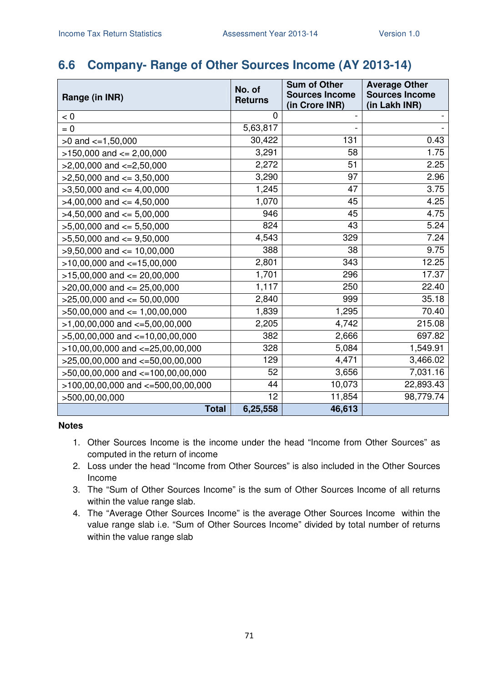### **6.6 Company- Range of Other Sources Income (AY 2013-14)**

| Range (in INR)                         | No. of<br><b>Returns</b> | <b>Sum of Other</b><br><b>Sources Income</b> | <b>Average Other</b><br><b>Sources Income</b> |
|----------------------------------------|--------------------------|----------------------------------------------|-----------------------------------------------|
| < 0                                    | 0                        | (in Crore INR)                               | (in Lakh INR)                                 |
| $= 0$                                  | 5,63,817                 |                                              |                                               |
| $>0$ and $\lt=1,50,000$                | 30,422                   | 131                                          | 0.43                                          |
| $>150,000$ and $<= 2,00,000$           | 3,291                    | 58                                           | 1.75                                          |
| $>2,00,000$ and $\lt=2,50,000$         | 2,272                    | 51                                           | 2.25                                          |
| $>2,50,000$ and $\leq$ 3,50,000        | 3,290                    | 97                                           | 2.96                                          |
| $>3,50,000$ and $<=4,00,000$           | 1,245                    | 47                                           | 3.75                                          |
| $>4,00,000$ and $\lt=4,50,000$         | 1,070                    | 45                                           | 4.25                                          |
| $>4,50,000$ and $<=5,00,000$           | 946                      | 45                                           | 4.75                                          |
| $>5,00,000$ and $<= 5,50,000$          | 824                      | 43                                           | 5.24                                          |
| $>5,50,000$ and $<=9,50,000$           | 4,543                    | 329                                          | 7.24                                          |
| $>9,50,000$ and $\leq 10,00,000$       | 388                      | 38                                           | 9.75                                          |
| $>10,00,000$ and $<-15,00,000$         | 2,801                    | 343                                          | 12.25                                         |
| $>15,00,000$ and $<= 20,00,000$        | 1,701                    | 296                                          | 17.37                                         |
| $>20,00,000$ and $<= 25,00,000$        | 1,117                    | 250                                          | 22.40                                         |
| $>25,00,000$ and $<= 50,00,000$        | 2,840                    | 999                                          | 35.18                                         |
| $>50,00,000$ and $\leq 1,00,00,000$    | 1,839                    | 1,295                                        | 70.40                                         |
| $>1,00,00,000$ and $\lt=5,00,00,000$   | 2,205                    | 4,742                                        | 215.08                                        |
| $>5,00,00,000$ and $\lt=10,00,00,000$  | 382                      | 2,666                                        | 697.82                                        |
| $>10,00,00,000$ and $<=25,00,00,000$   | 328                      | 5,084                                        | 1,549.91                                      |
| $>25,00,00,000$ and $<-50,00,00,000$   | 129                      | 4,471                                        | 3,466.02                                      |
| >50,00,00,000 and <=100,00,00,000      | 52                       | 3,656                                        | 7,031.16                                      |
| $>100,00,00,000$ and $<=500,00,00,000$ | 44                       | 10,073                                       | 22,893.43                                     |
| >500,00,00,000                         | 12                       | 11,854                                       | 98,779.74                                     |
| <b>Total</b>                           | 6,25,558                 | 46,613                                       |                                               |

- 1. Other Sources Income is the income under the head "Income from Other Sources" as computed in the return of income
- 2. Loss under the head "Income from Other Sources" is also included in the Other Sources Income
- 3. The "Sum of Other Sources Income" is the sum of Other Sources Income of all returns within the value range slab.
- 4. The "Average Other Sources Income" is the average Other Sources Income within the value range slab i.e. "Sum of Other Sources Income" divided by total number of returns within the value range slab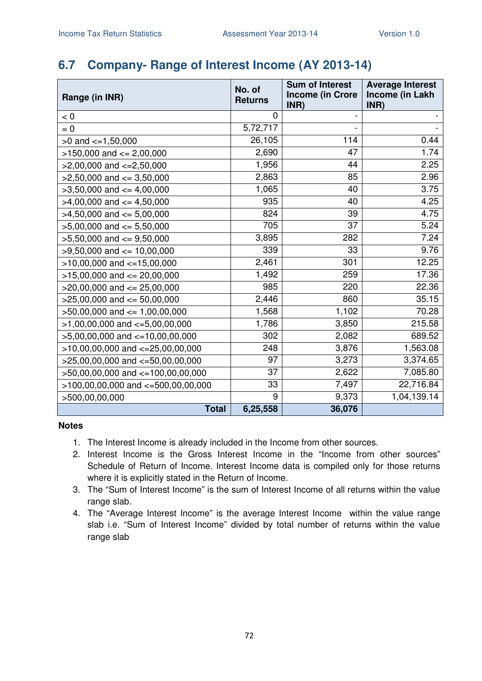## **6.7 Company- Range of Interest Income (AY 2013-14)**

| Range (in INR)                         | No. of<br><b>Returns</b> | <b>Sum of Interest</b><br><b>Income (in Crore</b> | <b>Average Interest</b><br>Income (in Lakh |
|----------------------------------------|--------------------------|---------------------------------------------------|--------------------------------------------|
| < 0                                    | 0                        | INR)                                              | INR)                                       |
| $= 0$                                  | 5,72,717                 |                                                   |                                            |
| $>0$ and $\lt=1,50,000$                | 26,105                   | 114                                               | 0.44                                       |
| $>150,000$ and $<= 2,00,000$           | 2,690                    | 47                                                | 1.74                                       |
| $>2,00,000$ and $\lt=2,50,000$         | 1,956                    | 44                                                | 2.25                                       |
| $>2,50,000$ and $<=3,50,000$           | 2,863                    | 85                                                | 2.96                                       |
| $>3,50,000$ and $<=4,00,000$           | 1,065                    | 40                                                | 3.75                                       |
| $>4,00,000$ and $\lt=4,50,000$         | 935                      | 40                                                | 4.25                                       |
| $>4,50,000$ and $<=5,00,000$           | 824                      | 39                                                | 4.75                                       |
| $>5,00,000$ and $<= 5,50,000$          | 705                      | 37                                                | 5.24                                       |
| $>5,50,000$ and $<=9,50,000$           | 3,895                    | 282                                               | 7.24                                       |
| $>9,50,000$ and $\leq 10,00,000$       | 339                      | 33                                                | 9.76                                       |
| $>10,00,000$ and $<-15,00,000$         | 2,461                    | 301                                               | 12.25                                      |
| $>15,00,000$ and $<= 20,00,000$        | 1,492                    | 259                                               | 17.36                                      |
| $>20,00,000$ and $\leq 25,00,000$      | 985                      | 220                                               | 22.36                                      |
| $>25,00,000$ and $<= 50,00,000$        | 2,446                    | 860                                               | 35.15                                      |
| $>50,00,000$ and $<= 1,00,00,000$      | 1,568                    | 1,102                                             | 70.28                                      |
| $>1,00,00,000$ and $\lt=5,00,00,000$   | 1,786                    | 3,850                                             | 215.58                                     |
| $>5,00,00,000$ and $\lt=10,00,00,000$  | 302                      | 2,082                                             | 689.52                                     |
| $>10,00,00,000$ and $<=25,00,00,000$   | 248                      | 3,876                                             | 1,563.08                                   |
| >25,00,00,000 and <=50,00,00,000       | 97                       | 3,273                                             | 3,374.65                                   |
| >50,00,00,000 and <=100,00,00,000      | 37                       | 2,622                                             | 7,085.80                                   |
| $>100,00,00,000$ and $<=500,00,00,000$ | 33                       | 7,497                                             | 22,716.84                                  |
| >500,00,00,000                         | 9                        | 9,373                                             | 1,04,139.14                                |
| <b>Total</b>                           | 6,25,558                 | 36,076                                            |                                            |

- 1. The Interest Income is already included in the Income from other sources.
- 2. Interest Income is the Gross Interest Income in the "Income from other sources" Schedule of Return of Income. Interest Income data is compiled only for those returns where it is explicitly stated in the Return of Income.
- 3. The "Sum of Interest Income" is the sum of Interest Income of all returns within the value range slab.
- 4. The "Average Interest Income" is the average Interest Income within the value range slab i.e. "Sum of Interest Income" divided by total number of returns within the value range slab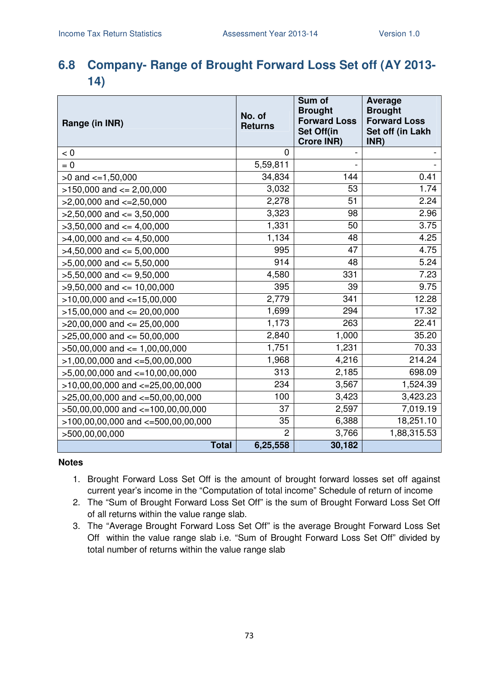## **6.8 Company- Range of Brought Forward Loss Set off (AY 2013- 14)**

| Range (in INR)                           | No. of<br><b>Returns</b> | Sum of<br><b>Brought</b><br><b>Forward Loss</b><br><b>Set Off(in</b><br><b>Crore INR)</b> | <b>Average</b><br><b>Brought</b><br><b>Forward Loss</b><br>Set off (in Lakh<br>INR) |
|------------------------------------------|--------------------------|-------------------------------------------------------------------------------------------|-------------------------------------------------------------------------------------|
| < 0                                      | $\overline{0}$           |                                                                                           |                                                                                     |
| $= 0$                                    | 5,59,811                 | $\overline{a}$                                                                            |                                                                                     |
| $>0$ and $\lt=1,50,000$                  | 34,834                   | 144                                                                                       | 0.41                                                                                |
| $>150,000$ and $<= 2,00,000$             | 3,032                    | 53                                                                                        | 1.74                                                                                |
| $>2,00,000$ and $\lt=2,50,000$           | 2,278                    | 51                                                                                        | 2.24                                                                                |
| $>2,50,000$ and $<=3,50,000$             | 3,323                    | 98                                                                                        | 2.96                                                                                |
| $>3,50,000$ and $<=4,00,000$             | 1,331                    | 50                                                                                        | 3.75                                                                                |
| $>4,00,000$ and $\lt=4,50,000$           | 1,134                    | 48                                                                                        | 4.25                                                                                |
| $>4,50,000$ and $<=5,00,000$             | 995                      | 47                                                                                        | 4.75                                                                                |
| $>5,00,000$ and $<= 5,50,000$            | 914                      | 48                                                                                        | 5.24                                                                                |
| $>5,50,000$ and $<=9,50,000$             | 4,580                    | 331                                                                                       | 7.23                                                                                |
| $>9,50,000$ and $<= 10,00,000$           | 395                      | 39                                                                                        | 9.75                                                                                |
| $>10,00,000$ and $<-15,00,000$           | 2,779                    | 341                                                                                       | 12.28                                                                               |
| $>15,00,000$ and $<= 20,00,000$          | 1,699                    | 294                                                                                       | 17.32                                                                               |
| $>20,00,000$ and $<= 25,00,000$          | 1,173                    | 263                                                                                       | 22.41                                                                               |
| $>25,00,000$ and $<= 50,00,000$          | 2,840                    | 1,000                                                                                     | 35.20                                                                               |
| $>50,00,000$ and $<= 1,00,00,000$        | 1,751                    | 1,231                                                                                     | 70.33                                                                               |
| $>1,00,00,000$ and $\lt=5,00,00,000$     | 1,968                    | 4,216                                                                                     | 214.24                                                                              |
| $>5,00,00,000$ and $<-10,00,00,000$      | 313                      | 2,185                                                                                     | 698.09                                                                              |
| $>10,00,00,000$ and $<=25,00,00,000$     | 234                      | 3,567                                                                                     | 1,524.39                                                                            |
| $>$ 25,00,00,000 and $\lt$ =50,00,00,000 | 100                      | 3,423                                                                                     | 3,423.23                                                                            |
| >50,00,00,000 and <=100,00,00,000        | 37                       | 2,597                                                                                     | 7,019.19                                                                            |
| $>100,00,00,000$ and $<=500,00,00,000$   | 35                       | 6,388                                                                                     | 18,251.10                                                                           |
| >500,00,00,000                           | $\overline{2}$           | 3,766                                                                                     | 1,88,315.53                                                                         |
| <b>Total</b>                             | 6,25,558                 | 30,182                                                                                    |                                                                                     |

- 1. Brought Forward Loss Set Off is the amount of brought forward losses set off against current year's income in the "Computation of total income" Schedule of return of income
- 2. The "Sum of Brought Forward Loss Set Off" is the sum of Brought Forward Loss Set Off of all returns within the value range slab.
- 3. The "Average Brought Forward Loss Set Off" is the average Brought Forward Loss Set Off within the value range slab i.e. "Sum of Brought Forward Loss Set Off" divided by total number of returns within the value range slab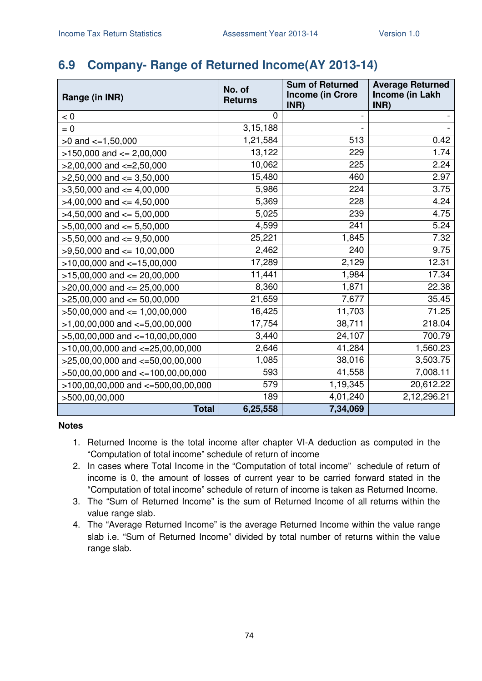## **6.9 Company- Range of Returned Income(AY 2013-14)**

| Range (in INR)                       | No. of<br><b>Returns</b> | <b>Sum of Returned</b><br><b>Income (in Crore</b><br>INR) | <b>Average Returned</b><br>Income (in Lakh<br>INR) |
|--------------------------------------|--------------------------|-----------------------------------------------------------|----------------------------------------------------|
| < 0                                  | 0                        |                                                           |                                                    |
| $= 0$                                | 3, 15, 188               |                                                           |                                                    |
| $>0$ and $\lt=1,50,000$              | 1,21,584                 | 513                                                       | 0.42                                               |
| $>150,000$ and $<= 2,00,000$         | 13,122                   | 229                                                       | 1.74                                               |
| $>2,00,000$ and $\lt=2,50,000$       | 10,062                   | 225                                                       | 2.24                                               |
| $>2,50,000$ and $\leq$ 3,50,000      | 15,480                   | 460                                                       | 2.97                                               |
| $>3,50,000$ and $<=4,00,000$         | 5,986                    | 224                                                       | 3.75                                               |
| $>4,00,000$ and $\lt=4,50,000$       | 5,369                    | 228                                                       | 4.24                                               |
| $>4,50,000$ and $\leq 5,00,000$      | 5,025                    | 239                                                       | 4.75                                               |
| $>5,00,000$ and $<= 5,50,000$        | 4,599                    | 241                                                       | 5.24                                               |
| $>5,50,000$ and $<=9,50,000$         | 25,221                   | 1,845                                                     | 7.32                                               |
| $>9,50,000$ and $<= 10,00,000$       | 2,462                    | 240                                                       | 9.75                                               |
| $>10,00,000$ and $<-15,00,000$       | 17,289                   | 2,129                                                     | 12.31                                              |
| $>15,00,000$ and $<= 20,00,000$      | 11,441                   | 1,984                                                     | 17.34                                              |
| $>20,00,000$ and $<= 25,00,000$      | 8,360                    | 1,871                                                     | 22.38                                              |
| $>25,00,000$ and $<= 50,00,000$      | 21,659                   | 7,677                                                     | 35.45                                              |
| $>50,00,000$ and $\leq 1,00,00,000$  | 16,425                   | 11,703                                                    | 71.25                                              |
| $>1,00,00,000$ and $\lt=5,00,00,000$ | 17,754                   | 38,711                                                    | 218.04                                             |
| $>5,00,00,000$ and $<=10,00,00,000$  | 3,440                    | 24,107                                                    | 700.79                                             |
| $>10,00,00,000$ and $<=25,00,00,000$ | 2,646                    | 41,284                                                    | 1,560.23                                           |
| $>25,00,00,000$ and $<-50,00,00,000$ | 1,085                    | 38,016                                                    | 3,503.75                                           |
| >50,00,00,000 and <=100,00,00,000    | 593                      | 41,558                                                    | 7,008.11                                           |
| >100,00,00,000 and <=500,00,00,000   | 579                      | 1,19,345                                                  | 20,612.22                                          |
| >500,00,00,000                       | 189                      | 4,01,240                                                  | 2,12,296.21                                        |
| <b>Total</b>                         | 6,25,558                 | 7,34,069                                                  |                                                    |

- 1. Returned Income is the total income after chapter VI-A deduction as computed in the "Computation of total income" schedule of return of income
- 2. In cases where Total Income in the "Computation of total income" schedule of return of income is 0, the amount of losses of current year to be carried forward stated in the "Computation of total income" schedule of return of income is taken as Returned Income.
- 3. The "Sum of Returned Income" is the sum of Returned Income of all returns within the value range slab.
- 4. The "Average Returned Income" is the average Returned Income within the value range slab i.e. "Sum of Returned Income" divided by total number of returns within the value range slab.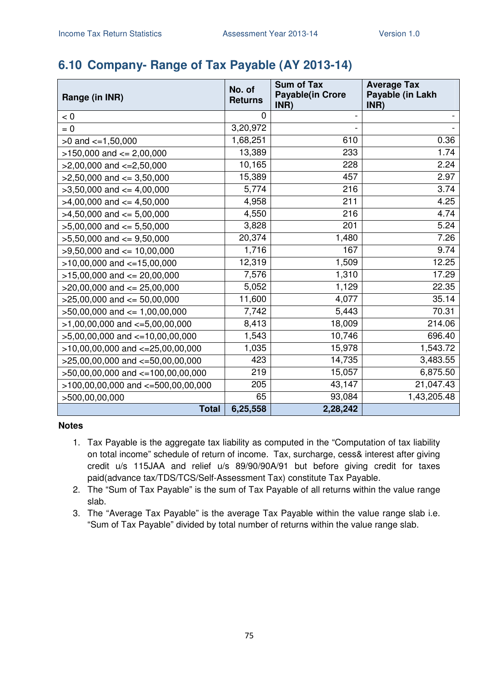# **6.10 Company- Range of Tax Payable (AY 2013-14)**

| Range (in INR)                         | No. of<br><b>Returns</b> | <b>Sum of Tax</b><br><b>Payable(in Crore</b> | <b>Average Tax</b><br>Payable (in Lakh |
|----------------------------------------|--------------------------|----------------------------------------------|----------------------------------------|
| < 0                                    | 0                        | INR)                                         | INR)                                   |
| $= 0$                                  | 3,20,972                 |                                              |                                        |
| $>0$ and $\lt=1,50,000$                | 1,68,251                 | 610                                          | 0.36                                   |
| $>150,000$ and $<= 2,00,000$           | 13,389                   | 233                                          | 1.74                                   |
| $>2,00,000$ and $\lt=2,50,000$         | 10,165                   | 228                                          | 2.24                                   |
| $>2,50,000$ and $<=3,50,000$           | 15,389                   | 457                                          | 2.97                                   |
| $>3,50,000$ and $<=4,00,000$           | 5,774                    | 216                                          | 3.74                                   |
| $>4,00,000$ and $<=4,50,000$           | 4,958                    | 211                                          | 4.25                                   |
| $>4,50,000$ and $\leq 5,00,000$        | 4,550                    | 216                                          | 4.74                                   |
| $>5,00,000$ and $<= 5,50,000$          | 3,828                    | 201                                          | 5.24                                   |
| $>5,50,000$ and $<=9,50,000$           | 20,374                   | 1,480                                        | 7.26                                   |
| $>9,50,000$ and $<= 10,00,000$         | 1,716                    | 167                                          | 9.74                                   |
| $>10,00,000$ and $<=15,00,000$         | 12,319                   | 1,509                                        | 12.25                                  |
| $>15,00,000$ and $<= 20,00,000$        | 7,576                    | 1,310                                        | 17.29                                  |
| $>$ 20,00,000 and $\leq$ 25,00,000     | 5,052                    | 1,129                                        | 22.35                                  |
| $>25,00,000$ and $\leq 50,00,000$      | 11,600                   | 4,077                                        | 35.14                                  |
|                                        | 7,742                    | 5,443                                        | 70.31                                  |
| $>50,00,000$ and $<= 1,00,00,000$      | 8,413                    | 18,009                                       | 214.06                                 |
| $>1,00,00,000$ and $\lt=5,00,00,000$   | 1,543                    | 10,746                                       | 696.40                                 |
| $>5,00,00,000$ and $\lt=10,00,00,000$  | 1,035                    | 15,978                                       | 1,543.72                               |
| $>10,00,00,000$ and $<=25,00,00,000$   |                          |                                              |                                        |
| $>25,00,00,000$ and $<=50,00,00,000$   | 423                      | 14,735                                       | 3,483.55                               |
| >50,00,00,000 and <=100,00,00,000      | 219                      | 15,057                                       | 6,875.50                               |
| $>100,00,00,000$ and $<-500,00,00,000$ | 205                      | 43,147                                       | 21,047.43                              |
| >500,00,00,000                         | 65                       | 93,084                                       | 1,43,205.48                            |
| <b>Total</b>                           | 6,25,558                 | 2,28,242                                     |                                        |

- 1. Tax Payable is the aggregate tax liability as computed in the "Computation of tax liability on total income" schedule of return of income. Tax, surcharge, cess& interest after giving credit u/s 115JAA and relief u/s 89/90/90A/91 but before giving credit for taxes paid(advance tax/TDS/TCS/Self-Assessment Tax) constitute Tax Payable.
- 2. The "Sum of Tax Payable" is the sum of Tax Payable of all returns within the value range slab.
- 3. The "Average Tax Payable" is the average Tax Payable within the value range slab i.e. "Sum of Tax Payable" divided by total number of returns within the value range slab.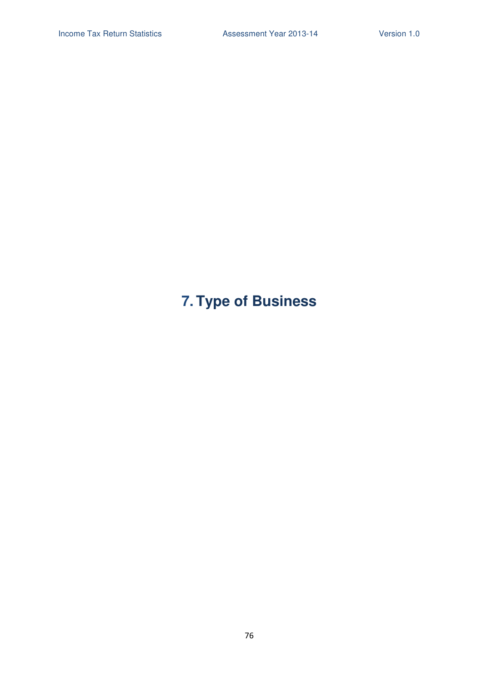# **7. Type of Business**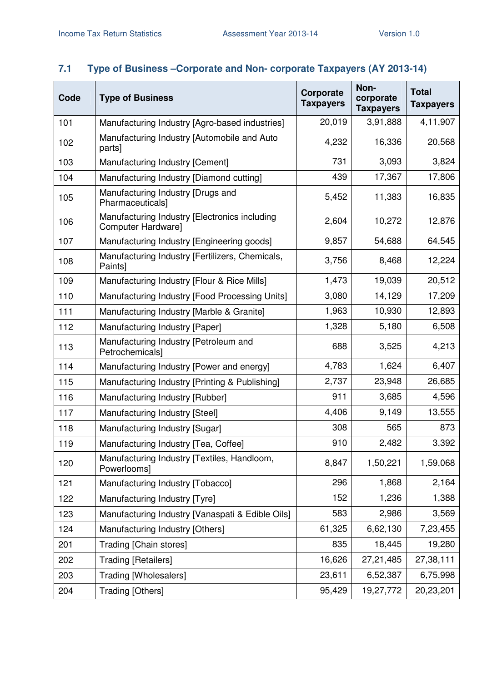## **7.1 Type of Business –Corporate and Non- corporate Taxpayers (AY 2013-14)**

| Code | <b>Type of Business</b>                                             | Corporate<br><b>Taxpayers</b> | Non-<br>corporate<br><b>Taxpayers</b> | <b>Total</b><br><b>Taxpayers</b> |
|------|---------------------------------------------------------------------|-------------------------------|---------------------------------------|----------------------------------|
| 101  | Manufacturing Industry [Agro-based industries]                      | 20,019                        | 3,91,888                              | 4,11,907                         |
| 102  | Manufacturing Industry [Automobile and Auto<br>parts]               | 4,232                         | 16,336                                | 20,568                           |
| 103  | Manufacturing Industry [Cement]                                     | 731                           | 3,093                                 | 3,824                            |
| 104  | Manufacturing Industry [Diamond cutting]                            | 439                           | 17,367                                | 17,806                           |
| 105  | Manufacturing Industry [Drugs and<br>Pharmaceuticals]               | 5,452                         | 11,383                                | 16,835                           |
| 106  | Manufacturing Industry [Electronics including<br>Computer Hardware] | 2,604                         | 10,272                                | 12,876                           |
| 107  | Manufacturing Industry [Engineering goods]                          | 9,857                         | 54,688                                | 64,545                           |
| 108  | Manufacturing Industry [Fertilizers, Chemicals,<br>Paints]          | 3,756                         | 8,468                                 | 12,224                           |
| 109  | Manufacturing Industry [Flour & Rice Mills]                         | 1,473                         | 19,039                                | 20,512                           |
| 110  | Manufacturing Industry [Food Processing Units]                      | 3,080                         | 14,129                                | 17,209                           |
| 111  | Manufacturing Industry [Marble & Granite]                           | 1,963                         | 10,930                                | 12,893                           |
| 112  | Manufacturing Industry [Paper]                                      | 1,328                         | 5,180                                 | 6,508                            |
| 113  | Manufacturing Industry [Petroleum and<br>Petrochemicals]            | 688                           | 3,525                                 | 4,213                            |
| 114  | Manufacturing Industry [Power and energy]                           | 4,783                         | 1,624                                 | 6,407                            |
| 115  | Manufacturing Industry [Printing & Publishing]                      | 2,737                         | 23,948                                | 26,685                           |
| 116  | Manufacturing Industry [Rubber]                                     | 911                           | 3,685                                 | 4,596                            |
| 117  | Manufacturing Industry [Steel]                                      | 4,406                         | 9,149                                 | 13,555                           |
| 118  | Manufacturing Industry [Sugar]                                      | 308                           | 565                                   | 873                              |
| 119  | Manufacturing Industry [Tea, Coffee]                                | 910                           | 2,482                                 | 3,392                            |
| 120  | Manufacturing Industry [Textiles, Handloom,<br>Powerlooms]          | 8,847                         | 1,50,221                              | 1,59,068                         |
| 121  | Manufacturing Industry [Tobacco]                                    | 296                           | 1,868                                 | 2,164                            |
| 122  | Manufacturing Industry [Tyre]                                       | 152                           | 1,236                                 | 1,388                            |
| 123  | Manufacturing Industry [Vanaspati & Edible Oils]                    | 583                           | 2,986                                 | 3,569                            |
| 124  | Manufacturing Industry [Others]                                     | 61,325                        | 6,62,130                              | 7,23,455                         |
| 201  | Trading [Chain stores]                                              | 835                           | 18,445                                | 19,280                           |
| 202  | <b>Trading [Retailers]</b>                                          | 16,626                        | 27,21,485                             | 27,38,111                        |
| 203  | Trading [Wholesalers]                                               | 23,611                        | 6,52,387                              | 6,75,998                         |
| 204  | Trading [Others]                                                    | 95,429                        | 19,27,772                             | 20,23,201                        |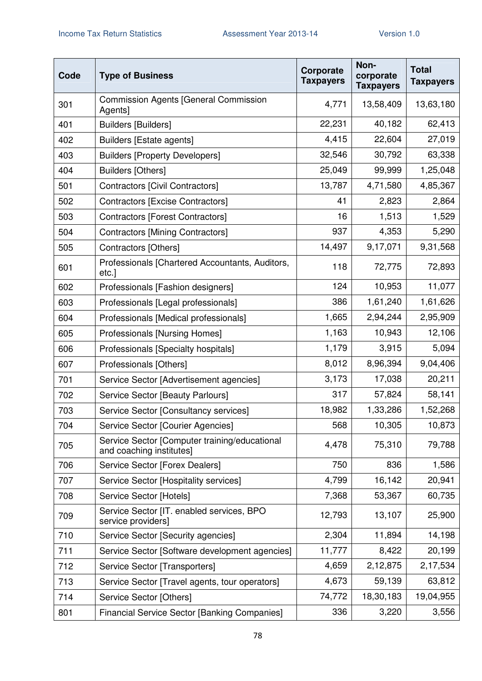| Code | <b>Type of Business</b>                                                   | Corporate<br><b>Taxpayers</b> | Non-<br>corporate<br><b>Taxpayers</b> | <b>Total</b><br><b>Taxpayers</b> |
|------|---------------------------------------------------------------------------|-------------------------------|---------------------------------------|----------------------------------|
| 301  | <b>Commission Agents [General Commission</b><br>Agents]                   | 4,771                         | 13,58,409                             | 13,63,180                        |
| 401  | <b>Builders [Builders]</b>                                                | 22,231                        | 40,182                                | 62,413                           |
| 402  | <b>Builders [Estate agents]</b>                                           | 4,415                         | 22,604                                | 27,019                           |
| 403  | <b>Builders [Property Developers]</b>                                     | 32,546                        | 30,792                                | 63,338                           |
| 404  | <b>Builders [Others]</b>                                                  | 25,049                        | 99,999                                | 1,25,048                         |
| 501  | Contractors [Civil Contractors]                                           | 13,787                        | 4,71,580                              | 4,85,367                         |
| 502  | Contractors [Excise Contractors]                                          | 41                            | 2,823                                 | 2,864                            |
| 503  | Contractors [Forest Contractors]                                          | 16                            | 1,513                                 | 1,529                            |
| 504  | <b>Contractors [Mining Contractors]</b>                                   | 937                           | 4,353                                 | 5,290                            |
| 505  | Contractors [Others]                                                      | 14,497                        | 9,17,071                              | 9,31,568                         |
| 601  | Professionals [Chartered Accountants, Auditors,<br>etc.]                  | 118                           | 72,775                                | 72,893                           |
| 602  | Professionals [Fashion designers]                                         | 124                           | 10,953                                | 11,077                           |
| 603  | Professionals [Legal professionals]                                       | 386                           | 1,61,240                              | 1,61,626                         |
| 604  | Professionals [Medical professionals]                                     | 1,665                         | 2,94,244                              | 2,95,909                         |
| 605  | <b>Professionals [Nursing Homes]</b>                                      | 1,163                         | 10,943                                | 12,106                           |
| 606  | Professionals [Specialty hospitals]                                       | 1,179                         | 3,915                                 | 5,094                            |
| 607  | Professionals [Others]                                                    | 8,012                         | 8,96,394                              | 9,04,406                         |
| 701  | Service Sector [Advertisement agencies]                                   | 3,173                         | 17,038                                | 20,211                           |
| 702  | Service Sector [Beauty Parlours]                                          | 317                           | 57,824                                | 58,141                           |
| 703  | Service Sector [Consultancy services]                                     | 18,982                        | 1,33,286                              | 1,52,268                         |
| 704  | Service Sector [Courier Agencies]                                         | 568                           | 10,305                                | 10,873                           |
| 705  | Service Sector [Computer training/educational<br>and coaching institutes] | 4,478                         | 75,310                                | 79,788                           |
| 706  | Service Sector [Forex Dealers]                                            | 750                           | 836                                   | 1,586                            |
| 707  | Service Sector [Hospitality services]                                     | 4,799                         | 16,142                                | 20,941                           |
| 708  | Service Sector [Hotels]                                                   | 7,368                         | 53,367                                | 60,735                           |
| 709  | Service Sector [IT. enabled services, BPO<br>service providers]           | 12,793                        | 13,107                                | 25,900                           |
| 710  | Service Sector [Security agencies]                                        | 2,304                         | 11,894                                | 14,198                           |
| 711  | Service Sector [Software development agencies]                            | 11,777                        | 8,422                                 | 20,199                           |
| 712  | Service Sector [Transporters]                                             | 4,659                         | 2,12,875                              | 2,17,534                         |
| 713  | Service Sector [Travel agents, tour operators]                            | 4,673                         | 59,139                                | 63,812                           |
| 714  | Service Sector [Others]                                                   | 74,772                        | 18,30,183                             | 19,04,955                        |
| 801  | <b>Financial Service Sector [Banking Companies]</b>                       | 336                           | 3,220                                 | 3,556                            |